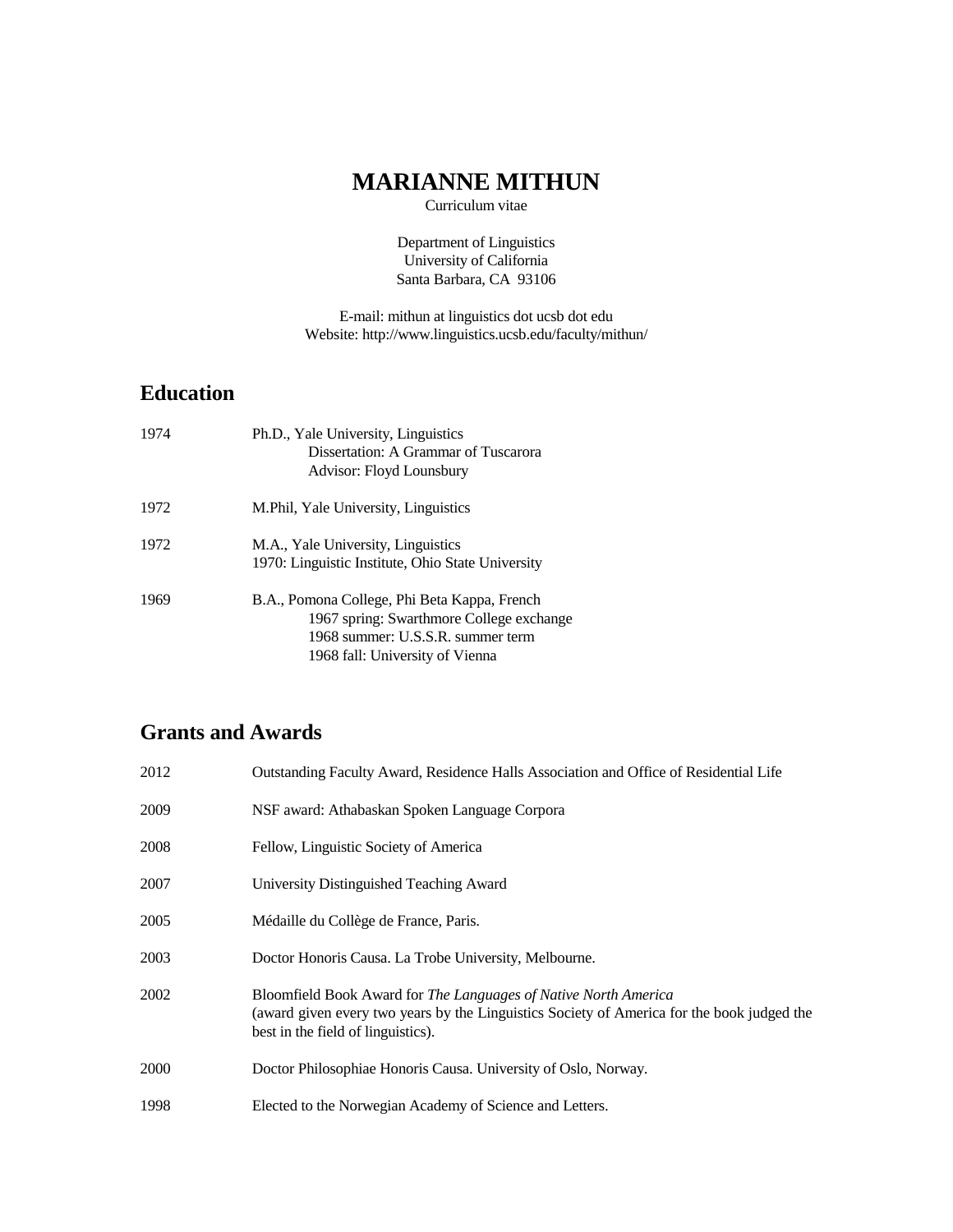# **MARIANNE MITHUN**

Curriculum vitae

Department of Linguistics University of California Santa Barbara, CA 93106

E-mail: mithun at linguistics dot ucsb dot edu Website: http://www.linguistics.ucsb.edu/faculty/mithun/

# **Education**

| 1974 | Ph.D., Yale University, Linguistics<br>Dissertation: A Grammar of Tuscarora<br>Advisor: Floyd Lounsbury                                                          |
|------|------------------------------------------------------------------------------------------------------------------------------------------------------------------|
| 1972 | M. Phil, Yale University, Linguistics                                                                                                                            |
| 1972 | M.A., Yale University, Linguistics<br>1970: Linguistic Institute, Ohio State University                                                                          |
| 1969 | B.A., Pomona College, Phi Beta Kappa, French<br>1967 spring: Swarthmore College exchange<br>1968 summer: U.S.S.R. summer term<br>1968 fall: University of Vienna |

# **Grants and Awards**

| 2012 | Outstanding Faculty Award, Residence Halls Association and Office of Residential Life                                                                                                               |
|------|-----------------------------------------------------------------------------------------------------------------------------------------------------------------------------------------------------|
| 2009 | NSF award: Athabaskan Spoken Language Corpora                                                                                                                                                       |
| 2008 | Fellow, Linguistic Society of America                                                                                                                                                               |
| 2007 | University Distinguished Teaching Award                                                                                                                                                             |
| 2005 | Médaille du Collège de France, Paris.                                                                                                                                                               |
| 2003 | Doctor Honoris Causa. La Trobe University, Melbourne.                                                                                                                                               |
| 2002 | Bloomfield Book Award for The Languages of Native North America<br>(award given every two years by the Linguistics Society of America for the book judged the<br>best in the field of linguistics). |
| 2000 | Doctor Philosophiae Honoris Causa. University of Oslo, Norway.                                                                                                                                      |
| 1998 | Elected to the Norwegian Academy of Science and Letters.                                                                                                                                            |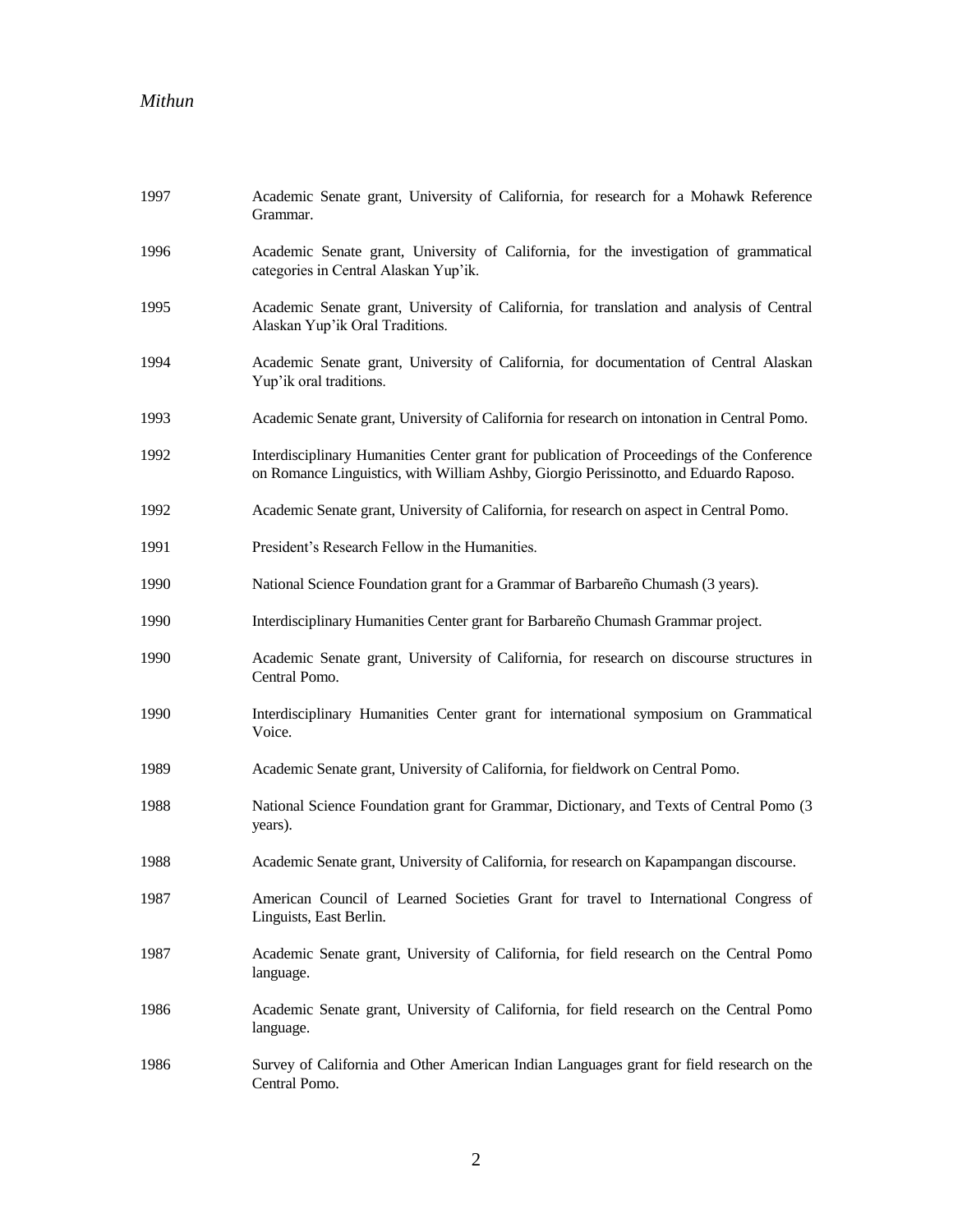| 1997 | Academic Senate grant, University of California, for research for a Mohawk Reference<br>Grammar.                                                                                    |
|------|-------------------------------------------------------------------------------------------------------------------------------------------------------------------------------------|
| 1996 | Academic Senate grant, University of California, for the investigation of grammatical<br>categories in Central Alaskan Yup'ik.                                                      |
| 1995 | Academic Senate grant, University of California, for translation and analysis of Central<br>Alaskan Yup'ik Oral Traditions.                                                         |
| 1994 | Academic Senate grant, University of California, for documentation of Central Alaskan<br>Yup'ik oral traditions.                                                                    |
| 1993 | Academic Senate grant, University of California for research on intonation in Central Pomo.                                                                                         |
| 1992 | Interdisciplinary Humanities Center grant for publication of Proceedings of the Conference<br>on Romance Linguistics, with William Ashby, Giorgio Perissinotto, and Eduardo Raposo. |
| 1992 | Academic Senate grant, University of California, for research on aspect in Central Pomo.                                                                                            |
| 1991 | President's Research Fellow in the Humanities.                                                                                                                                      |
| 1990 | National Science Foundation grant for a Grammar of Barbareño Chumash (3 years).                                                                                                     |
| 1990 | Interdisciplinary Humanities Center grant for Barbareño Chumash Grammar project.                                                                                                    |
| 1990 | Academic Senate grant, University of California, for research on discourse structures in<br>Central Pomo.                                                                           |
| 1990 | Interdisciplinary Humanities Center grant for international symposium on Grammatical<br>Voice.                                                                                      |
| 1989 | Academic Senate grant, University of California, for fieldwork on Central Pomo.                                                                                                     |
| 1988 | National Science Foundation grant for Grammar, Dictionary, and Texts of Central Pomo (3)<br>years).                                                                                 |
| 1988 | Academic Senate grant, University of California, for research on Kapampangan discourse.                                                                                             |
| 1987 | American Council of Learned Societies Grant for travel to International Congress of<br>Linguists, East Berlin.                                                                      |
| 1987 | Academic Senate grant, University of California, for field research on the Central Pomo<br>language.                                                                                |
| 1986 | Academic Senate grant, University of California, for field research on the Central Pomo<br>language.                                                                                |
| 1986 | Survey of California and Other American Indian Languages grant for field research on the<br>Central Pomo.                                                                           |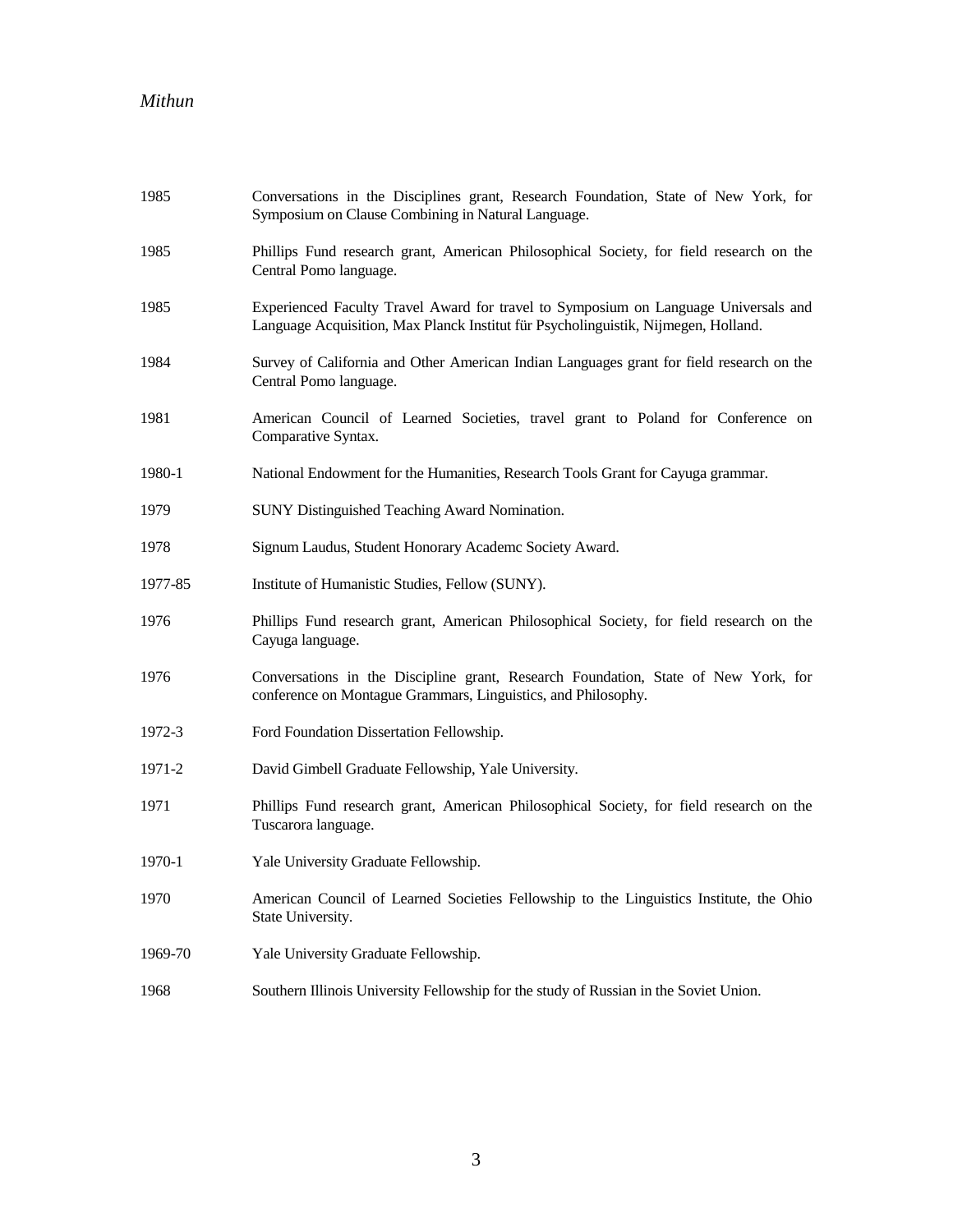| 1985    | Conversations in the Disciplines grant, Research Foundation, State of New York, for<br>Symposium on Clause Combining in Natural Language.                                 |
|---------|---------------------------------------------------------------------------------------------------------------------------------------------------------------------------|
| 1985    | Phillips Fund research grant, American Philosophical Society, for field research on the<br>Central Pomo language.                                                         |
| 1985    | Experienced Faculty Travel Award for travel to Symposium on Language Universals and<br>Language Acquisition, Max Planck Institut für Psycholinguistik, Nijmegen, Holland. |
| 1984    | Survey of California and Other American Indian Languages grant for field research on the<br>Central Pomo language.                                                        |
| 1981    | American Council of Learned Societies, travel grant to Poland for Conference on<br>Comparative Syntax.                                                                    |
| 1980-1  | National Endowment for the Humanities, Research Tools Grant for Cayuga grammar.                                                                                           |
| 1979    | SUNY Distinguished Teaching Award Nomination.                                                                                                                             |
| 1978    | Signum Laudus, Student Honorary Academc Society Award.                                                                                                                    |
| 1977-85 | Institute of Humanistic Studies, Fellow (SUNY).                                                                                                                           |
| 1976    | Phillips Fund research grant, American Philosophical Society, for field research on the<br>Cayuga language.                                                               |
| 1976    | Conversations in the Discipline grant, Research Foundation, State of New York, for<br>conference on Montague Grammars, Linguistics, and Philosophy.                       |
| 1972-3  | Ford Foundation Dissertation Fellowship.                                                                                                                                  |
| 1971-2  | David Gimbell Graduate Fellowship, Yale University.                                                                                                                       |
| 1971    | Phillips Fund research grant, American Philosophical Society, for field research on the<br>Tuscarora language.                                                            |
| 1970-1  | Yale University Graduate Fellowship.                                                                                                                                      |
| 1970    | American Council of Learned Societies Fellowship to the Linguistics Institute, the Ohio<br>State University.                                                              |
| 1969-70 | Yale University Graduate Fellowship.                                                                                                                                      |
| 1968    | Southern Illinois University Fellowship for the study of Russian in the Soviet Union.                                                                                     |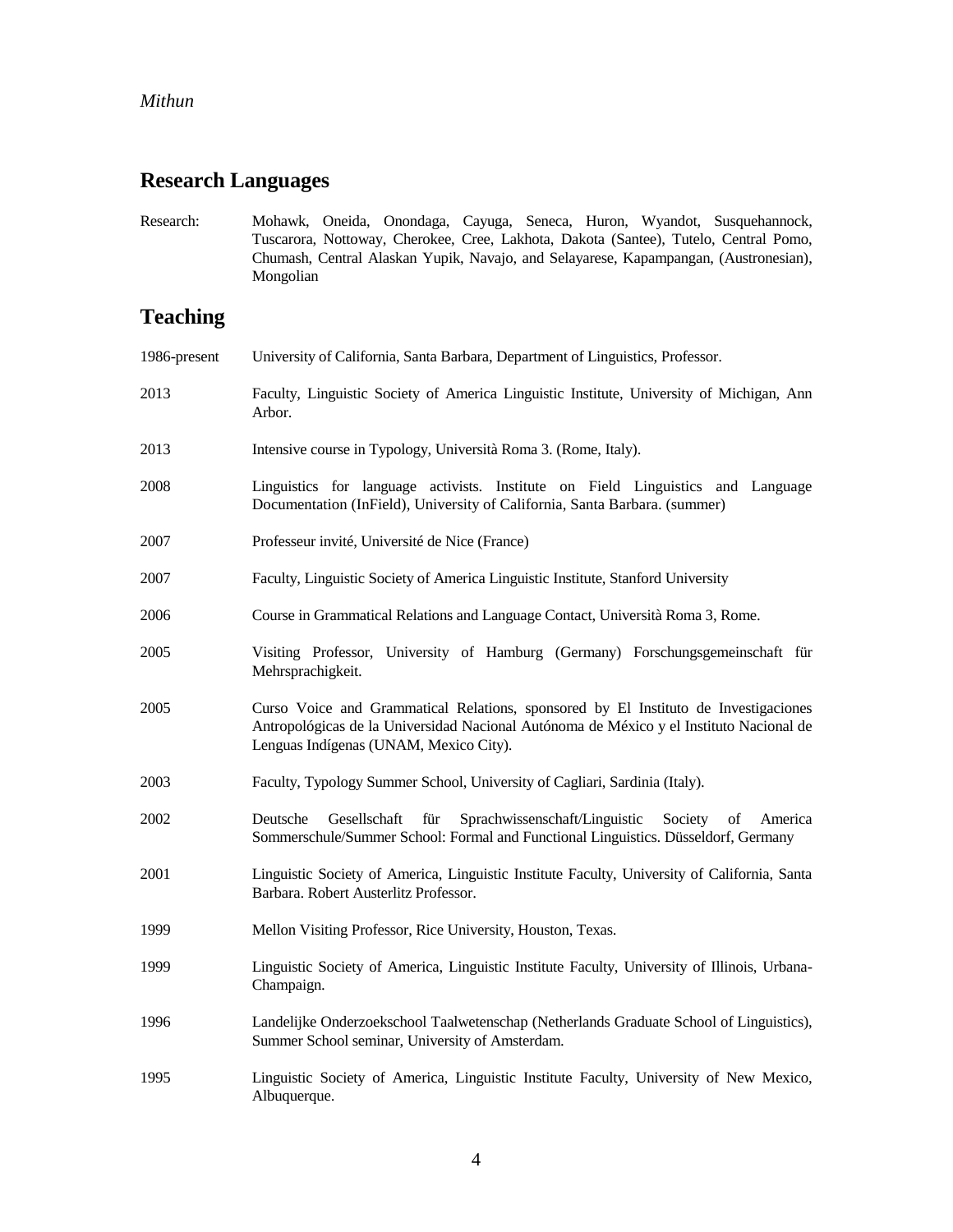## **Research Languages**

Research: Mohawk, Oneida, Onondaga, Cayuga, Seneca, Huron, Wyandot, Susquehannock, Tuscarora, Nottoway, Cherokee, Cree, Lakhota, Dakota (Santee), Tutelo, Central Pomo, Chumash, Central Alaskan Yupik, Navajo, and Selayarese, Kapampangan, (Austronesian), Mongolian

# **Teaching**

| 1986-present | University of California, Santa Barbara, Department of Linguistics, Professor.                                                                                                                                           |
|--------------|--------------------------------------------------------------------------------------------------------------------------------------------------------------------------------------------------------------------------|
| 2013         | Faculty, Linguistic Society of America Linguistic Institute, University of Michigan, Ann<br>Arbor.                                                                                                                       |
| 2013         | Intensive course in Typology, Università Roma 3. (Rome, Italy).                                                                                                                                                          |
| 2008         | Linguistics for language activists. Institute on Field Linguistics and Language<br>Documentation (InField), University of California, Santa Barbara. (summer)                                                            |
| 2007         | Professeur invité, Université de Nice (France)                                                                                                                                                                           |
| 2007         | Faculty, Linguistic Society of America Linguistic Institute, Stanford University                                                                                                                                         |
| 2006         | Course in Grammatical Relations and Language Contact, Università Roma 3, Rome.                                                                                                                                           |
| 2005         | Visiting Professor, University of Hamburg (Germany) Forschungsgemeinschaft für<br>Mehrsprachigkeit.                                                                                                                      |
| 2005         | Curso Voice and Grammatical Relations, sponsored by El Instituto de Investigaciones<br>Antropológicas de la Universidad Nacional Autónoma de México y el Instituto Nacional de<br>Lenguas Indígenas (UNAM, Mexico City). |
| 2003         | Faculty, Typology Summer School, University of Cagliari, Sardinia (Italy).                                                                                                                                               |
| 2002         | Deutsche<br>Gesellschaft<br>für<br>Sprachwissenschaft/Linguistic<br>Society<br>of<br>America<br>Sommerschule/Summer School: Formal and Functional Linguistics. Düsseldorf, Germany                                       |
| 2001         | Linguistic Society of America, Linguistic Institute Faculty, University of California, Santa<br>Barbara. Robert Austerlitz Professor.                                                                                    |
| 1999         | Mellon Visiting Professor, Rice University, Houston, Texas.                                                                                                                                                              |
| 1999         | Linguistic Society of America, Linguistic Institute Faculty, University of Illinois, Urbana-<br>Champaign.                                                                                                               |
| 1996         | Landelijke Onderzoekschool Taalwetenschap (Netherlands Graduate School of Linguistics),<br>Summer School seminar, University of Amsterdam.                                                                               |
| 1995         | Linguistic Society of America, Linguistic Institute Faculty, University of New Mexico,<br>Albuquerque.                                                                                                                   |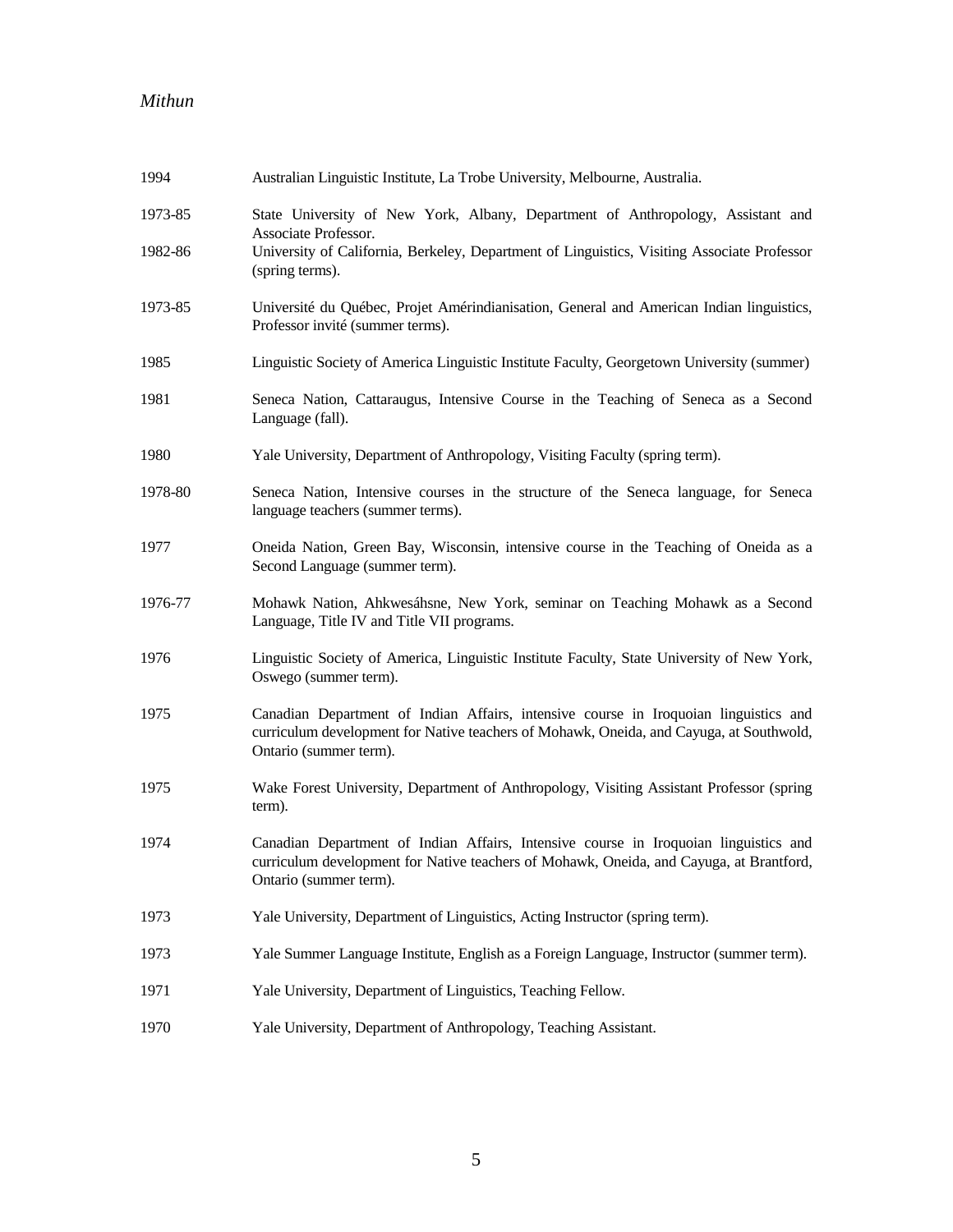| 1994    | Australian Linguistic Institute, La Trobe University, Melbourne, Australia.                                                                                                                               |
|---------|-----------------------------------------------------------------------------------------------------------------------------------------------------------------------------------------------------------|
| 1973-85 | State University of New York, Albany, Department of Anthropology, Assistant and<br>Associate Professor.                                                                                                   |
| 1982-86 | University of California, Berkeley, Department of Linguistics, Visiting Associate Professor<br>(spring terms).                                                                                            |
| 1973-85 | Université du Québec, Projet Amérindianisation, General and American Indian linguistics,<br>Professor invité (summer terms).                                                                              |
| 1985    | Linguistic Society of America Linguistic Institute Faculty, Georgetown University (summer)                                                                                                                |
| 1981    | Seneca Nation, Cattaraugus, Intensive Course in the Teaching of Seneca as a Second<br>Language (fall).                                                                                                    |
| 1980    | Yale University, Department of Anthropology, Visiting Faculty (spring term).                                                                                                                              |
| 1978-80 | Seneca Nation, Intensive courses in the structure of the Seneca language, for Seneca<br>language teachers (summer terms).                                                                                 |
| 1977    | Oneida Nation, Green Bay, Wisconsin, intensive course in the Teaching of Oneida as a<br>Second Language (summer term).                                                                                    |
| 1976-77 | Mohawk Nation, Ahkwesáhsne, New York, seminar on Teaching Mohawk as a Second<br>Language, Title IV and Title VII programs.                                                                                |
| 1976    | Linguistic Society of America, Linguistic Institute Faculty, State University of New York,<br>Oswego (summer term).                                                                                       |
| 1975    | Canadian Department of Indian Affairs, intensive course in Iroquoian linguistics and<br>curriculum development for Native teachers of Mohawk, Oneida, and Cayuga, at Southwold,<br>Ontario (summer term). |
| 1975    | Wake Forest University, Department of Anthropology, Visiting Assistant Professor (spring<br>term).                                                                                                        |
| 1974    | Canadian Department of Indian Affairs, Intensive course in Iroquoian linguistics and<br>curriculum development for Native teachers of Mohawk, Oneida, and Cayuga, at Brantford,<br>Ontario (summer term). |
| 1973    | Yale University, Department of Linguistics, Acting Instructor (spring term).                                                                                                                              |
| 1973    | Yale Summer Language Institute, English as a Foreign Language, Instructor (summer term).                                                                                                                  |
| 1971    | Yale University, Department of Linguistics, Teaching Fellow.                                                                                                                                              |
| 1970    | Yale University, Department of Anthropology, Teaching Assistant.                                                                                                                                          |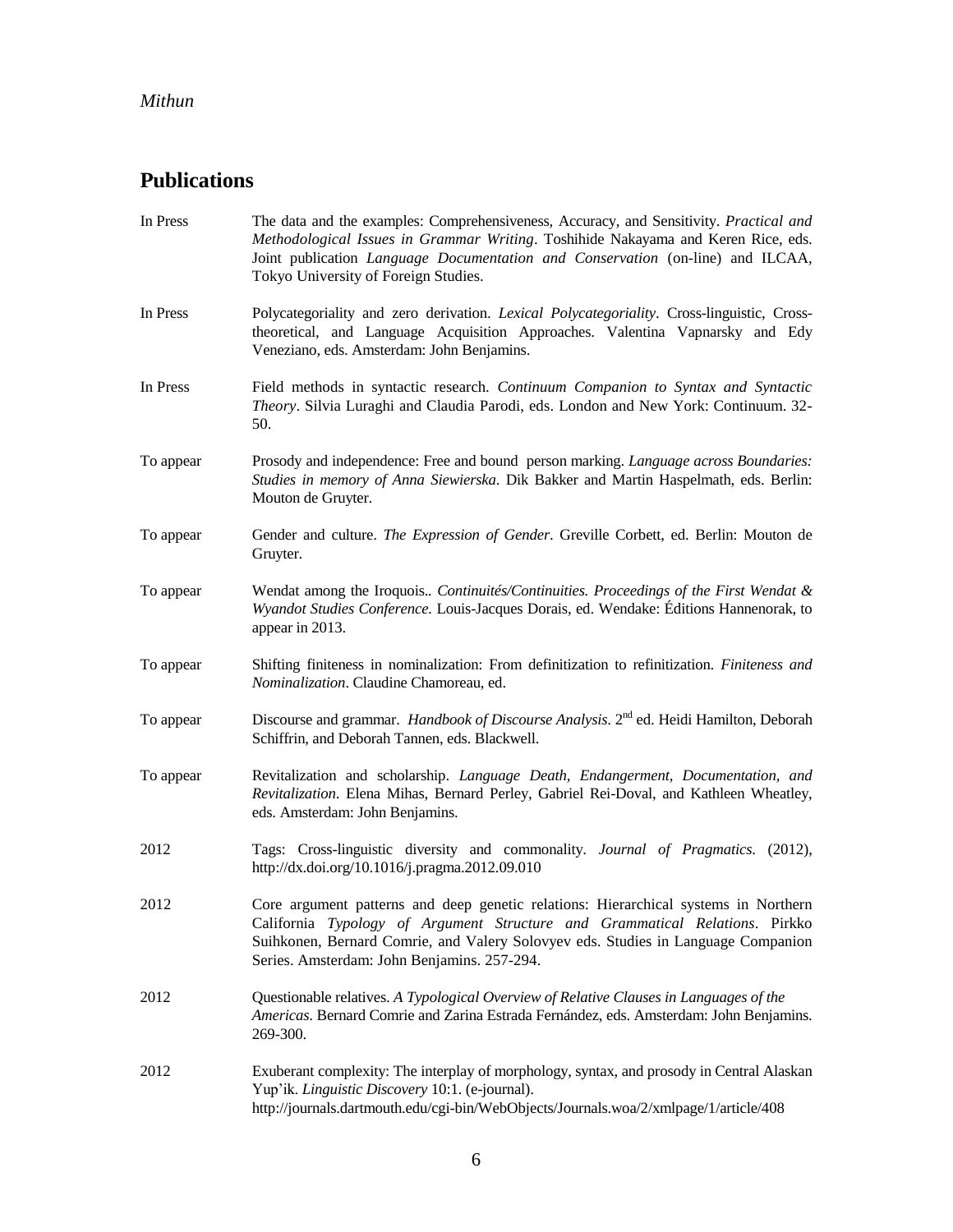# **Publications**

| In Press  | The data and the examples: Comprehensiveness, Accuracy, and Sensitivity. Practical and<br>Methodological Issues in Grammar Writing. Toshihide Nakayama and Keren Rice, eds.<br>Joint publication Language Documentation and Conservation (on-line) and ILCAA,<br>Tokyo University of Foreign Studies.  |
|-----------|--------------------------------------------------------------------------------------------------------------------------------------------------------------------------------------------------------------------------------------------------------------------------------------------------------|
| In Press  | Polycategoriality and zero derivation. Lexical Polycategoriality. Cross-linguistic, Cross-<br>theoretical, and Language Acquisition Approaches. Valentina Vapnarsky and Edy<br>Veneziano, eds. Amsterdam: John Benjamins.                                                                              |
| In Press  | Field methods in syntactic research. Continuum Companion to Syntax and Syntactic<br>Theory. Silvia Luraghi and Claudia Parodi, eds. London and New York: Continuum. 32-<br>50.                                                                                                                         |
| To appear | Prosody and independence: Free and bound person marking. Language across Boundaries:<br>Studies in memory of Anna Siewierska. Dik Bakker and Martin Haspelmath, eds. Berlin:<br>Mouton de Gruyter.                                                                                                     |
| To appear | Gender and culture. The Expression of Gender. Greville Corbett, ed. Berlin: Mouton de<br>Gruyter.                                                                                                                                                                                                      |
| To appear | Wendat among the Iroquois Continuités/Continuities. Proceedings of the First Wendat &<br>Wyandot Studies Conference. Louis-Jacques Dorais, ed. Wendake: Éditions Hannenorak, to<br>appear in 2013.                                                                                                     |
| To appear | Shifting finiteness in nominalization: From definitization to refinitization. Finiteness and<br>Nominalization. Claudine Chamoreau, ed.                                                                                                                                                                |
| To appear | Discourse and grammar. Handbook of Discourse Analysis. 2 <sup>nd</sup> ed. Heidi Hamilton, Deborah<br>Schiffrin, and Deborah Tannen, eds. Blackwell.                                                                                                                                                   |
| To appear | Revitalization and scholarship. Language Death, Endangerment, Documentation, and<br>Revitalization. Elena Mihas, Bernard Perley, Gabriel Rei-Doval, and Kathleen Wheatley,<br>eds. Amsterdam: John Benjamins.                                                                                          |
| 2012      | Tags: Cross-linguistic diversity and commonality. Journal of Pragmatics. (2012),<br>http://dx.doi.org/10.1016/j.pragma.2012.09.010                                                                                                                                                                     |
| 2012      | Core argument patterns and deep genetic relations: Hierarchical systems in Northern<br>California Typology of Argument Structure and Grammatical Relations. Pirkko<br>Suihkonen, Bernard Comrie, and Valery Solovyev eds. Studies in Language Companion<br>Series. Amsterdam: John Benjamins. 257-294. |
| 2012      | Questionable relatives. A Typological Overview of Relative Clauses in Languages of the<br>Americas. Bernard Comrie and Zarina Estrada Fernández, eds. Amsterdam: John Benjamins.<br>269-300.                                                                                                           |
| 2012      | Exuberant complexity: The interplay of morphology, syntax, and prosody in Central Alaskan<br>Yup'ik. Linguistic Discovery 10:1. (e-journal).<br>http://journals.dartmouth.edu/cgi-bin/WebObjects/Journals.woa/2/xmlpage/1/article/408                                                                  |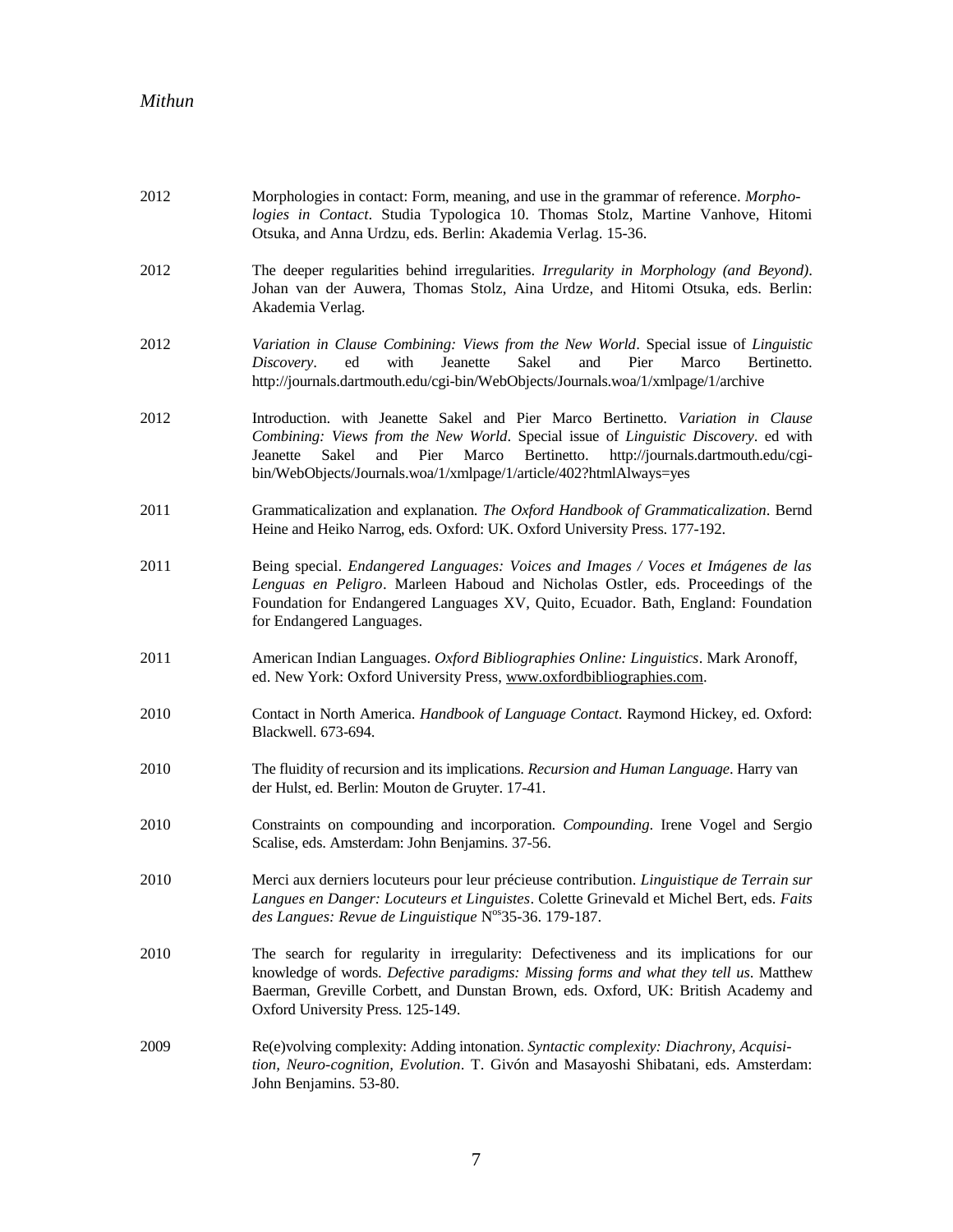| 2012 | Morphologies in contact: Form, meaning, and use in the grammar of reference. Morpho-<br>logies in Contact. Studia Typologica 10. Thomas Stolz, Martine Vanhove, Hitomi<br>Otsuka, and Anna Urdzu, eds. Berlin: Akademia Verlag. 15-36.                                                                                                          |
|------|-------------------------------------------------------------------------------------------------------------------------------------------------------------------------------------------------------------------------------------------------------------------------------------------------------------------------------------------------|
| 2012 | The deeper regularities behind irregularities. Irregularity in Morphology (and Beyond).<br>Johan van der Auwera, Thomas Stolz, Aina Urdze, and Hitomi Otsuka, eds. Berlin:<br>Akademia Verlag.                                                                                                                                                  |
| 2012 | Variation in Clause Combining: Views from the New World. Special issue of Linguistic<br>ed<br>with<br>Jeanette<br><b>Sakel</b><br>and<br>Pier<br>Marco<br>Discovery.<br>Bertinetto.<br>http://journals.dartmouth.edu/cgi-bin/WebObjects/Journals.woa/1/xmlpage/1/archive                                                                        |
| 2012 | Introduction. with Jeanette Sakel and Pier Marco Bertinetto. Variation in Clause<br>Combining: Views from the New World. Special issue of Linguistic Discovery. ed with<br>Bertinetto.<br>http://journals.dartmouth.edu/cgi-<br>Jeanette<br>Sakel<br>and<br>Pier<br>Marco<br>bin/WebObjects/Journals.woa/1/xmlpage/1/article/402?htmlAlways=yes |
| 2011 | Grammaticalization and explanation. The Oxford Handbook of Grammaticalization. Bernd<br>Heine and Heiko Narrog, eds. Oxford: UK. Oxford University Press. 177-192.                                                                                                                                                                              |
| 2011 | Being special. Endangered Languages: Voices and Images / Voces et Imágenes de las<br>Lenguas en Peligro. Marleen Haboud and Nicholas Ostler, eds. Proceedings of the<br>Foundation for Endangered Languages XV, Quito, Ecuador. Bath, England: Foundation<br>for Endangered Languages.                                                          |
| 2011 | American Indian Languages. Oxford Bibliographies Online: Linguistics. Mark Aronoff,<br>ed. New York: Oxford University Press, www.oxfordbibliographies.com.                                                                                                                                                                                     |
| 2010 | Contact in North America. Handbook of Language Contact. Raymond Hickey, ed. Oxford:<br>Blackwell. 673-694.                                                                                                                                                                                                                                      |
| 2010 | The fluidity of recursion and its implications. Recursion and Human Language. Harry van<br>der Hulst, ed. Berlin: Mouton de Gruyter. 17-41.                                                                                                                                                                                                     |
| 2010 | Constraints on compounding and incorporation. Compounding. Irene Vogel and Sergio<br>Scalise, eds. Amsterdam: John Benjamins. 37-56.                                                                                                                                                                                                            |
| 2010 | Merci aux derniers locuteurs pour leur précieuse contribution. Linguistique de Terrain sur<br>Langues en Danger: Locuteurs et Linguistes. Colette Grinevald et Michel Bert, eds. Faits<br>des Langues: Revue de Linguistique N°S35-36. 179-187.                                                                                                 |
| 2010 | The search for regularity in irregularity: Defectiveness and its implications for our<br>knowledge of words. Defective paradigms: Missing forms and what they tell us. Matthew<br>Baerman, Greville Corbett, and Dunstan Brown, eds. Oxford, UK: British Academy and<br>Oxford University Press. 125-149.                                       |
| 2009 | Re(e)volving complexity: Adding intonation. Syntactic complexity: Diachrony, Acquisi-<br>tion, Neuro-cognition, Evolution. T. Givón and Masayoshi Shibatani, eds. Amsterdam:<br>John Benjamins. 53-80.                                                                                                                                          |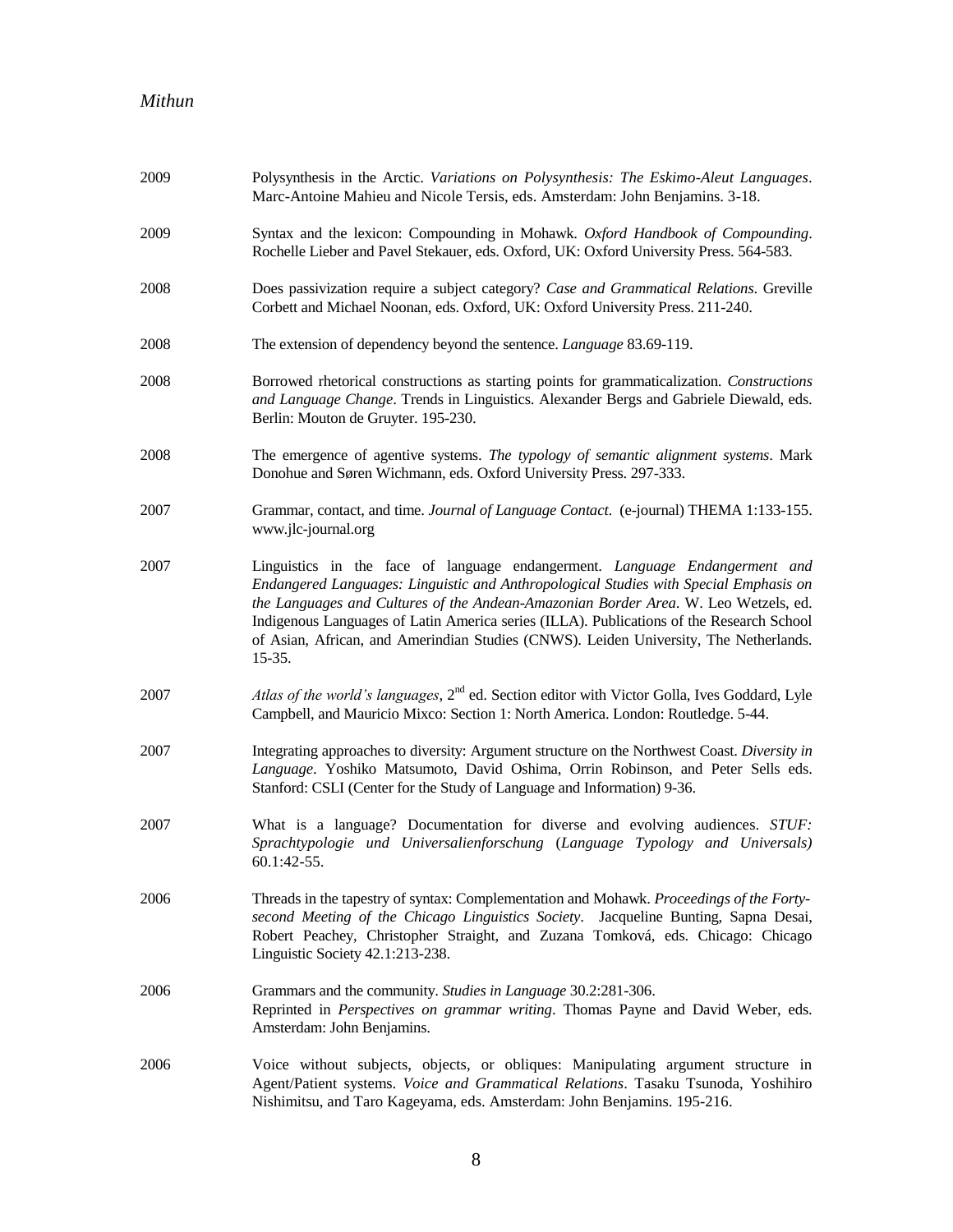| 2009 | Polysynthesis in the Arctic. Variations on Polysynthesis: The Eskimo-Aleut Languages.<br>Marc-Antoine Mahieu and Nicole Tersis, eds. Amsterdam: John Benjamins. 3-18.                                                                                                                                                                                                                                                                                        |
|------|--------------------------------------------------------------------------------------------------------------------------------------------------------------------------------------------------------------------------------------------------------------------------------------------------------------------------------------------------------------------------------------------------------------------------------------------------------------|
| 2009 | Syntax and the lexicon: Compounding in Mohawk. Oxford Handbook of Compounding.<br>Rochelle Lieber and Pavel Stekauer, eds. Oxford, UK: Oxford University Press. 564-583.                                                                                                                                                                                                                                                                                     |
| 2008 | Does passivization require a subject category? Case and Grammatical Relations. Greville<br>Corbett and Michael Noonan, eds. Oxford, UK: Oxford University Press. 211-240.                                                                                                                                                                                                                                                                                    |
| 2008 | The extension of dependency beyond the sentence. Language 83.69-119.                                                                                                                                                                                                                                                                                                                                                                                         |
| 2008 | Borrowed rhetorical constructions as starting points for grammaticalization. Constructions<br>and Language Change. Trends in Linguistics. Alexander Bergs and Gabriele Diewald, eds.<br>Berlin: Mouton de Gruyter. 195-230.                                                                                                                                                                                                                                  |
| 2008 | The emergence of agentive systems. The typology of semantic alignment systems. Mark<br>Donohue and Søren Wichmann, eds. Oxford University Press. 297-333.                                                                                                                                                                                                                                                                                                    |
| 2007 | Grammar, contact, and time. Journal of Language Contact. (e-journal) THEMA 1:133-155.<br>www.jlc-journal.org                                                                                                                                                                                                                                                                                                                                                 |
| 2007 | Linguistics in the face of language endangerment. Language Endangerment and<br>Endangered Languages: Linguistic and Anthropological Studies with Special Emphasis on<br>the Languages and Cultures of the Andean-Amazonian Border Area. W. Leo Wetzels, ed.<br>Indigenous Languages of Latin America series (ILLA). Publications of the Research School<br>of Asian, African, and Amerindian Studies (CNWS). Leiden University, The Netherlands.<br>$15-35.$ |
| 2007 | Atlas of the world's languages, $2^{nd}$ ed. Section editor with Victor Golla, Ives Goddard, Lyle<br>Campbell, and Mauricio Mixco: Section 1: North America. London: Routledge. 5-44.                                                                                                                                                                                                                                                                        |
| 2007 | Integrating approaches to diversity: Argument structure on the Northwest Coast. Diversity in<br>Language. Yoshiko Matsumoto, David Oshima, Orrin Robinson, and Peter Sells eds.<br>Stanford: CSLI (Center for the Study of Language and Information) 9-36.                                                                                                                                                                                                   |
| 2007 | What is a language? Documentation for diverse and evolving audiences. STUF:<br>Sprachtypologie und Universalienforschung (Language Typology and Universals)<br>60.1:42-55.                                                                                                                                                                                                                                                                                   |
| 2006 | Threads in the tapestry of syntax: Complementation and Mohawk. Proceedings of the Forty-<br>second Meeting of the Chicago Linguistics Society. Jacqueline Bunting, Sapna Desai,<br>Robert Peachey, Christopher Straight, and Zuzana Tomková, eds. Chicago: Chicago<br>Linguistic Society 42.1:213-238.                                                                                                                                                       |
| 2006 | Grammars and the community. Studies in Language 30.2:281-306.<br>Reprinted in Perspectives on grammar writing. Thomas Payne and David Weber, eds.<br>Amsterdam: John Benjamins.                                                                                                                                                                                                                                                                              |
| 2006 | Voice without subjects, objects, or obliques: Manipulating argument structure in<br>Agent/Patient systems. Voice and Grammatical Relations. Tasaku Tsunoda, Yoshihiro<br>Nishimitsu, and Taro Kageyama, eds. Amsterdam: John Benjamins. 195-216.                                                                                                                                                                                                             |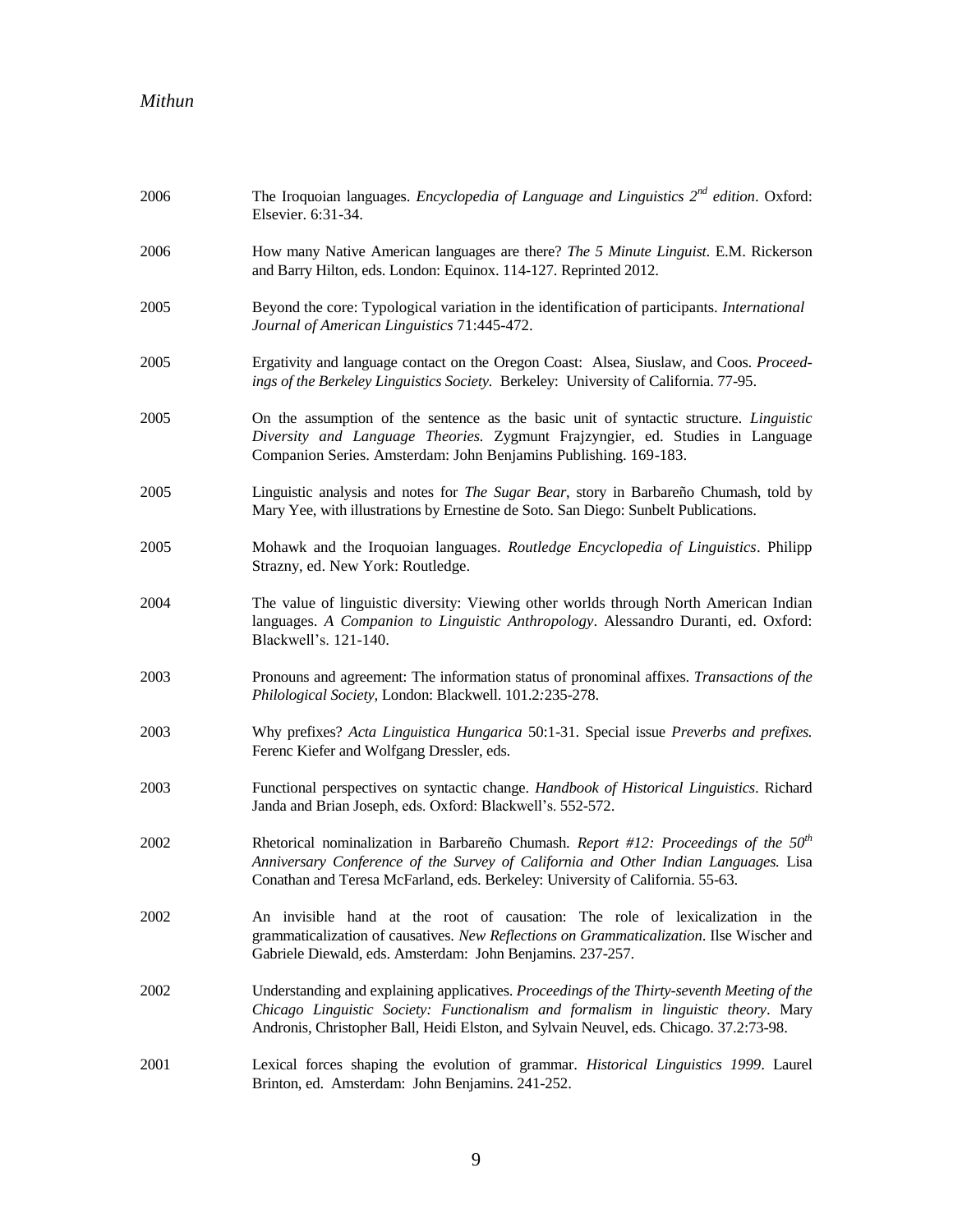| 2006 | The Iroquoian languages. <i>Encyclopedia of Language and Linguistics</i> $2^{nd}$ <i>edition.</i> Oxford:<br>Elsevier. 6:31-34.                                                                                                                                              |
|------|------------------------------------------------------------------------------------------------------------------------------------------------------------------------------------------------------------------------------------------------------------------------------|
| 2006 | How many Native American languages are there? The 5 Minute Linguist. E.M. Rickerson<br>and Barry Hilton, eds. London: Equinox. 114-127. Reprinted 2012.                                                                                                                      |
| 2005 | Beyond the core: Typological variation in the identification of participants. International<br>Journal of American Linguistics 71:445-472.                                                                                                                                   |
| 2005 | Ergativity and language contact on the Oregon Coast: Alsea, Siuslaw, and Coos. Proceed-<br>ings of the Berkeley Linguistics Society. Berkeley: University of California. 77-95.                                                                                              |
| 2005 | On the assumption of the sentence as the basic unit of syntactic structure. Linguistic<br>Diversity and Language Theories. Zygmunt Frajzyngier, ed. Studies in Language<br>Companion Series. Amsterdam: John Benjamins Publishing. 169-183.                                  |
| 2005 | Linguistic analysis and notes for <i>The Sugar Bear</i> , story in Barbareño Chumash, told by<br>Mary Yee, with illustrations by Ernestine de Soto. San Diego: Sunbelt Publications.                                                                                         |
| 2005 | Mohawk and the Iroquoian languages. Routledge Encyclopedia of Linguistics. Philipp<br>Strazny, ed. New York: Routledge.                                                                                                                                                      |
| 2004 | The value of linguistic diversity: Viewing other worlds through North American Indian<br>languages. A Companion to Linguistic Anthropology. Alessandro Duranti, ed. Oxford:<br>Blackwell's. 121-140.                                                                         |
| 2003 | Pronouns and agreement: The information status of pronominal affixes. Transactions of the<br>Philological Society, London: Blackwell. 101.2:235-278.                                                                                                                         |
| 2003 | Why prefixes? Acta Linguistica Hungarica 50:1-31. Special issue Preverbs and prefixes.<br>Ferenc Kiefer and Wolfgang Dressler, eds.                                                                                                                                          |
| 2003 | Functional perspectives on syntactic change. Handbook of Historical Linguistics. Richard<br>Janda and Brian Joseph, eds. Oxford: Blackwell's. 552-572.                                                                                                                       |
| 2002 | Rhetorical nominalization in Barbareño Chumash. Report #12: Proceedings of the $50th$<br>Anniversary Conference of the Survey of California and Other Indian Languages. Lisa<br>Conathan and Teresa McFarland, eds. Berkeley: University of California. 55-63.               |
| 2002 | An invisible hand at the root of causation: The role of lexicalization in the<br>grammaticalization of causatives. New Reflections on Grammaticalization. Ilse Wischer and<br>Gabriele Diewald, eds. Amsterdam: John Benjamins. 237-257.                                     |
| 2002 | Understanding and explaining applicatives. Proceedings of the Thirty-seventh Meeting of the<br>Chicago Linguistic Society: Functionalism and formalism in linguistic theory. Mary<br>Andronis, Christopher Ball, Heidi Elston, and Sylvain Neuvel, eds. Chicago. 37.2:73-98. |
| 2001 | Lexical forces shaping the evolution of grammar. Historical Linguistics 1999. Laurel<br>Brinton, ed. Amsterdam: John Benjamins. 241-252.                                                                                                                                     |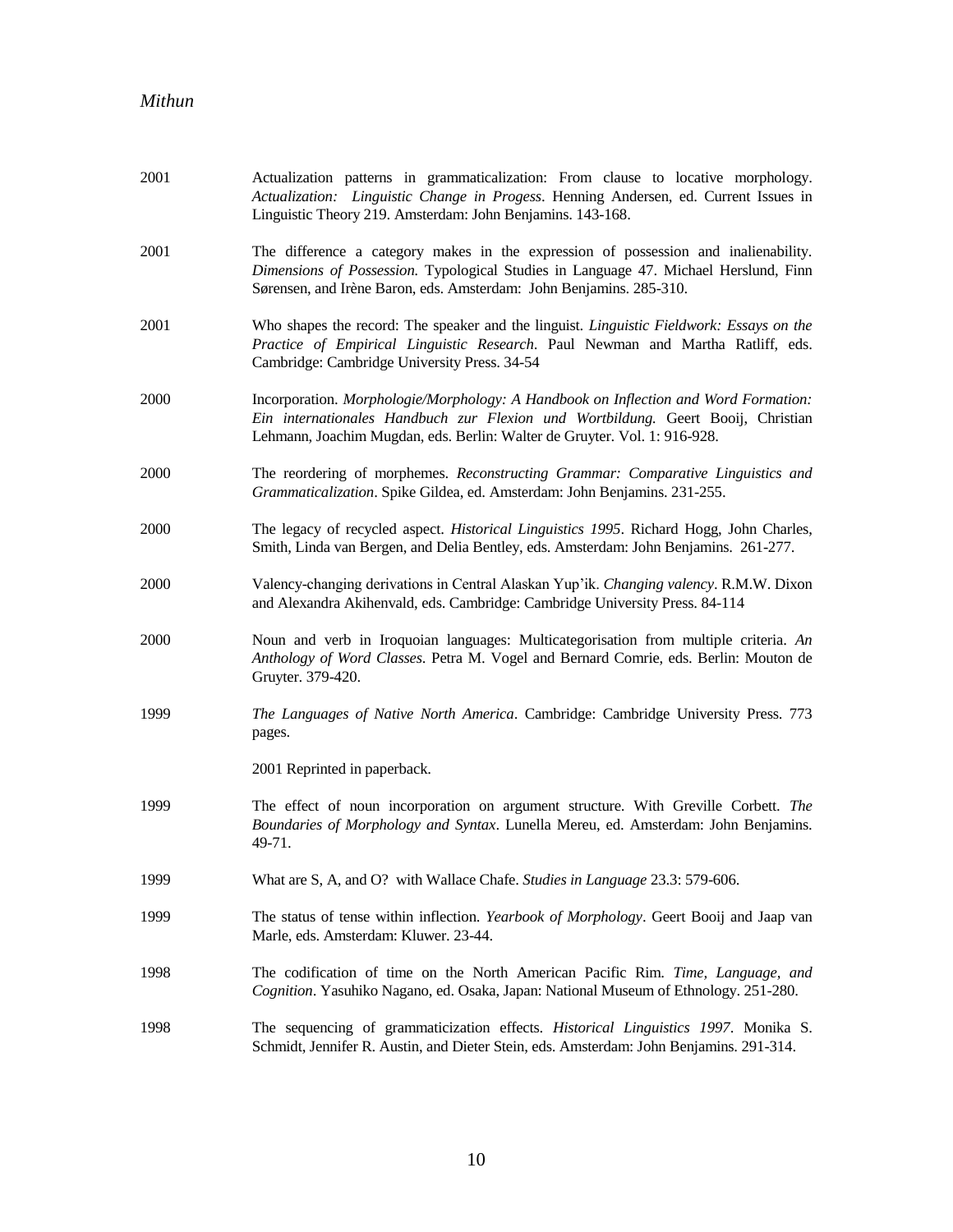| 2001 | Actualization patterns in grammaticalization: From clause to locative morphology.<br>Actualization: Linguistic Change in Progess. Henning Andersen, ed. Current Issues in<br>Linguistic Theory 219. Amsterdam: John Benjamins. 143-168.              |
|------|------------------------------------------------------------------------------------------------------------------------------------------------------------------------------------------------------------------------------------------------------|
| 2001 | The difference a category makes in the expression of possession and inalienability.<br>Dimensions of Possession. Typological Studies in Language 47. Michael Herslund, Finn<br>Sørensen, and Irène Baron, eds. Amsterdam: John Benjamins. 285-310.   |
| 2001 | Who shapes the record: The speaker and the linguist. <i>Linguistic Fieldwork: Essays on the</i><br>Practice of Empirical Linguistic Research. Paul Newman and Martha Ratliff, eds.<br>Cambridge: Cambridge University Press. 34-54                   |
| 2000 | Incorporation. Morphologie/Morphology: A Handbook on Inflection and Word Formation:<br>Ein internationales Handbuch zur Flexion und Wortbildung. Geert Booij, Christian<br>Lehmann, Joachim Mugdan, eds. Berlin: Walter de Gruyter. Vol. 1: 916-928. |
| 2000 | The reordering of morphemes. Reconstructing Grammar: Comparative Linguistics and<br>Grammaticalization. Spike Gildea, ed. Amsterdam: John Benjamins. 231-255.                                                                                        |
| 2000 | The legacy of recycled aspect. Historical Linguistics 1995. Richard Hogg, John Charles,<br>Smith, Linda van Bergen, and Delia Bentley, eds. Amsterdam: John Benjamins. 261-277.                                                                      |
| 2000 | Valency-changing derivations in Central Alaskan Yup'ik. Changing valency. R.M.W. Dixon<br>and Alexandra Akihenvald, eds. Cambridge: Cambridge University Press. 84-114                                                                               |
| 2000 | Noun and verb in Iroquoian languages: Multicategorisation from multiple criteria. An<br>Anthology of Word Classes. Petra M. Vogel and Bernard Comrie, eds. Berlin: Mouton de<br>Gruyter. 379-420.                                                    |
| 1999 | The Languages of Native North America. Cambridge: Cambridge University Press. 773<br>pages.                                                                                                                                                          |
|      | 2001 Reprinted in paperback.                                                                                                                                                                                                                         |
| 1999 | The effect of noun incorporation on argument structure. With Greville Corbett. The<br>Boundaries of Morphology and Syntax. Lunella Mereu, ed. Amsterdam: John Benjamins.<br>49-71.                                                                   |
| 1999 | What are S, A, and O? with Wallace Chafe. Studies in Language 23.3: 579-606.                                                                                                                                                                         |
| 1999 | The status of tense within inflection. Yearbook of Morphology. Geert Booij and Jaap van<br>Marle, eds. Amsterdam: Kluwer. 23-44.                                                                                                                     |
| 1998 | The codification of time on the North American Pacific Rim. Time, Language, and<br>Cognition. Yasuhiko Nagano, ed. Osaka, Japan: National Museum of Ethnology. 251-280.                                                                              |
| 1998 | The sequencing of grammaticization effects. <i>Historical Linguistics 1997</i> . Monika S.<br>Schmidt, Jennifer R. Austin, and Dieter Stein, eds. Amsterdam: John Benjamins. 291-314.                                                                |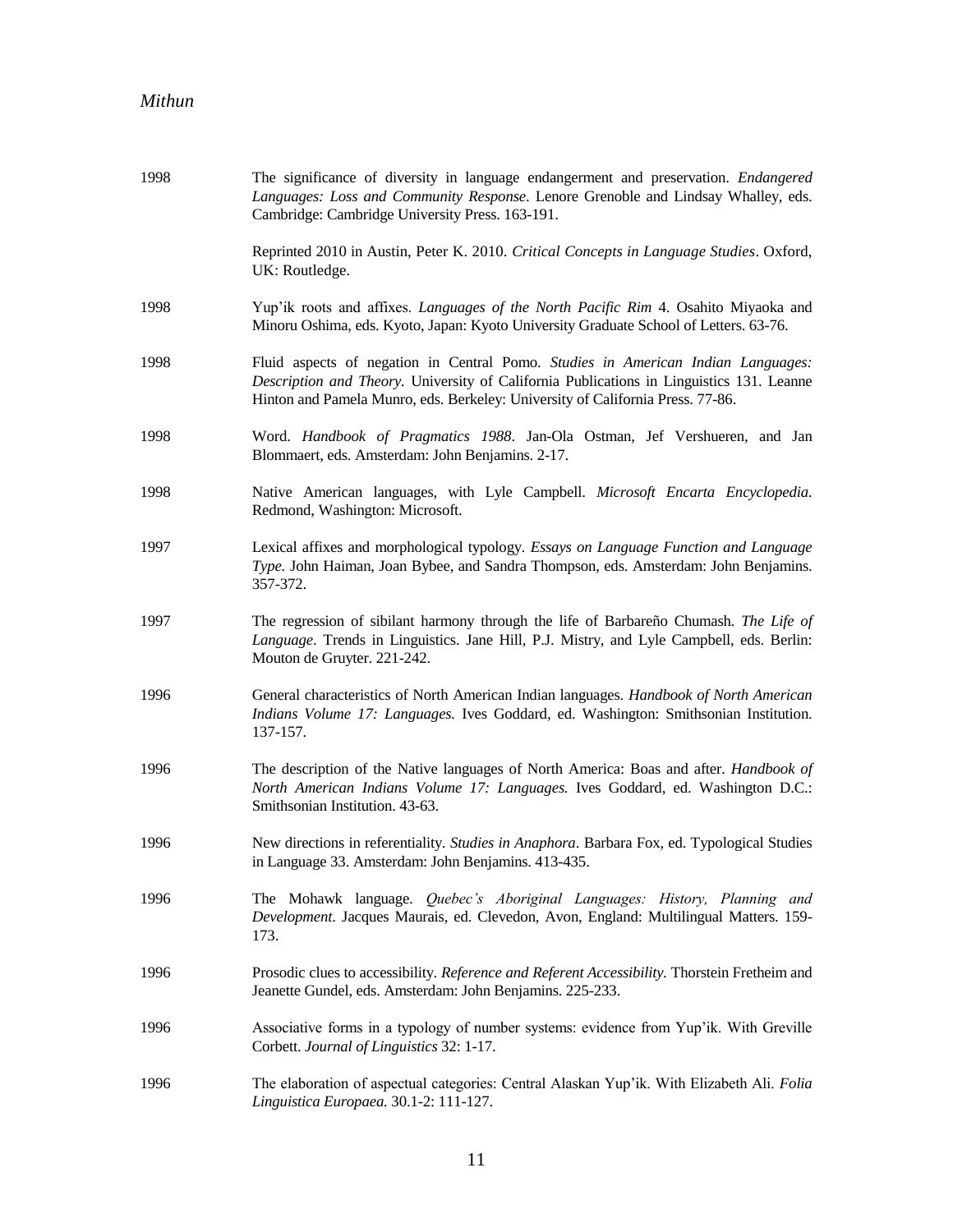| 1998 | The significance of diversity in language endangerment and preservation. <i>Endangered</i><br>Languages: Loss and Community Response. Lenore Grenoble and Lindsay Whalley, eds.<br>Cambridge: Cambridge University Press. 163-191.                             |
|------|----------------------------------------------------------------------------------------------------------------------------------------------------------------------------------------------------------------------------------------------------------------|
|      | Reprinted 2010 in Austin, Peter K. 2010. Critical Concepts in Language Studies. Oxford,<br>UK: Routledge.                                                                                                                                                      |
| 1998 | Yup'ik roots and affixes. Languages of the North Pacific Rim 4. Osahito Miyaoka and<br>Minoru Oshima, eds. Kyoto, Japan: Kyoto University Graduate School of Letters. 63-76.                                                                                   |
| 1998 | Fluid aspects of negation in Central Pomo. Studies in American Indian Languages:<br>Description and Theory. University of California Publications in Linguistics 131. Leanne<br>Hinton and Pamela Munro, eds. Berkeley: University of California Press. 77-86. |
| 1998 | Word. Handbook of Pragmatics 1988. Jan-Ola Ostman, Jef Vershueren, and Jan<br>Blommaert, eds. Amsterdam: John Benjamins. 2-17.                                                                                                                                 |
| 1998 | Native American languages, with Lyle Campbell. Microsoft Encarta Encyclopedia.<br>Redmond, Washington: Microsoft.                                                                                                                                              |
| 1997 | Lexical affixes and morphological typology. Essays on Language Function and Language<br>Type. John Haiman, Joan Bybee, and Sandra Thompson, eds. Amsterdam: John Benjamins.<br>357-372.                                                                        |
| 1997 | The regression of sibilant harmony through the life of Barbareño Chumash. The Life of<br>Language. Trends in Linguistics. Jane Hill, P.J. Mistry, and Lyle Campbell, eds. Berlin:<br>Mouton de Gruyter. 221-242.                                               |
| 1996 | General characteristics of North American Indian languages. Handbook of North American<br>Indians Volume 17: Languages. Ives Goddard, ed. Washington: Smithsonian Institution.<br>137-157.                                                                     |
| 1996 | The description of the Native languages of North America: Boas and after. Handbook of<br>North American Indians Volume 17: Languages. Ives Goddard, ed. Washington D.C.:<br>Smithsonian Institution. 43-63.                                                    |
| 1996 | New directions in referentiality. Studies in Anaphora. Barbara Fox, ed. Typological Studies<br>in Language 33. Amsterdam: John Benjamins. 413-435.                                                                                                             |
| 1996 | The Mohawk language. Quebec's Aboriginal Languages: History, Planning and<br>Development. Jacques Maurais, ed. Clevedon, Avon, England: Multilingual Matters. 159-<br>173.                                                                                     |
| 1996 | Prosodic clues to accessibility. Reference and Referent Accessibility. Thorstein Fretheim and<br>Jeanette Gundel, eds. Amsterdam: John Benjamins. 225-233.                                                                                                     |
| 1996 | Associative forms in a typology of number systems: evidence from Yup'ik. With Greville<br>Corbett. Journal of Linguistics 32: 1-17.                                                                                                                            |
| 1996 | The elaboration of aspectual categories: Central Alaskan Yup'ik. With Elizabeth Ali. Folia<br>Linguistica Europaea. 30.1-2: 111-127.                                                                                                                           |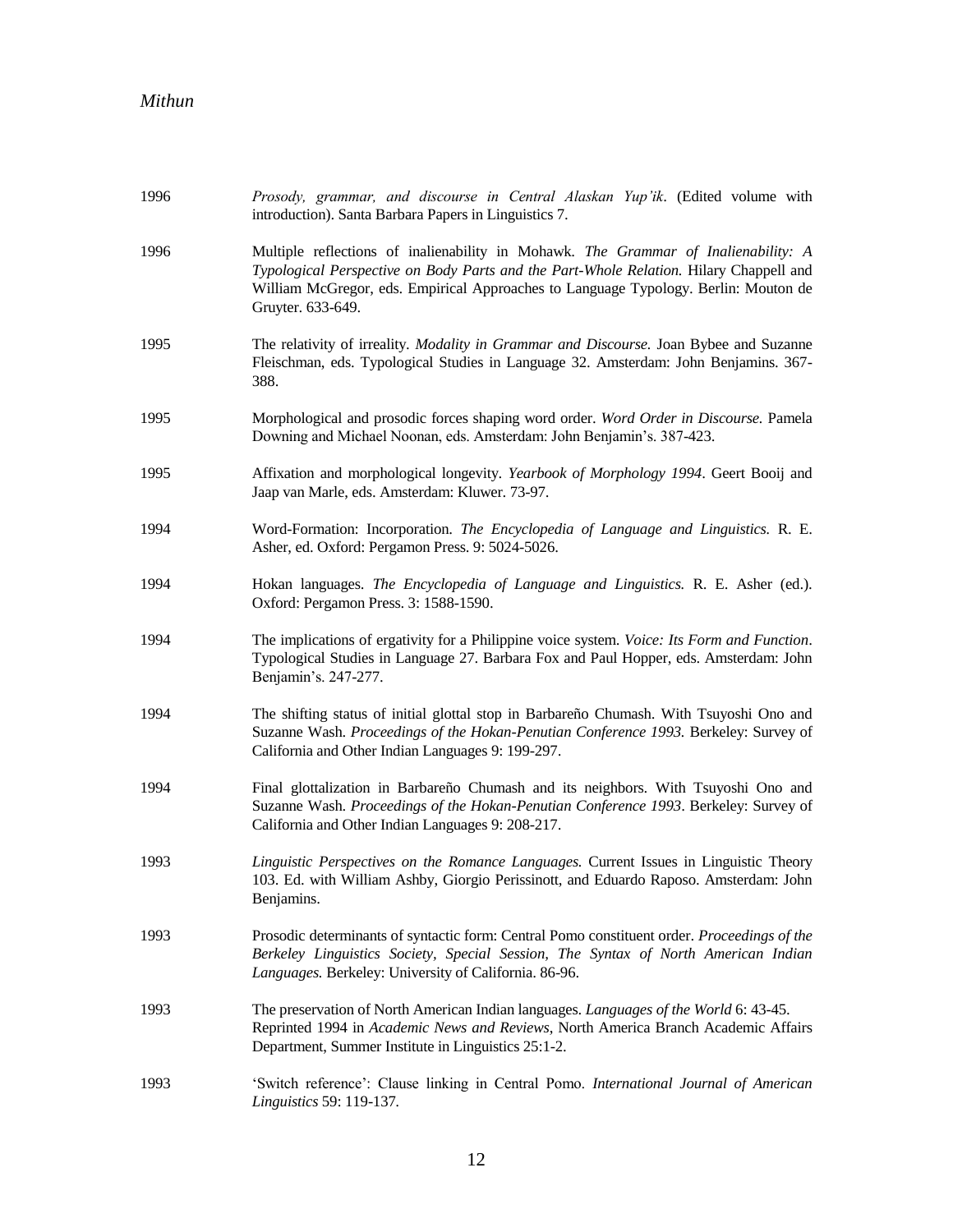| 1996 | Prosody, grammar, and discourse in Central Alaskan Yup'ik. (Edited volume with<br>introduction). Santa Barbara Papers in Linguistics 7.                                                                                                                                                  |
|------|------------------------------------------------------------------------------------------------------------------------------------------------------------------------------------------------------------------------------------------------------------------------------------------|
| 1996 | Multiple reflections of inalienability in Mohawk. The Grammar of Inalienability: A<br>Typological Perspective on Body Parts and the Part-Whole Relation. Hilary Chappell and<br>William McGregor, eds. Empirical Approaches to Language Typology. Berlin: Mouton de<br>Gruyter. 633-649. |
| 1995 | The relativity of irreality. <i>Modality in Grammar and Discourse</i> . Joan Bybee and Suzanne<br>Fleischman, eds. Typological Studies in Language 32. Amsterdam: John Benjamins. 367-<br>388.                                                                                           |
| 1995 | Morphological and prosodic forces shaping word order. Word Order in Discourse. Pamela<br>Downing and Michael Noonan, eds. Amsterdam: John Benjamin's. 387-423.                                                                                                                           |
| 1995 | Affixation and morphological longevity. Yearbook of Morphology 1994. Geert Booij and<br>Jaap van Marle, eds. Amsterdam: Kluwer. 73-97.                                                                                                                                                   |
| 1994 | Word-Formation: Incorporation. The Encyclopedia of Language and Linguistics. R. E.<br>Asher, ed. Oxford: Pergamon Press. 9: 5024-5026.                                                                                                                                                   |
| 1994 | Hokan languages. The Encyclopedia of Language and Linguistics. R. E. Asher (ed.).<br>Oxford: Pergamon Press. 3: 1588-1590.                                                                                                                                                               |
| 1994 | The implications of ergativity for a Philippine voice system. Voice: Its Form and Function.<br>Typological Studies in Language 27. Barbara Fox and Paul Hopper, eds. Amsterdam: John<br>Benjamin's. 247-277.                                                                             |
| 1994 | The shifting status of initial glottal stop in Barbareño Chumash. With Tsuyoshi Ono and<br>Suzanne Wash. Proceedings of the Hokan-Penutian Conference 1993. Berkeley: Survey of<br>California and Other Indian Languages 9: 199-297.                                                     |
| 1994 | Final glottalization in Barbareño Chumash and its neighbors. With Tsuyoshi Ono and<br>Suzanne Wash. Proceedings of the Hokan-Penutian Conference 1993. Berkeley: Survey of<br>California and Other Indian Languages 9: 208-217.                                                          |
| 1993 | Linguistic Perspectives on the Romance Languages. Current Issues in Linguistic Theory<br>103. Ed. with William Ashby, Giorgio Perissinott, and Eduardo Raposo. Amsterdam: John<br>Benjamins.                                                                                             |
| 1993 | Prosodic determinants of syntactic form: Central Pomo constituent order. Proceedings of the<br>Berkeley Linguistics Society, Special Session, The Syntax of North American Indian<br>Languages. Berkeley: University of California. 86-96.                                               |
| 1993 | The preservation of North American Indian languages. Languages of the World 6: 43-45.<br>Reprinted 1994 in Academic News and Reviews, North America Branch Academic Affairs<br>Department, Summer Institute in Linguistics 25:1-2.                                                       |
| 1993 | 'Switch reference': Clause linking in Central Pomo. International Journal of American<br>Linguistics 59: 119-137.                                                                                                                                                                        |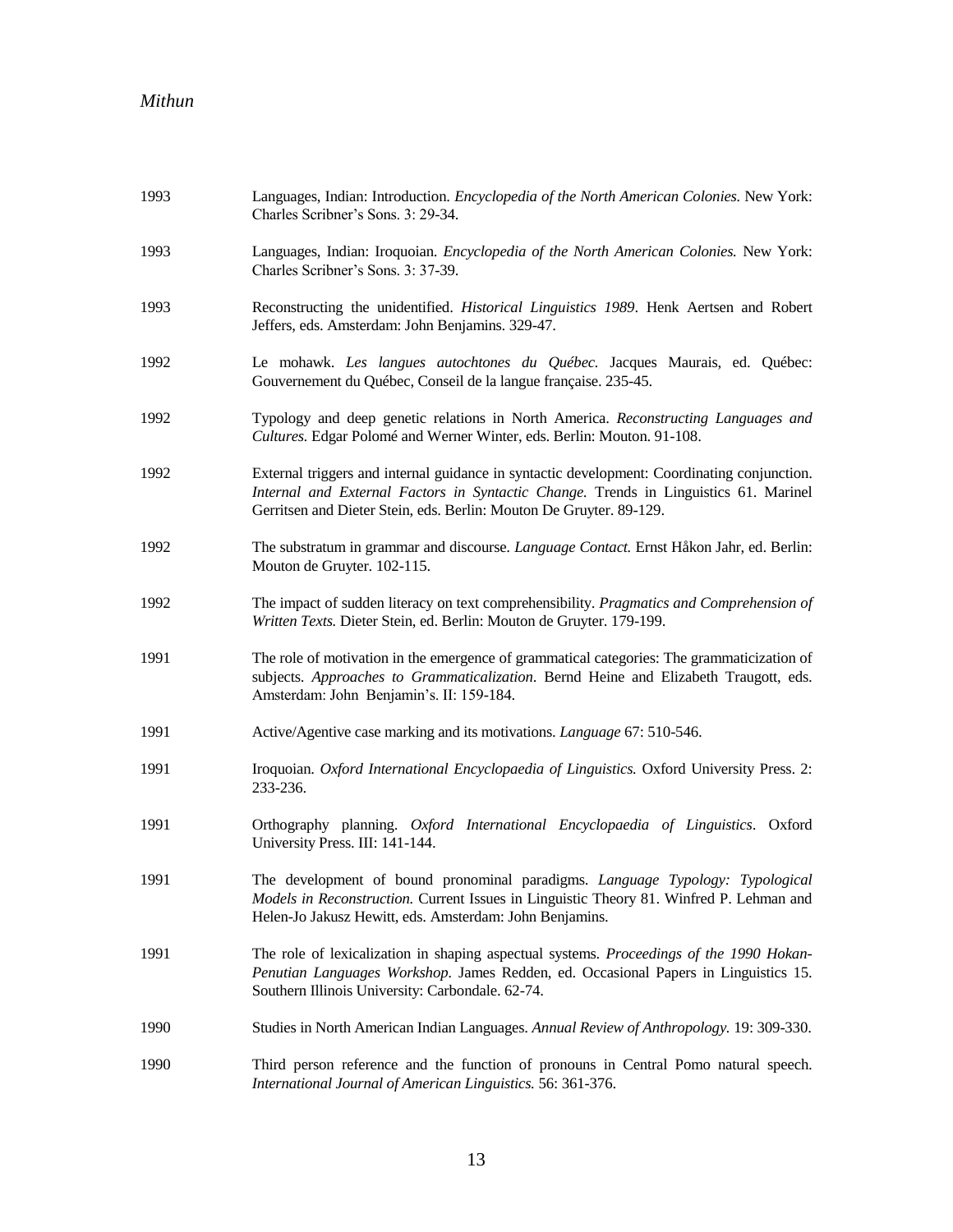| 1993 | Languages, Indian: Introduction. Encyclopedia of the North American Colonies. New York:<br>Charles Scribner's Sons. 3: 29-34.                                                                                                                              |
|------|------------------------------------------------------------------------------------------------------------------------------------------------------------------------------------------------------------------------------------------------------------|
| 1993 | Languages, Indian: Iroquoian. <i>Encyclopedia of the North American Colonies</i> . New York:<br>Charles Scribner's Sons. 3: 37-39.                                                                                                                         |
| 1993 | Reconstructing the unidentified. Historical Linguistics 1989. Henk Aertsen and Robert<br>Jeffers, eds. Amsterdam: John Benjamins. 329-47.                                                                                                                  |
| 1992 | Le mohawk. Les langues autochtones du Québec. Jacques Maurais, ed. Québec:<br>Gouvernement du Québec, Conseil de la langue française. 235-45.                                                                                                              |
| 1992 | Typology and deep genetic relations in North America. Reconstructing Languages and<br>Cultures. Edgar Polomé and Werner Winter, eds. Berlin: Mouton. 91-108.                                                                                               |
| 1992 | External triggers and internal guidance in syntactic development: Coordinating conjunction.<br>Internal and External Factors in Syntactic Change. Trends in Linguistics 61. Marinel<br>Gerritsen and Dieter Stein, eds. Berlin: Mouton De Gruyter. 89-129. |
| 1992 | The substratum in grammar and discourse. Language Contact. Ernst Håkon Jahr, ed. Berlin:<br>Mouton de Gruyter. 102-115.                                                                                                                                    |
| 1992 | The impact of sudden literacy on text comprehensibility. Pragmatics and Comprehension of<br>Written Texts. Dieter Stein, ed. Berlin: Mouton de Gruyter. 179-199.                                                                                           |
| 1991 | The role of motivation in the emergence of grammatical categories: The grammaticization of<br>subjects. Approaches to Grammaticalization. Bernd Heine and Elizabeth Traugott, eds.<br>Amsterdam: John Benjamin's. II: 159-184.                             |
| 1991 | Active/Agentive case marking and its motivations. Language 67: 510-546.                                                                                                                                                                                    |
| 1991 | Iroquoian. Oxford International Encyclopaedia of Linguistics. Oxford University Press. 2:<br>233-236.                                                                                                                                                      |
| 1991 | Orthography planning. Oxford International Encyclopaedia of Linguistics. Oxford<br>University Press. III: 141-144.                                                                                                                                         |
| 1991 | The development of bound pronominal paradigms. Language Typology: Typological<br>Models in Reconstruction. Current Issues in Linguistic Theory 81. Winfred P. Lehman and<br>Helen-Jo Jakusz Hewitt, eds. Amsterdam: John Benjamins.                        |
| 1991 | The role of lexicalization in shaping aspectual systems. Proceedings of the 1990 Hokan-<br>Penutian Languages Workshop. James Redden, ed. Occasional Papers in Linguistics 15.<br>Southern Illinois University: Carbondale. 62-74.                         |
| 1990 | Studies in North American Indian Languages. Annual Review of Anthropology. 19: 309-330.                                                                                                                                                                    |
| 1990 | Third person reference and the function of pronouns in Central Pomo natural speech.<br>International Journal of American Linguistics. 56: 361-376.                                                                                                         |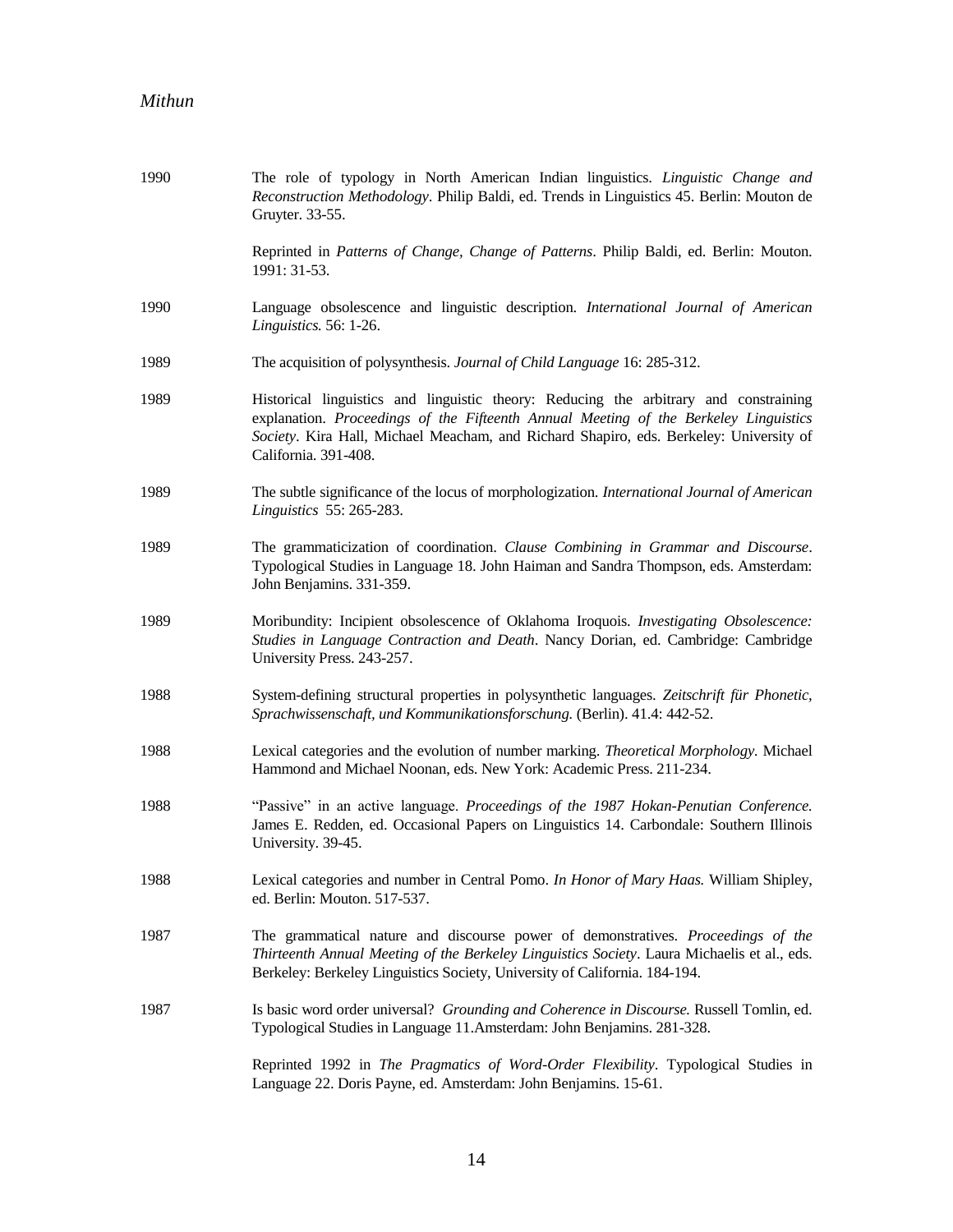| 1990 | The role of typology in North American Indian linguistics. Linguistic Change and<br>Reconstruction Methodology. Philip Baldi, ed. Trends in Linguistics 45. Berlin: Mouton de<br>Gruyter. 33-55.                                                                                                |
|------|-------------------------------------------------------------------------------------------------------------------------------------------------------------------------------------------------------------------------------------------------------------------------------------------------|
|      | Reprinted in Patterns of Change, Change of Patterns. Philip Baldi, ed. Berlin: Mouton.<br>1991: 31-53.                                                                                                                                                                                          |
| 1990 | Language obsolescence and linguistic description. International Journal of American<br>Linguistics. 56: 1-26.                                                                                                                                                                                   |
| 1989 | The acquisition of polysynthesis. Journal of Child Language 16: 285-312.                                                                                                                                                                                                                        |
| 1989 | Historical linguistics and linguistic theory: Reducing the arbitrary and constraining<br>explanation. Proceedings of the Fifteenth Annual Meeting of the Berkeley Linguistics<br>Society. Kira Hall, Michael Meacham, and Richard Shapiro, eds. Berkeley: University of<br>California. 391-408. |
| 1989 | The subtle significance of the locus of morphologization. International Journal of American<br>Linguistics 55: 265-283.                                                                                                                                                                         |
| 1989 | The grammaticization of coordination. Clause Combining in Grammar and Discourse.<br>Typological Studies in Language 18. John Haiman and Sandra Thompson, eds. Amsterdam:<br>John Benjamins. 331-359.                                                                                            |
| 1989 | Moribundity: Incipient obsolescence of Oklahoma Iroquois. Investigating Obsolescence:<br>Studies in Language Contraction and Death. Nancy Dorian, ed. Cambridge: Cambridge<br>University Press. 243-257.                                                                                        |
| 1988 | System-defining structural properties in polysynthetic languages. Zeitschrift für Phonetic,<br>Sprachwissenschaft, und Kommunikationsforschung. (Berlin). 41.4: 442-52.                                                                                                                         |
| 1988 | Lexical categories and the evolution of number marking. Theoretical Morphology. Michael<br>Hammond and Michael Noonan, eds. New York: Academic Press. 211-234.                                                                                                                                  |
| 1988 | "Passive" in an active language. Proceedings of the 1987 Hokan-Penutian Conference.<br>James E. Redden, ed. Occasional Papers on Linguistics 14. Carbondale: Southern Illinois<br>University. 39-45.                                                                                            |
| 1988 | Lexical categories and number in Central Pomo. In Honor of Mary Haas. William Shipley,<br>ed. Berlin: Mouton. 517-537.                                                                                                                                                                          |
| 1987 | The grammatical nature and discourse power of demonstratives. Proceedings of the<br>Thirteenth Annual Meeting of the Berkeley Linguistics Society. Laura Michaelis et al., eds.<br>Berkeley: Berkeley Linguistics Society, University of California. 184-194.                                   |
| 1987 | Is basic word order universal? Grounding and Coherence in Discourse. Russell Tomlin, ed.<br>Typological Studies in Language 11.Amsterdam: John Benjamins. 281-328.                                                                                                                              |
|      | Reprinted 1992 in The Pragmatics of Word-Order Flexibility. Typological Studies in<br>Language 22. Doris Payne, ed. Amsterdam: John Benjamins. 15-61.                                                                                                                                           |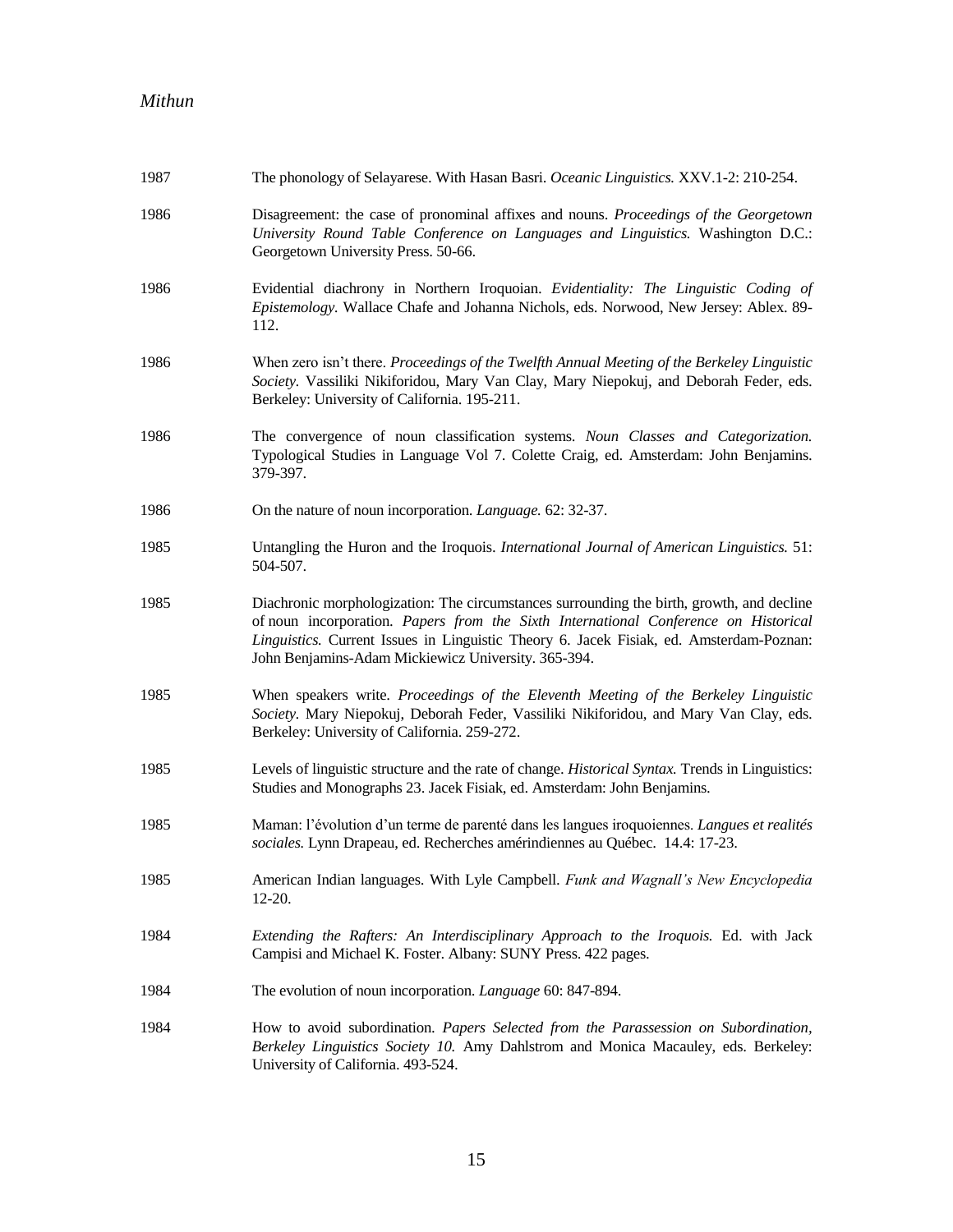| 1987 | The phonology of Selayarese. With Hasan Basri. Oceanic Linguistics. XXV.1-2: 210-254.                                                                                                                                                                                                                                              |
|------|------------------------------------------------------------------------------------------------------------------------------------------------------------------------------------------------------------------------------------------------------------------------------------------------------------------------------------|
| 1986 | Disagreement: the case of pronominal affixes and nouns. Proceedings of the Georgetown<br>University Round Table Conference on Languages and Linguistics. Washington D.C.:<br>Georgetown University Press. 50-66.                                                                                                                   |
| 1986 | Evidential diachrony in Northern Iroquoian. Evidentiality: The Linguistic Coding of<br>Epistemology. Wallace Chafe and Johanna Nichols, eds. Norwood, New Jersey: Ablex. 89-<br>112.                                                                                                                                               |
| 1986 | When zero isn't there. Proceedings of the Twelfth Annual Meeting of the Berkeley Linguistic<br>Society. Vassiliki Nikiforidou, Mary Van Clay, Mary Niepokuj, and Deborah Feder, eds.<br>Berkeley: University of California. 195-211.                                                                                               |
| 1986 | The convergence of noun classification systems. Noun Classes and Categorization.<br>Typological Studies in Language Vol 7. Colette Craig, ed. Amsterdam: John Benjamins.<br>379-397.                                                                                                                                               |
| 1986 | On the nature of noun incorporation. Language. 62: 32-37.                                                                                                                                                                                                                                                                          |
| 1985 | Untangling the Huron and the Iroquois. International Journal of American Linguistics. 51:<br>504-507.                                                                                                                                                                                                                              |
| 1985 | Diachronic morphologization: The circumstances surrounding the birth, growth, and decline<br>of noun incorporation. Papers from the Sixth International Conference on Historical<br>Linguistics. Current Issues in Linguistic Theory 6. Jacek Fisiak, ed. Amsterdam-Poznan:<br>John Benjamins-Adam Mickiewicz University. 365-394. |
| 1985 | When speakers write. Proceedings of the Eleventh Meeting of the Berkeley Linguistic<br>Society. Mary Niepokuj, Deborah Feder, Vassiliki Nikiforidou, and Mary Van Clay, eds.<br>Berkeley: University of California. 259-272.                                                                                                       |
| 1985 | Levels of linguistic structure and the rate of change. Historical Syntax. Trends in Linguistics:<br>Studies and Monographs 23. Jacek Fisiak, ed. Amsterdam: John Benjamins.                                                                                                                                                        |
| 1985 | Maman: l'évolution d'un terme de parenté dans les langues iroquoiennes. Langues et realités<br>sociales. Lynn Drapeau, ed. Recherches amérindiennes au Québec. 14.4: 17-23.                                                                                                                                                        |
| 1985 | American Indian languages. With Lyle Campbell. Funk and Wagnall's New Encyclopedia<br>$12-20.$                                                                                                                                                                                                                                     |
| 1984 | Extending the Rafters: An Interdisciplinary Approach to the Iroquois. Ed. with Jack<br>Campisi and Michael K. Foster. Albany: SUNY Press. 422 pages.                                                                                                                                                                               |
| 1984 | The evolution of noun incorporation. Language 60: 847-894.                                                                                                                                                                                                                                                                         |
| 1984 | How to avoid subordination. Papers Selected from the Parassession on Subordination,<br>Berkeley Linguistics Society 10. Amy Dahlstrom and Monica Macauley, eds. Berkeley:<br>University of California. 493-524.                                                                                                                    |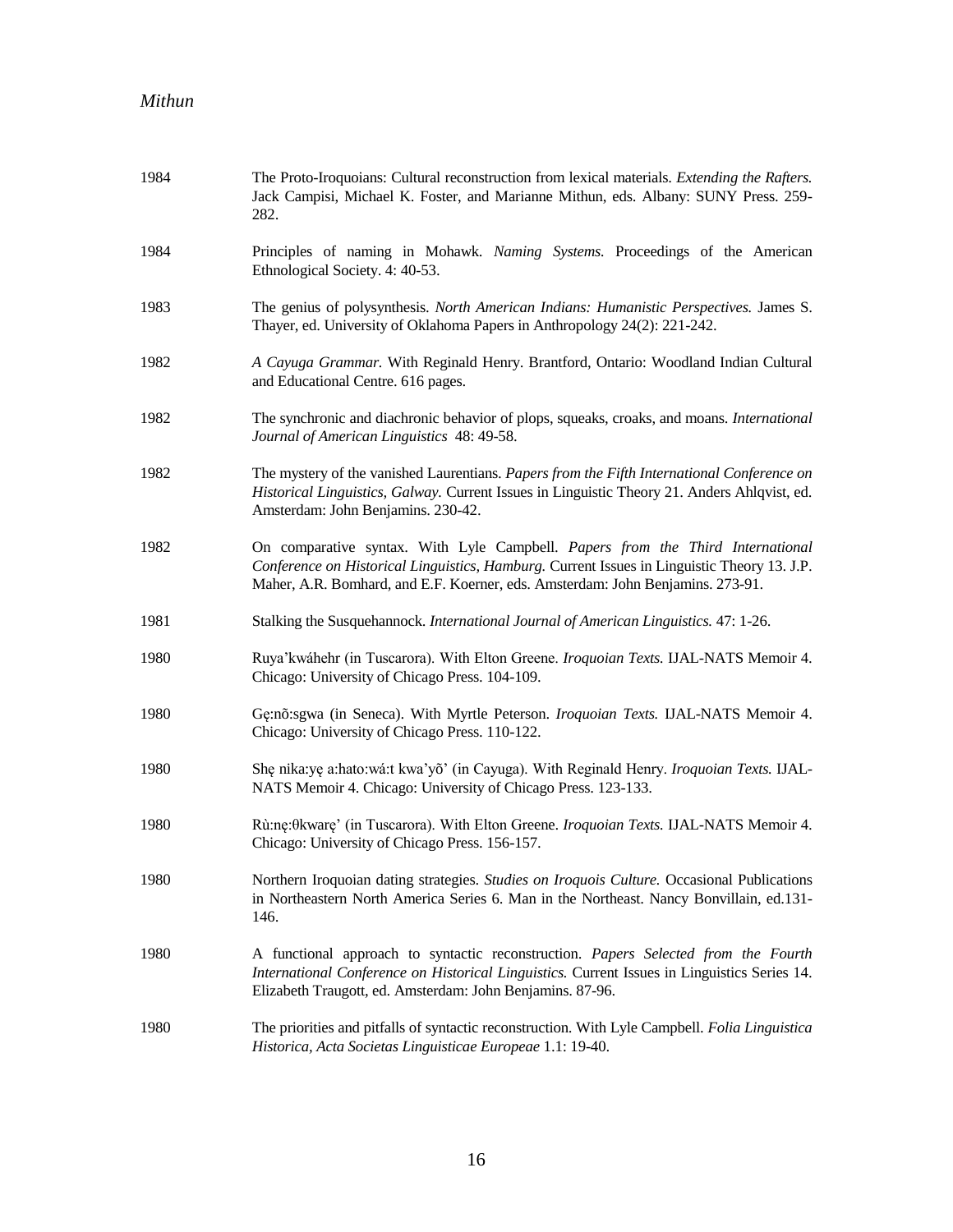| 1984 | The Proto-Iroquoians: Cultural reconstruction from lexical materials. <i>Extending the Rafters</i> .<br>Jack Campisi, Michael K. Foster, and Marianne Mithun, eds. Albany: SUNY Press. 259-<br>282.                                                             |
|------|-----------------------------------------------------------------------------------------------------------------------------------------------------------------------------------------------------------------------------------------------------------------|
| 1984 | Principles of naming in Mohawk. Naming Systems. Proceedings of the American<br>Ethnological Society. 4: 40-53.                                                                                                                                                  |
| 1983 | The genius of polysynthesis. North American Indians: Humanistic Perspectives. James S.<br>Thayer, ed. University of Oklahoma Papers in Anthropology 24(2): 221-242.                                                                                             |
| 1982 | A Cayuga Grammar. With Reginald Henry. Brantford, Ontario: Woodland Indian Cultural<br>and Educational Centre. 616 pages.                                                                                                                                       |
| 1982 | The synchronic and diachronic behavior of plops, squeaks, croaks, and moans. International<br>Journal of American Linguistics 48: 49-58.                                                                                                                        |
| 1982 | The mystery of the vanished Laurentians. Papers from the Fifth International Conference on<br>Historical Linguistics, Galway. Current Issues in Linguistic Theory 21. Anders Ahlqvist, ed.<br>Amsterdam: John Benjamins. 230-42.                                |
| 1982 | On comparative syntax. With Lyle Campbell. Papers from the Third International<br>Conference on Historical Linguistics, Hamburg. Current Issues in Linguistic Theory 13. J.P.<br>Maher, A.R. Bomhard, and E.F. Koerner, eds. Amsterdam: John Benjamins. 273-91. |
| 1981 | Stalking the Susquehannock. International Journal of American Linguistics. 47: 1-26.                                                                                                                                                                            |
| 1980 | Ruya'kwáhehr (in Tuscarora). With Elton Greene. Iroquoian Texts. IJAL-NATS Memoir 4.<br>Chicago: University of Chicago Press. 104-109.                                                                                                                          |
| 1980 | Gę:nõ:sgwa (in Seneca). With Myrtle Peterson. Iroquoian Texts. IJAL-NATS Memoir 4.<br>Chicago: University of Chicago Press. 110-122.                                                                                                                            |
| 1980 | She nika:ye a:hato:wá:t kwa'yō' (in Cayuga). With Reginald Henry. Iroquoian Texts. IJAL-<br>NATS Memoir 4. Chicago: University of Chicago Press. 123-133.                                                                                                       |
| 1980 | Rù:ne:0kware' (in Tuscarora). With Elton Greene. Iroquoian Texts. IJAL-NATS Memoir 4.<br>Chicago: University of Chicago Press. 156-157.                                                                                                                         |
| 1980 | Northern Iroquoian dating strategies. Studies on Iroquois Culture. Occasional Publications<br>in Northeastern North America Series 6. Man in the Northeast. Nancy Bonvillain, ed.131-<br>146.                                                                   |
| 1980 | A functional approach to syntactic reconstruction. Papers Selected from the Fourth<br>International Conference on Historical Linguistics. Current Issues in Linguistics Series 14.<br>Elizabeth Traugott, ed. Amsterdam: John Benjamins. 87-96.                 |
| 1980 | The priorities and pitfalls of syntactic reconstruction. With Lyle Campbell. Folia Linguistica<br>Historica, Acta Societas Linguisticae Europeae 1.1: 19-40.                                                                                                    |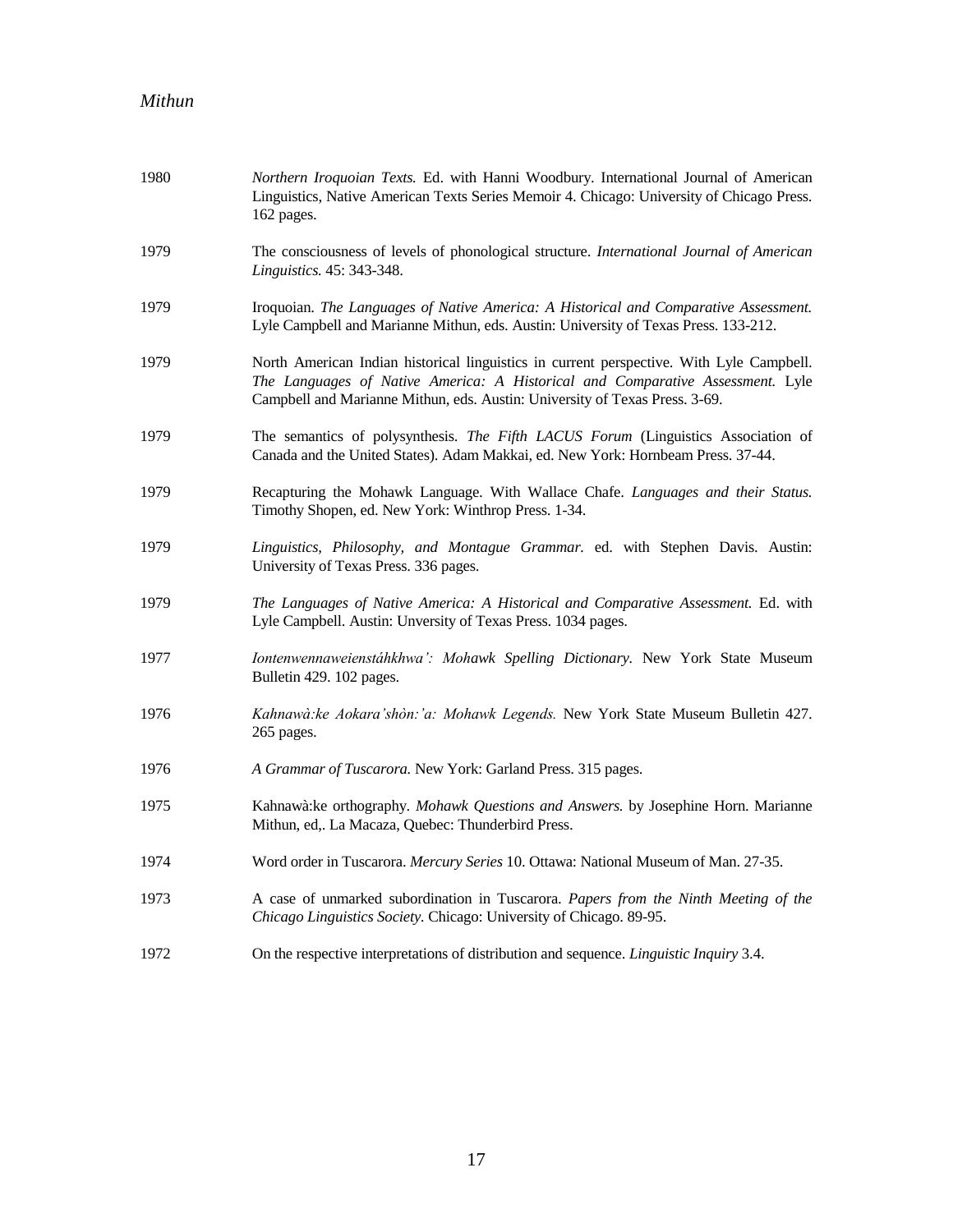| 1980 | Northern Iroquoian Texts. Ed. with Hanni Woodbury. International Journal of American<br>Linguistics, Native American Texts Series Memoir 4. Chicago: University of Chicago Press.<br>162 pages.                                                           |
|------|-----------------------------------------------------------------------------------------------------------------------------------------------------------------------------------------------------------------------------------------------------------|
| 1979 | The consciousness of levels of phonological structure. International Journal of American<br>Linguistics. 45: 343-348.                                                                                                                                     |
| 1979 | Iroquoian. The Languages of Native America: A Historical and Comparative Assessment.<br>Lyle Campbell and Marianne Mithun, eds. Austin: University of Texas Press. 133-212.                                                                               |
| 1979 | North American Indian historical linguistics in current perspective. With Lyle Campbell.<br>The Languages of Native America: A Historical and Comparative Assessment. Lyle<br>Campbell and Marianne Mithun, eds. Austin: University of Texas Press. 3-69. |
| 1979 | The semantics of polysynthesis. The Fifth LACUS Forum (Linguistics Association of<br>Canada and the United States). Adam Makkai, ed. New York: Hornbeam Press. 37-44.                                                                                     |
| 1979 | Recapturing the Mohawk Language. With Wallace Chafe. Languages and their Status.<br>Timothy Shopen, ed. New York: Winthrop Press. 1-34.                                                                                                                   |
| 1979 | Linguistics, Philosophy, and Montague Grammar. ed. with Stephen Davis. Austin:<br>University of Texas Press. 336 pages.                                                                                                                                   |
| 1979 | The Languages of Native America: A Historical and Comparative Assessment. Ed. with<br>Lyle Campbell. Austin: Unversity of Texas Press. 1034 pages.                                                                                                        |
| 1977 | Iontenwennaweienstáhkhwa': Mohawk Spelling Dictionary. New York State Museum<br>Bulletin 429. 102 pages.                                                                                                                                                  |
| 1976 | Kahnawà: ke Aokara'shòn: 'a: Mohawk Legends. New York State Museum Bulletin 427.<br>265 pages.                                                                                                                                                            |
| 1976 | A Grammar of Tuscarora. New York: Garland Press. 315 pages.                                                                                                                                                                                               |
| 1975 | Kahnawà: ke orthography. Mohawk Questions and Answers. by Josephine Horn. Marianne<br>Mithun, ed,. La Macaza, Quebec: Thunderbird Press.                                                                                                                  |
| 1974 | Word order in Tuscarora. Mercury Series 10. Ottawa: National Museum of Man. 27-35.                                                                                                                                                                        |
| 1973 | A case of unmarked subordination in Tuscarora. Papers from the Ninth Meeting of the<br>Chicago Linguistics Society. Chicago: University of Chicago. 89-95.                                                                                                |
| 1972 | On the respective interpretations of distribution and sequence. Linguistic Inquiry 3.4.                                                                                                                                                                   |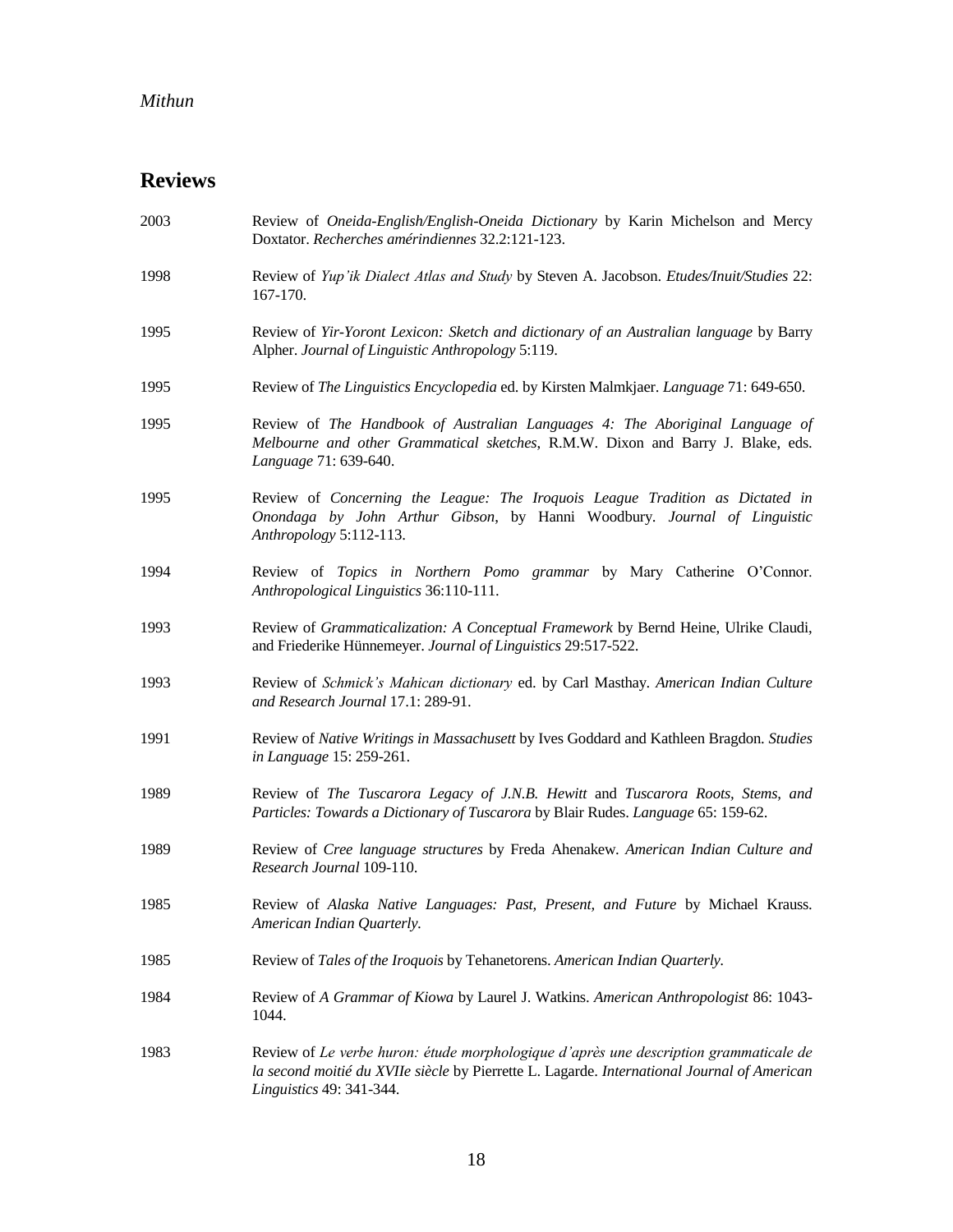# **Reviews**

| 2003 | Review of Oneida-English/English-Oneida Dictionary by Karin Michelson and Mercy<br>Doxtator. Recherches amérindiennes 32.2:121-123.                                                                              |
|------|------------------------------------------------------------------------------------------------------------------------------------------------------------------------------------------------------------------|
| 1998 | Review of Yup'ik Dialect Atlas and Study by Steven A. Jacobson. Etudes/Inuit/Studies 22:<br>167-170.                                                                                                             |
| 1995 | Review of Yir-Yoront Lexicon: Sketch and dictionary of an Australian language by Barry<br>Alpher. Journal of Linguistic Anthropology 5:119.                                                                      |
| 1995 | Review of The Linguistics Encyclopedia ed. by Kirsten Malmkjaer. Language 71: 649-650.                                                                                                                           |
| 1995 | Review of The Handbook of Australian Languages 4: The Aboriginal Language of<br>Melbourne and other Grammatical sketches, R.M.W. Dixon and Barry J. Blake, eds.<br>Language 71: 639-640.                         |
| 1995 | Review of Concerning the League: The Iroquois League Tradition as Dictated in<br>Onondaga by John Arthur Gibson, by Hanni Woodbury. Journal of Linguistic<br>Anthropology 5:112-113.                             |
| 1994 | Review of Topics in Northern Pomo grammar by Mary Catherine O'Connor.<br>Anthropological Linguistics 36:110-111.                                                                                                 |
| 1993 | Review of Grammaticalization: A Conceptual Framework by Bernd Heine, Ulrike Claudi,<br>and Friederike Hünnemeyer. Journal of Linguistics 29:517-522.                                                             |
| 1993 | Review of Schmick's Mahican dictionary ed. by Carl Masthay. American Indian Culture<br>and Research Journal 17.1: 289-91.                                                                                        |
| 1991 | Review of Native Writings in Massachusett by Ives Goddard and Kathleen Bragdon. Studies<br>in Language 15: 259-261.                                                                                              |
| 1989 | Review of The Tuscarora Legacy of J.N.B. Hewitt and Tuscarora Roots, Stems, and<br>Particles: Towards a Dictionary of Tuscarora by Blair Rudes. Language 65: 159-62.                                             |
| 1989 | Review of Cree language structures by Freda Ahenakew. American Indian Culture and<br>Research Journal 109-110.                                                                                                   |
| 1985 | Review of Alaska Native Languages: Past, Present, and Future by Michael Krauss.<br>American Indian Quarterly.                                                                                                    |
| 1985 | Review of Tales of the Iroquois by Tehanetorens. American Indian Quarterly.                                                                                                                                      |
| 1984 | Review of A Grammar of Kiowa by Laurel J. Watkins. American Anthropologist 86: 1043-<br>1044.                                                                                                                    |
| 1983 | Review of Le verbe huron: étude morphologique d'après une description grammaticale de<br>la second moitié du XVIIe siècle by Pierrette L. Lagarde. International Journal of American<br>Linguistics 49: 341-344. |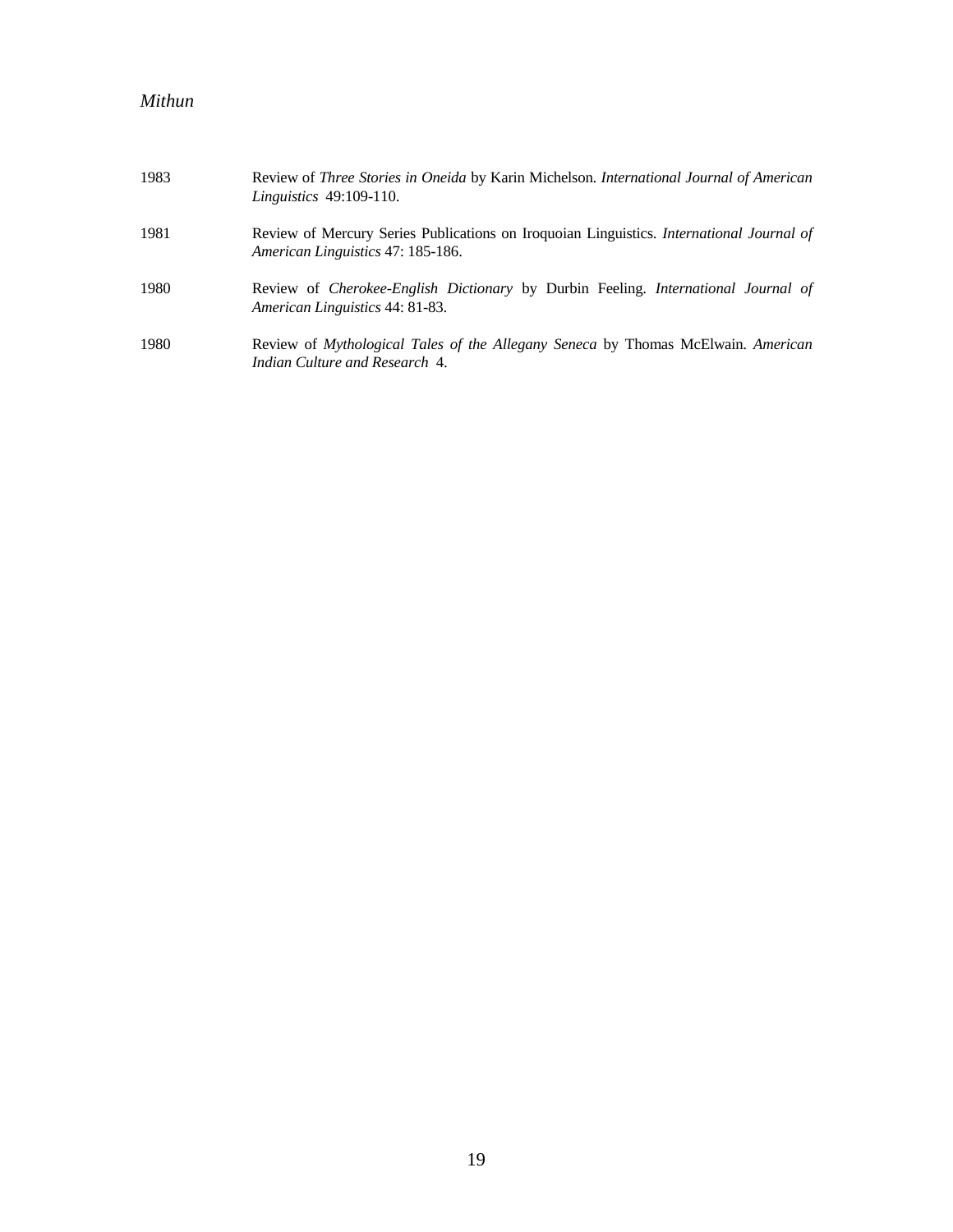| 1983 | Review of <i>Three Stories in Oneida</i> by Karin Michelson. <i>International Journal of American</i><br><i>Linguistics</i> 49:109-110. |
|------|-----------------------------------------------------------------------------------------------------------------------------------------|
| 1981 | Review of Mercury Series Publications on Iroquoian Linguistics. <i>International Journal of</i><br>American Linguistics 47: 185-186.    |
| 1980 | Review of <i>Cherokee-English Dictionary</i> by Durbin Feeling. <i>International Journal of</i><br>American Linguistics 44: 81-83.      |
| 1980 | Review of Mythological Tales of the Allegany Seneca by Thomas McElwain. American<br>Indian Culture and Research 4.                      |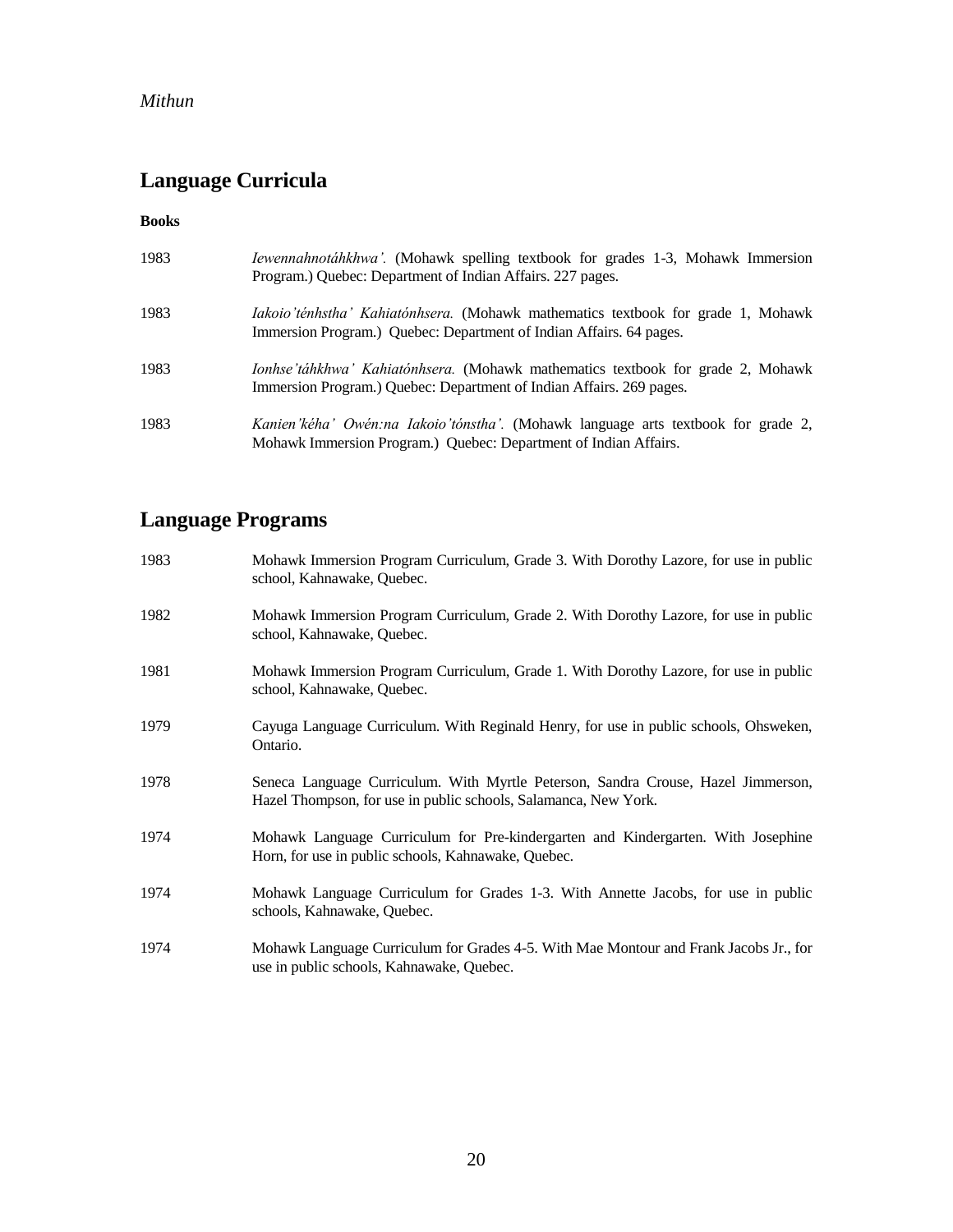# **Language Curricula**

**Books**

| 1983 | <i>Iewennahnotáhkhwa'</i> . (Mohawk spelling textbook for grades 1-3, Mohawk Immersion<br>Program.) Quebec: Department of Indian Affairs. 227 pages.           |
|------|----------------------------------------------------------------------------------------------------------------------------------------------------------------|
| 1983 | <i>Iakoio'ténhstha' Kahiatónhsera.</i> (Mohawk mathematics textbook for grade 1, Mohawk<br>Immersion Program.) Quebec: Department of Indian Affairs. 64 pages. |
| 1983 | Ionhse'táhkhwa' Kahiatónhsera. (Mohawk mathematics textbook for grade 2, Mohawk<br>Immersion Program.) Quebec: Department of Indian Affairs. 269 pages.        |
| 1983 | <i>Kanien'kéha' Owén:na Iakoio'tónstha'.</i> (Mohawk language arts textbook for grade 2,<br>Mohawk Immersion Program.) Quebec: Department of Indian Affairs.   |

# **Language Programs**

| 1983 | Mohawk Immersion Program Curriculum, Grade 3. With Dorothy Lazore, for use in public<br>school, Kahnawake, Quebec.                                   |
|------|------------------------------------------------------------------------------------------------------------------------------------------------------|
| 1982 | Mohawk Immersion Program Curriculum, Grade 2. With Dorothy Lazore, for use in public<br>school, Kahnawake, Quebec.                                   |
| 1981 | Mohawk Immersion Program Curriculum, Grade 1. With Dorothy Lazore, for use in public<br>school, Kahnawake, Quebec.                                   |
| 1979 | Cayuga Language Curriculum. With Reginald Henry, for use in public schools, Ohsweken,<br>Ontario.                                                    |
| 1978 | Seneca Language Curriculum. With Myrtle Peterson, Sandra Crouse, Hazel Jimmerson,<br>Hazel Thompson, for use in public schools, Salamanca, New York. |
| 1974 | Mohawk Language Curriculum for Pre-kindergarten and Kindergarten. With Josephine<br>Horn, for use in public schools, Kahnawake, Quebec.              |
| 1974 | Mohawk Language Curriculum for Grades 1-3. With Annette Jacobs, for use in public<br>schools, Kahnawake, Quebec.                                     |
| 1974 | Mohawk Language Curriculum for Grades 4-5. With Mae Montour and Frank Jacobs Jr., for<br>use in public schools, Kahnawake, Quebec.                   |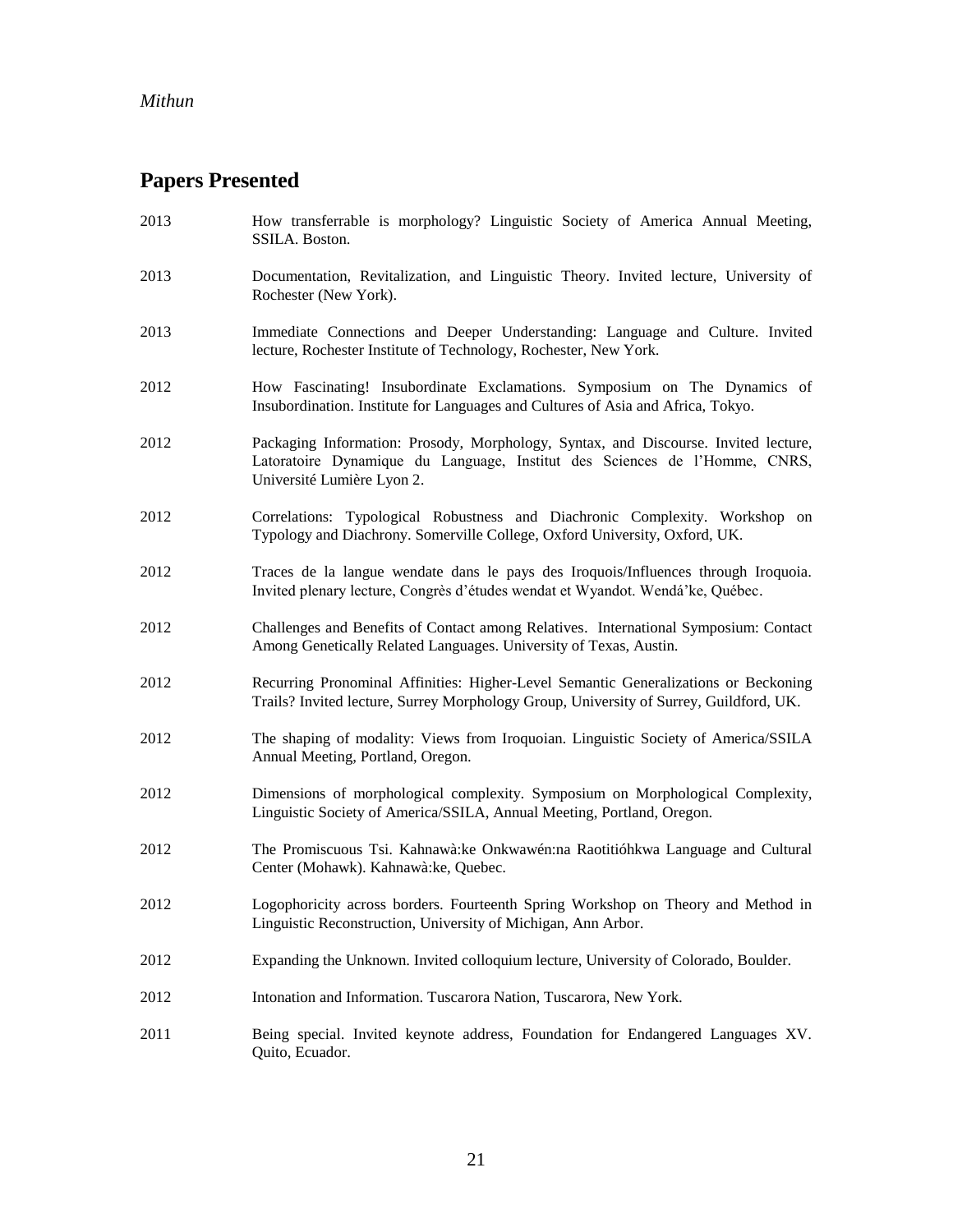# **Papers Presented**

| 2013 | How transferrable is morphology? Linguistic Society of America Annual Meeting,<br>SSILA. Boston.                                                                                                |
|------|-------------------------------------------------------------------------------------------------------------------------------------------------------------------------------------------------|
| 2013 | Documentation, Revitalization, and Linguistic Theory. Invited lecture, University of<br>Rochester (New York).                                                                                   |
| 2013 | Immediate Connections and Deeper Understanding: Language and Culture. Invited<br>lecture, Rochester Institute of Technology, Rochester, New York.                                               |
| 2012 | How Fascinating! Insubordinate Exclamations. Symposium on The Dynamics of<br>Insubordination. Institute for Languages and Cultures of Asia and Africa, Tokyo.                                   |
| 2012 | Packaging Information: Prosody, Morphology, Syntax, and Discourse. Invited lecture,<br>Latoratoire Dynamique du Language, Institut des Sciences de l'Homme, CNRS,<br>Université Lumière Lyon 2. |
| 2012 | Correlations: Typological Robustness and Diachronic Complexity. Workshop on<br>Typology and Diachrony. Somerville College, Oxford University, Oxford, UK.                                       |
| 2012 | Traces de la langue wendate dans le pays des Iroquois/Influences through Iroquoia.<br>Invited plenary lecture, Congrès d'études wendat et Wyandot. Wendá'ke, Québec.                            |
| 2012 | Challenges and Benefits of Contact among Relatives. International Symposium: Contact<br>Among Genetically Related Languages. University of Texas, Austin.                                       |
| 2012 | Recurring Pronominal Affinities: Higher-Level Semantic Generalizations or Beckoning<br>Trails? Invited lecture, Surrey Morphology Group, University of Surrey, Guildford, UK.                   |
| 2012 | The shaping of modality: Views from Iroquoian. Linguistic Society of America/SSILA<br>Annual Meeting, Portland, Oregon.                                                                         |
| 2012 | Dimensions of morphological complexity. Symposium on Morphological Complexity,<br>Linguistic Society of America/SSILA, Annual Meeting, Portland, Oregon.                                        |
| 2012 | The Promiscuous Tsi. Kahnawà: ke Onkwawén: na Raotitióhkwa Language and Cultural<br>Center (Mohawk). Kahnawà:ke, Quebec.                                                                        |
| 2012 | Logophoricity across borders. Fourteenth Spring Workshop on Theory and Method in<br>Linguistic Reconstruction, University of Michigan, Ann Arbor.                                               |
| 2012 | Expanding the Unknown. Invited colloquium lecture, University of Colorado, Boulder.                                                                                                             |
| 2012 | Intonation and Information. Tuscarora Nation, Tuscarora, New York.                                                                                                                              |
| 2011 | Being special. Invited keynote address, Foundation for Endangered Languages XV.<br>Quito, Ecuador.                                                                                              |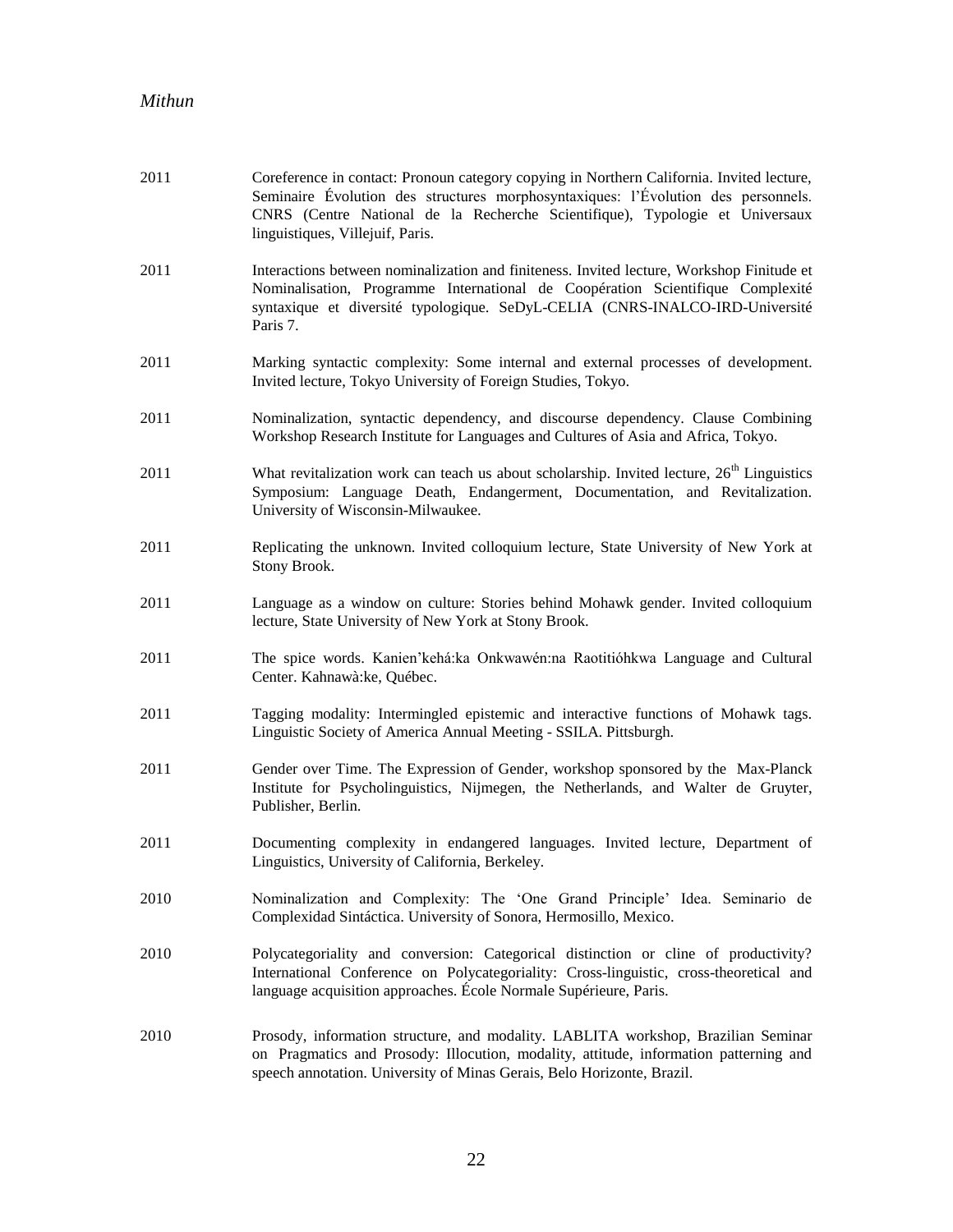| 2011 | Coreference in contact: Pronoun category copying in Northern California. Invited lecture,<br>Seminaire Évolution des structures morphosyntaxiques: l'Évolution des personnels.<br>CNRS (Centre National de la Recherche Scientifique), Typologie et Universaux<br>linguistiques, Villejuif, Paris. |
|------|----------------------------------------------------------------------------------------------------------------------------------------------------------------------------------------------------------------------------------------------------------------------------------------------------|
| 2011 | Interactions between nominalization and finiteness. Invited lecture, Workshop Finitude et<br>Nominalisation, Programme International de Coopération Scientifique Complexité<br>syntaxique et diversité typologique. SeDyL-CELIA (CNRS-INALCO-IRD-Université<br>Paris 7.                            |
| 2011 | Marking syntactic complexity: Some internal and external processes of development.<br>Invited lecture, Tokyo University of Foreign Studies, Tokyo.                                                                                                                                                 |
| 2011 | Nominalization, syntactic dependency, and discourse dependency. Clause Combining<br>Workshop Research Institute for Languages and Cultures of Asia and Africa, Tokyo.                                                                                                                              |
| 2011 | What revitalization work can teach us about scholarship. Invited lecture, 26 <sup>th</sup> Linguistics<br>Symposium: Language Death, Endangerment, Documentation, and Revitalization.<br>University of Wisconsin-Milwaukee.                                                                        |
| 2011 | Replicating the unknown. Invited colloquium lecture, State University of New York at<br>Stony Brook.                                                                                                                                                                                               |
| 2011 | Language as a window on culture: Stories behind Mohawk gender. Invited colloquium<br>lecture, State University of New York at Stony Brook.                                                                                                                                                         |
| 2011 | The spice words. Kanien'kehá:ka Onkwawén:na Raotitióhkwa Language and Cultural<br>Center. Kahnawà: ke, Québec.                                                                                                                                                                                     |
| 2011 | Tagging modality: Intermingled epistemic and interactive functions of Mohawk tags.<br>Linguistic Society of America Annual Meeting - SSILA. Pittsburgh.                                                                                                                                            |
| 2011 | Gender over Time. The Expression of Gender, workshop sponsored by the Max-Planck<br>Institute for Psycholinguistics, Nijmegen, the Netherlands, and Walter de Gruyter,<br>Publisher, Berlin.                                                                                                       |
| 2011 | Documenting complexity in endangered languages. Invited lecture, Department of<br>Linguistics, University of California, Berkeley.                                                                                                                                                                 |
| 2010 | Nominalization and Complexity: The 'One Grand Principle' Idea. Seminario de<br>Complexidad Sintáctica. University of Sonora, Hermosillo, Mexico.                                                                                                                                                   |
| 2010 | Polycategoriality and conversion: Categorical distinction or cline of productivity?<br>International Conference on Polycategoriality: Cross-linguistic, cross-theoretical and<br>language acquisition approaches. École Normale Supérieure, Paris.                                                 |
| 2010 | Prosody, information structure, and modality. LABLITA workshop, Brazilian Seminar<br>on Pragmatics and Prosody: Illocution, modality, attitude, information patterning and<br>speech annotation. University of Minas Gerais, Belo Horizonte, Brazil.                                               |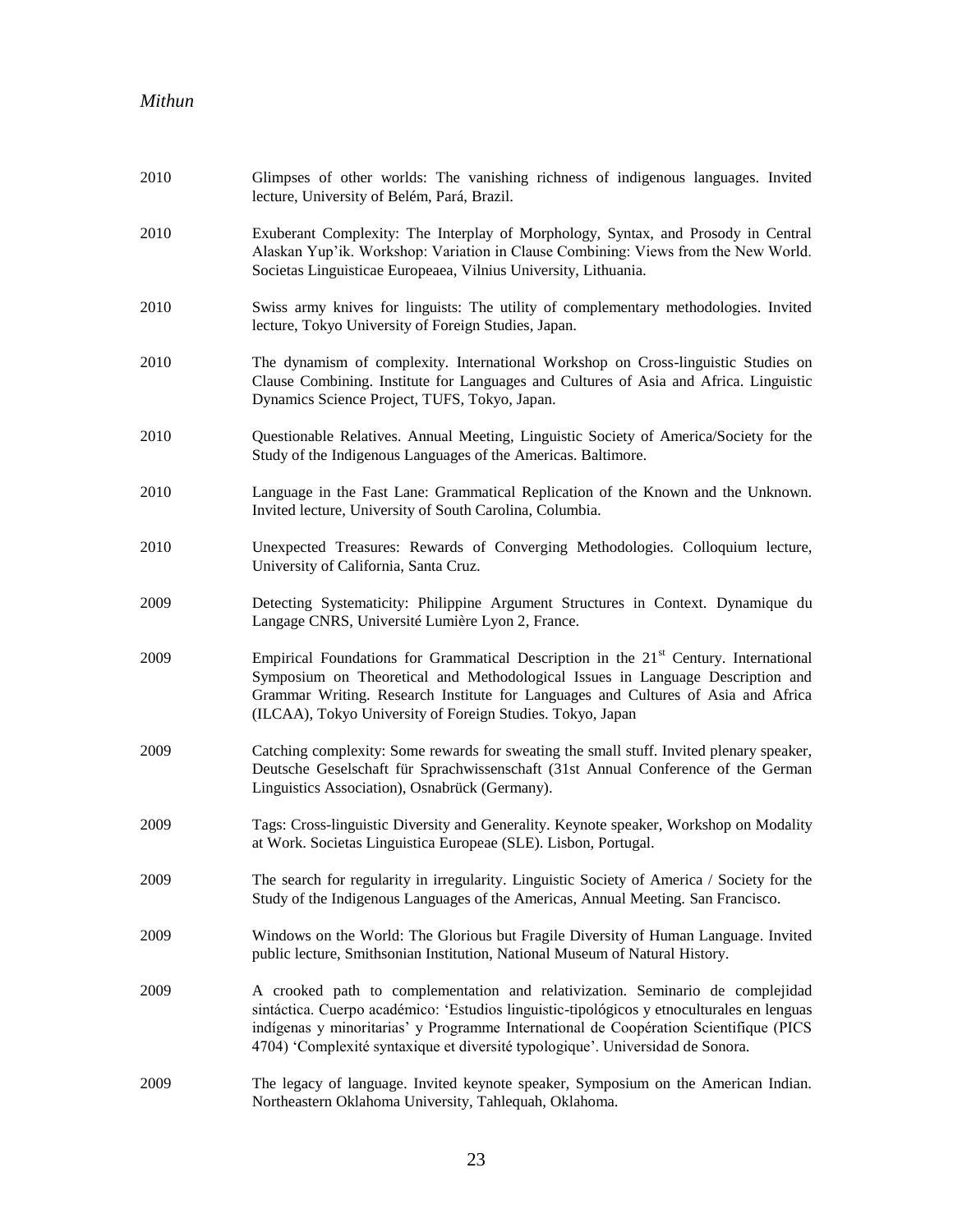| 2010 | Glimpses of other worlds: The vanishing richness of indigenous languages. Invited<br>lecture, University of Belém, Pará, Brazil.                                                                                                                                                                                                                        |
|------|---------------------------------------------------------------------------------------------------------------------------------------------------------------------------------------------------------------------------------------------------------------------------------------------------------------------------------------------------------|
| 2010 | Exuberant Complexity: The Interplay of Morphology, Syntax, and Prosody in Central<br>Alaskan Yup'ik. Workshop: Variation in Clause Combining: Views from the New World.<br>Societas Linguisticae Europeaea, Vilnius University, Lithuania.                                                                                                              |
| 2010 | Swiss army knives for linguists: The utility of complementary methodologies. Invited<br>lecture, Tokyo University of Foreign Studies, Japan.                                                                                                                                                                                                            |
| 2010 | The dynamism of complexity. International Workshop on Cross-linguistic Studies on<br>Clause Combining. Institute for Languages and Cultures of Asia and Africa. Linguistic<br>Dynamics Science Project, TUFS, Tokyo, Japan.                                                                                                                             |
| 2010 | Questionable Relatives. Annual Meeting, Linguistic Society of America/Society for the<br>Study of the Indigenous Languages of the Americas. Baltimore.                                                                                                                                                                                                  |
| 2010 | Language in the Fast Lane: Grammatical Replication of the Known and the Unknown.<br>Invited lecture, University of South Carolina, Columbia.                                                                                                                                                                                                            |
| 2010 | Unexpected Treasures: Rewards of Converging Methodologies. Colloquium lecture,<br>University of California, Santa Cruz.                                                                                                                                                                                                                                 |
| 2009 | Detecting Systematicity: Philippine Argument Structures in Context. Dynamique du<br>Langage CNRS, Université Lumière Lyon 2, France.                                                                                                                                                                                                                    |
| 2009 | Empirical Foundations for Grammatical Description in the 21 <sup>st</sup> Century. International<br>Symposium on Theoretical and Methodological Issues in Language Description and<br>Grammar Writing. Research Institute for Languages and Cultures of Asia and Africa<br>(ILCAA), Tokyo University of Foreign Studies. Tokyo, Japan                   |
| 2009 | Catching complexity: Some rewards for sweating the small stuff. Invited plenary speaker,<br>Deutsche Geselschaft für Sprachwissenschaft (31st Annual Conference of the German<br>Linguistics Association), Osnabrück (Germany).                                                                                                                         |
| 2009 | Tags: Cross-linguistic Diversity and Generality. Keynote speaker, Workshop on Modality<br>at Work. Societas Linguistica Europeae (SLE). Lisbon, Portugal.                                                                                                                                                                                               |
| 2009 | The search for regularity in irregularity. Linguistic Society of America / Society for the<br>Study of the Indigenous Languages of the Americas, Annual Meeting. San Francisco.                                                                                                                                                                         |
| 2009 | Windows on the World: The Glorious but Fragile Diversity of Human Language. Invited<br>public lecture, Smithsonian Institution, National Museum of Natural History.                                                                                                                                                                                     |
| 2009 | A crooked path to complementation and relativization. Seminario de complejidad<br>sintáctica. Cuerpo académico: 'Estudios linguistic-tipológicos y etnoculturales en lenguas<br>indígenas y minoritarias' y Programme International de Coopération Scientifique (PICS<br>4704) 'Complexité syntaxique et diversité typologique'. Universidad de Sonora. |
| 2009 | The legacy of language. Invited keynote speaker, Symposium on the American Indian.<br>Northeastern Oklahoma University, Tahlequah, Oklahoma.                                                                                                                                                                                                            |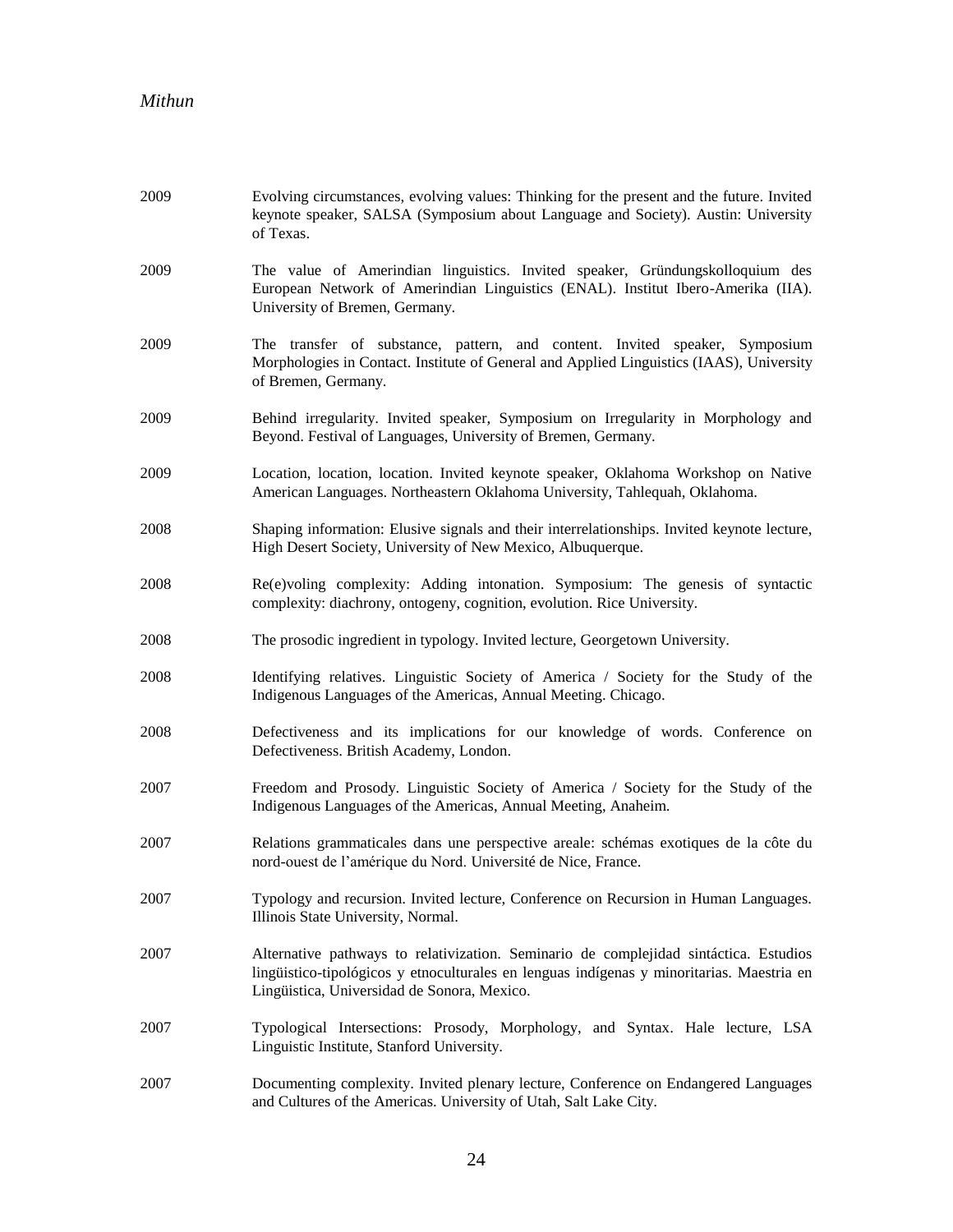| 2009 | Evolving circumstances, evolving values: Thinking for the present and the future. Invited<br>keynote speaker, SALSA (Symposium about Language and Society). Austin: University<br>of Texas.                                       |
|------|-----------------------------------------------------------------------------------------------------------------------------------------------------------------------------------------------------------------------------------|
| 2009 | The value of Amerindian linguistics. Invited speaker, Gründungskolloquium des<br>European Network of Amerindian Linguistics (ENAL). Institut Ibero-Amerika (IIA).<br>University of Bremen, Germany.                               |
| 2009 | The transfer of substance, pattern, and content. Invited speaker, Symposium<br>Morphologies in Contact. Institute of General and Applied Linguistics (IAAS), University<br>of Bremen, Germany.                                    |
| 2009 | Behind irregularity. Invited speaker, Symposium on Irregularity in Morphology and<br>Beyond. Festival of Languages, University of Bremen, Germany.                                                                                |
| 2009 | Location, location, location. Invited keynote speaker, Oklahoma Workshop on Native<br>American Languages. Northeastern Oklahoma University, Tahlequah, Oklahoma.                                                                  |
| 2008 | Shaping information: Elusive signals and their interrelationships. Invited keynote lecture,<br>High Desert Society, University of New Mexico, Albuquerque.                                                                        |
| 2008 | Re(e)voling complexity: Adding intonation. Symposium: The genesis of syntactic<br>complexity: diachrony, ontogeny, cognition, evolution. Rice University.                                                                         |
| 2008 | The prosodic ingredient in typology. Invited lecture, Georgetown University.                                                                                                                                                      |
| 2008 | Identifying relatives. Linguistic Society of America / Society for the Study of the<br>Indigenous Languages of the Americas, Annual Meeting. Chicago.                                                                             |
| 2008 | Defectiveness and its implications for our knowledge of words. Conference on<br>Defectiveness. British Academy, London.                                                                                                           |
| 2007 | Freedom and Prosody. Linguistic Society of America / Society for the Study of the<br>Indigenous Languages of the Americas, Annual Meeting, Anaheim.                                                                               |
| 2007 | Relations grammaticales dans une perspective areale: schémas exotiques de la côte du<br>nord-ouest de l'amérique du Nord. Université de Nice, France.                                                                             |
| 2007 | Typology and recursion. Invited lecture, Conference on Recursion in Human Languages.<br>Illinois State University, Normal.                                                                                                        |
| 2007 | Alternative pathways to relativization. Seminario de complejidad sintáctica. Estudios<br>lingüistico-tipológicos y etnoculturales en lenguas indígenas y minoritarias. Maestria en<br>Lingüistica, Universidad de Sonora, Mexico. |
| 2007 | Typological Intersections: Prosody, Morphology, and Syntax. Hale lecture, LSA<br>Linguistic Institute, Stanford University.                                                                                                       |
| 2007 | Documenting complexity. Invited plenary lecture, Conference on Endangered Languages<br>and Cultures of the Americas. University of Utah, Salt Lake City.                                                                          |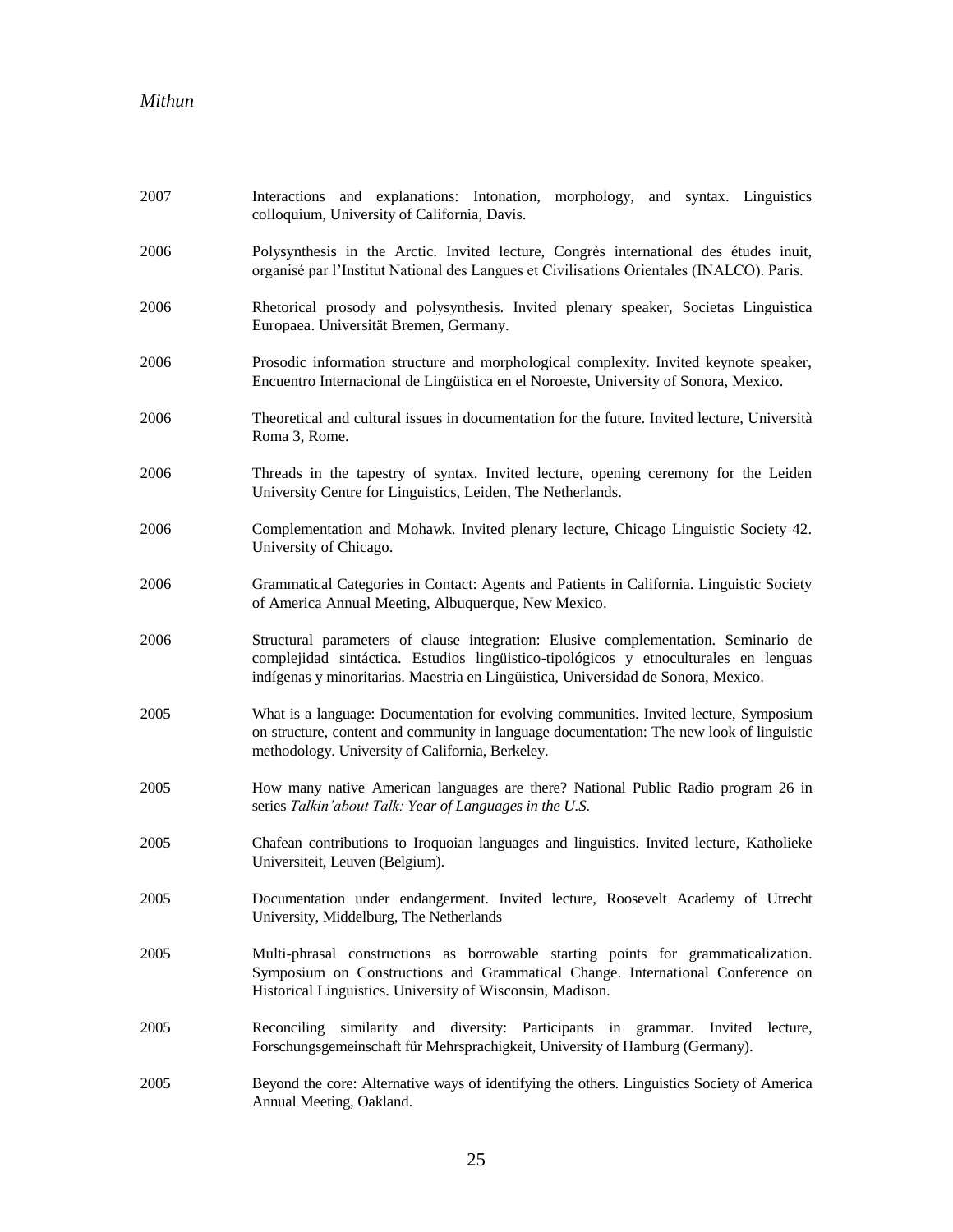| 2007 | Interactions and explanations: Intonation, morphology, and syntax. Linguistics<br>colloquium, University of California, Davis.                                                                                                                                  |
|------|-----------------------------------------------------------------------------------------------------------------------------------------------------------------------------------------------------------------------------------------------------------------|
| 2006 | Polysynthesis in the Arctic. Invited lecture, Congrès international des études inuit,<br>organisé par l'Institut National des Langues et Civilisations Orientales (INALCO). Paris.                                                                              |
| 2006 | Rhetorical prosody and polysynthesis. Invited plenary speaker, Societas Linguistica<br>Europaea. Universität Bremen, Germany.                                                                                                                                   |
| 2006 | Prosodic information structure and morphological complexity. Invited keynote speaker,<br>Encuentro Internacional de Lingüistica en el Noroeste, University of Sonora, Mexico.                                                                                   |
| 2006 | Theoretical and cultural issues in documentation for the future. Invited lecture, Università<br>Roma 3, Rome.                                                                                                                                                   |
| 2006 | Threads in the tapestry of syntax. Invited lecture, opening ceremony for the Leiden<br>University Centre for Linguistics, Leiden, The Netherlands.                                                                                                              |
| 2006 | Complementation and Mohawk. Invited plenary lecture, Chicago Linguistic Society 42.<br>University of Chicago.                                                                                                                                                   |
| 2006 | Grammatical Categories in Contact: Agents and Patients in California. Linguistic Society<br>of America Annual Meeting, Albuquerque, New Mexico.                                                                                                                 |
| 2006 | Structural parameters of clause integration: Elusive complementation. Seminario de<br>complejidad sintáctica. Estudios lingüístico-tipológicos y etnoculturales en lenguas<br>indígenas y minoritarias. Maestria en Lingüistica, Universidad de Sonora, Mexico. |
| 2005 | What is a language: Documentation for evolving communities. Invited lecture, Symposium<br>on structure, content and community in language documentation: The new look of linguistic<br>methodology. University of California, Berkeley.                         |
| 2005 | How many native American languages are there? National Public Radio program 26 in<br>series Talkin'about Talk: Year of Languages in the U.S.                                                                                                                    |
| 2005 | Chafean contributions to Iroquoian languages and linguistics. Invited lecture, Katholieke<br>Universiteit, Leuven (Belgium).                                                                                                                                    |
| 2005 | Documentation under endangerment. Invited lecture, Roosevelt Academy of Utrecht<br>University, Middelburg, The Netherlands                                                                                                                                      |
| 2005 | Multi-phrasal constructions as borrowable starting points for grammaticalization.<br>Symposium on Constructions and Grammatical Change. International Conference on<br>Historical Linguistics. University of Wisconsin, Madison.                                |
| 2005 | Reconciling similarity and diversity: Participants in grammar. Invited lecture,<br>Forschungsgemeinschaft für Mehrsprachigkeit, University of Hamburg (Germany).                                                                                                |
| 2005 | Beyond the core: Alternative ways of identifying the others. Linguistics Society of America<br>Annual Meeting, Oakland.                                                                                                                                         |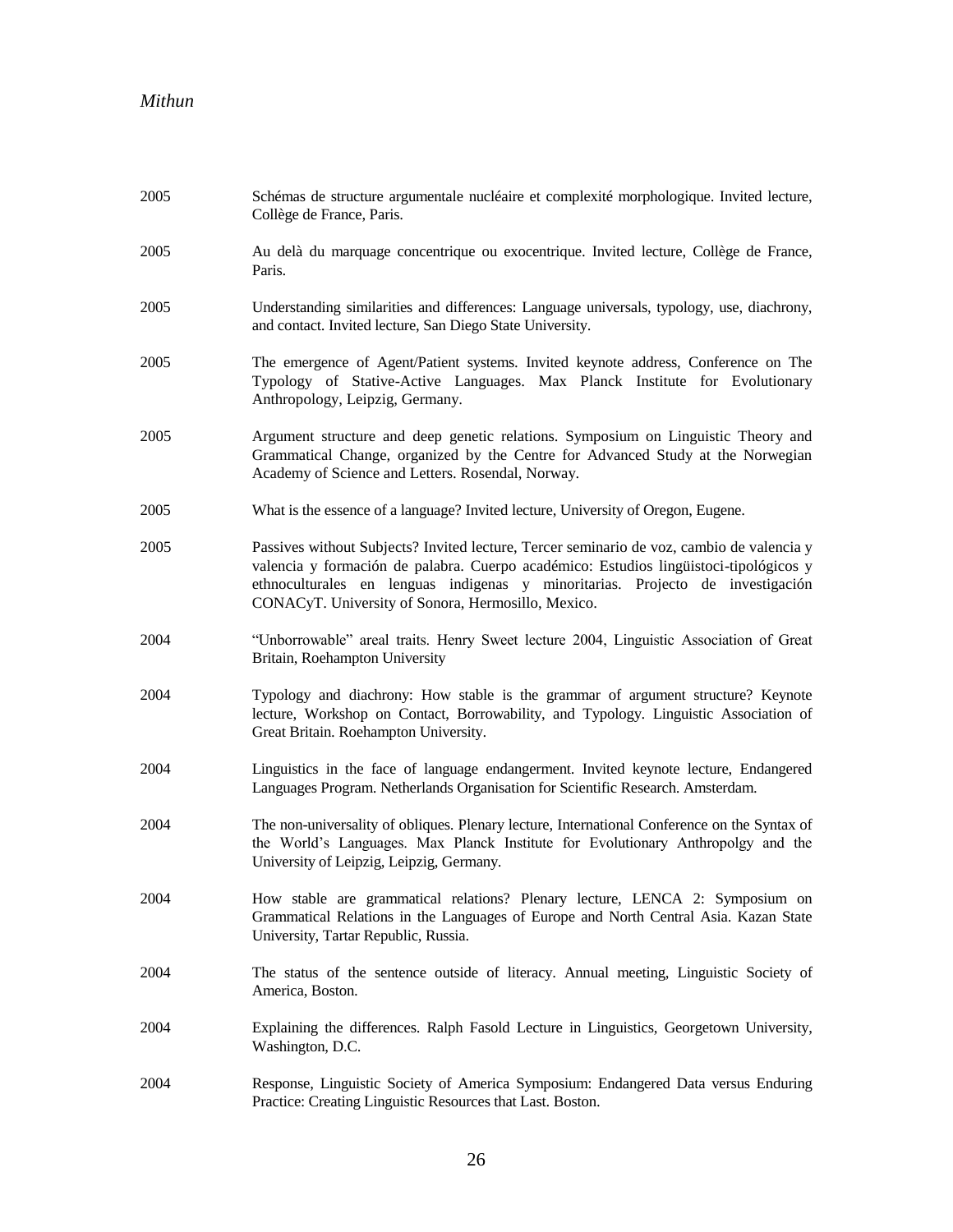| 2005 | Schémas de structure argumentale nucléaire et complexité morphologique. Invited lecture,<br>Collège de France, Paris.                                                                                                                                                                                                      |
|------|----------------------------------------------------------------------------------------------------------------------------------------------------------------------------------------------------------------------------------------------------------------------------------------------------------------------------|
| 2005 | Au delà du marquage concentrique ou exocentrique. Invited lecture, Collège de France,<br>Paris.                                                                                                                                                                                                                            |
| 2005 | Understanding similarities and differences: Language universals, typology, use, diachrony,<br>and contact. Invited lecture, San Diego State University.                                                                                                                                                                    |
| 2005 | The emergence of Agent/Patient systems. Invited keynote address, Conference on The<br>Typology of Stative-Active Languages. Max Planck Institute for Evolutionary<br>Anthropology, Leipzig, Germany.                                                                                                                       |
| 2005 | Argument structure and deep genetic relations. Symposium on Linguistic Theory and<br>Grammatical Change, organized by the Centre for Advanced Study at the Norwegian<br>Academy of Science and Letters. Rosendal, Norway.                                                                                                  |
| 2005 | What is the essence of a language? Invited lecture, University of Oregon, Eugene.                                                                                                                                                                                                                                          |
| 2005 | Passives without Subjects? Invited lecture, Tercer seminario de voz, cambio de valencia y<br>valencia y formación de palabra. Cuerpo académico: Estudios lingüistoci-tipológicos y<br>ethnoculturales en lenguas indigenas y minoritarias. Projecto de investigación<br>CONACyT. University of Sonora, Hermosillo, Mexico. |
| 2004 | "Unborrowable" areal traits. Henry Sweet lecture 2004, Linguistic Association of Great<br>Britain, Roehampton University                                                                                                                                                                                                   |
| 2004 | Typology and diachrony: How stable is the grammar of argument structure? Keynote<br>lecture, Workshop on Contact, Borrowability, and Typology. Linguistic Association of<br>Great Britain. Roehampton University.                                                                                                          |
| 2004 | Linguistics in the face of language endangerment. Invited keynote lecture, Endangered<br>Languages Program. Netherlands Organisation for Scientific Research. Amsterdam.                                                                                                                                                   |
| 2004 | The non-universality of obliques. Plenary lecture, International Conference on the Syntax of<br>the World's Languages. Max Planck Institute for Evolutionary Anthropolgy and the<br>University of Leipzig, Leipzig, Germany.                                                                                               |
| 2004 | How stable are grammatical relations? Plenary lecture, LENCA 2: Symposium on<br>Grammatical Relations in the Languages of Europe and North Central Asia. Kazan State<br>University, Tartar Republic, Russia.                                                                                                               |
| 2004 | The status of the sentence outside of literacy. Annual meeting, Linguistic Society of<br>America, Boston.                                                                                                                                                                                                                  |
| 2004 | Explaining the differences. Ralph Fasold Lecture in Linguistics, Georgetown University,<br>Washington, D.C.                                                                                                                                                                                                                |
| 2004 | Response, Linguistic Society of America Symposium: Endangered Data versus Enduring<br>Practice: Creating Linguistic Resources that Last. Boston.                                                                                                                                                                           |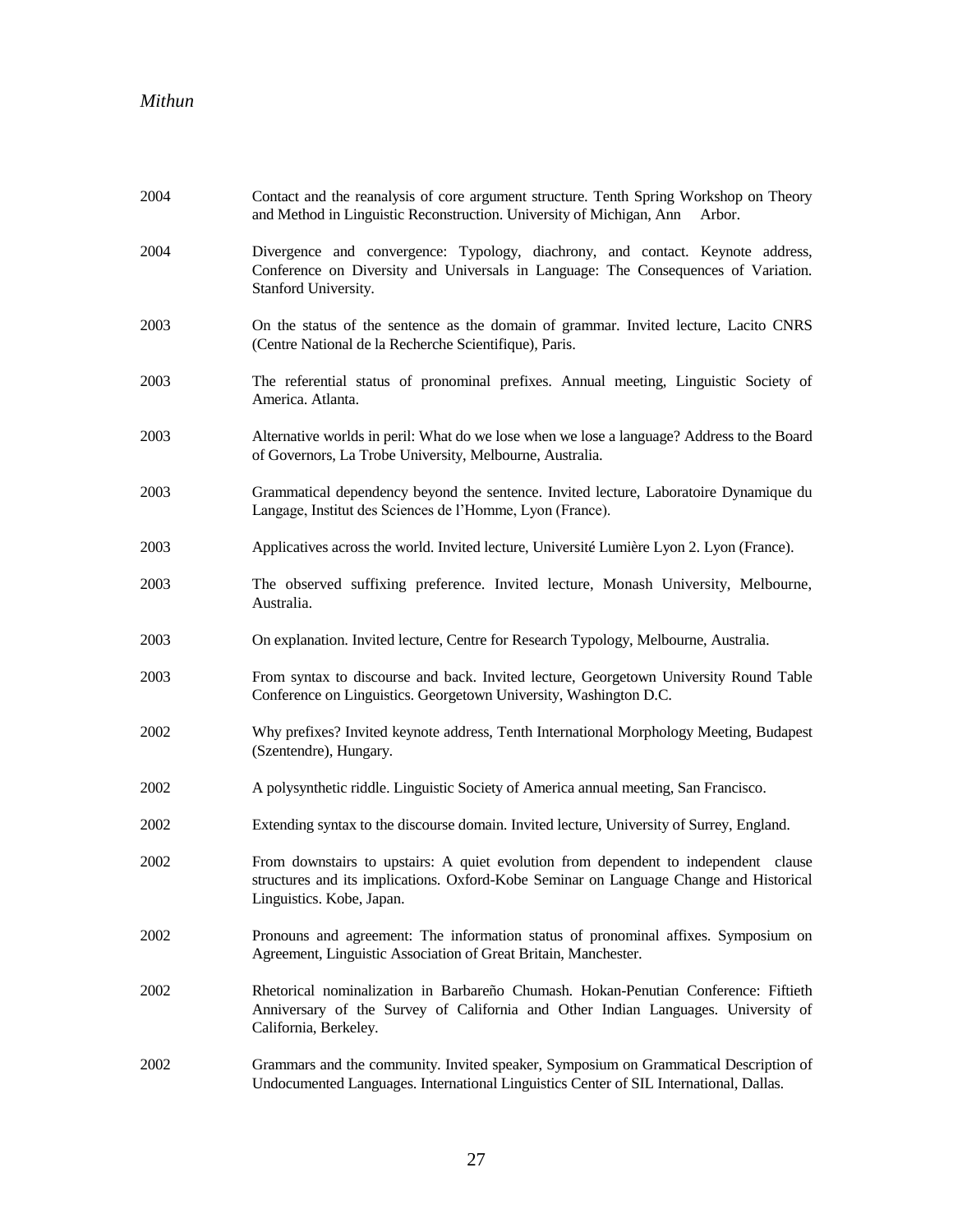| 2004 | Contact and the reanalysis of core argument structure. Tenth Spring Workshop on Theory<br>and Method in Linguistic Reconstruction. University of Michigan, Ann<br>Arbor.                                   |
|------|------------------------------------------------------------------------------------------------------------------------------------------------------------------------------------------------------------|
| 2004 | Divergence and convergence: Typology, diachrony, and contact. Keynote address,<br>Conference on Diversity and Universals in Language: The Consequences of Variation.<br>Stanford University.               |
| 2003 | On the status of the sentence as the domain of grammar. Invited lecture, Lacito CNRS<br>(Centre National de la Recherche Scientifique), Paris.                                                             |
| 2003 | The referential status of pronominal prefixes. Annual meeting, Linguistic Society of<br>America. Atlanta.                                                                                                  |
| 2003 | Alternative worlds in peril: What do we lose when we lose a language? Address to the Board<br>of Governors, La Trobe University, Melbourne, Australia.                                                     |
| 2003 | Grammatical dependency beyond the sentence. Invited lecture, Laboratoire Dynamique du<br>Langage, Institut des Sciences de l'Homme, Lyon (France).                                                         |
| 2003 | Applicatives across the world. Invited lecture, Université Lumière Lyon 2. Lyon (France).                                                                                                                  |
| 2003 | The observed suffixing preference. Invited lecture, Monash University, Melbourne,<br>Australia.                                                                                                            |
| 2003 | On explanation. Invited lecture, Centre for Research Typology, Melbourne, Australia.                                                                                                                       |
| 2003 | From syntax to discourse and back. Invited lecture, Georgetown University Round Table<br>Conference on Linguistics. Georgetown University, Washington D.C.                                                 |
| 2002 | Why prefixes? Invited keynote address, Tenth International Morphology Meeting, Budapest<br>(Szentendre), Hungary.                                                                                          |
| 2002 | A polysynthetic riddle. Linguistic Society of America annual meeting, San Francisco.                                                                                                                       |
| 2002 | Extending syntax to the discourse domain. Invited lecture, University of Surrey, England.                                                                                                                  |
| 2002 | From downstairs to upstairs: A quiet evolution from dependent to independent clause<br>structures and its implications. Oxford-Kobe Seminar on Language Change and Historical<br>Linguistics. Kobe, Japan. |
| 2002 | Pronouns and agreement: The information status of pronominal affixes. Symposium on<br>Agreement, Linguistic Association of Great Britain, Manchester.                                                      |
| 2002 | Rhetorical nominalization in Barbareño Chumash. Hokan-Penutian Conference: Fiftieth<br>Anniversary of the Survey of California and Other Indian Languages. University of<br>California, Berkeley.          |
| 2002 | Grammars and the community. Invited speaker, Symposium on Grammatical Description of<br>Undocumented Languages. International Linguistics Center of SIL International, Dallas.                             |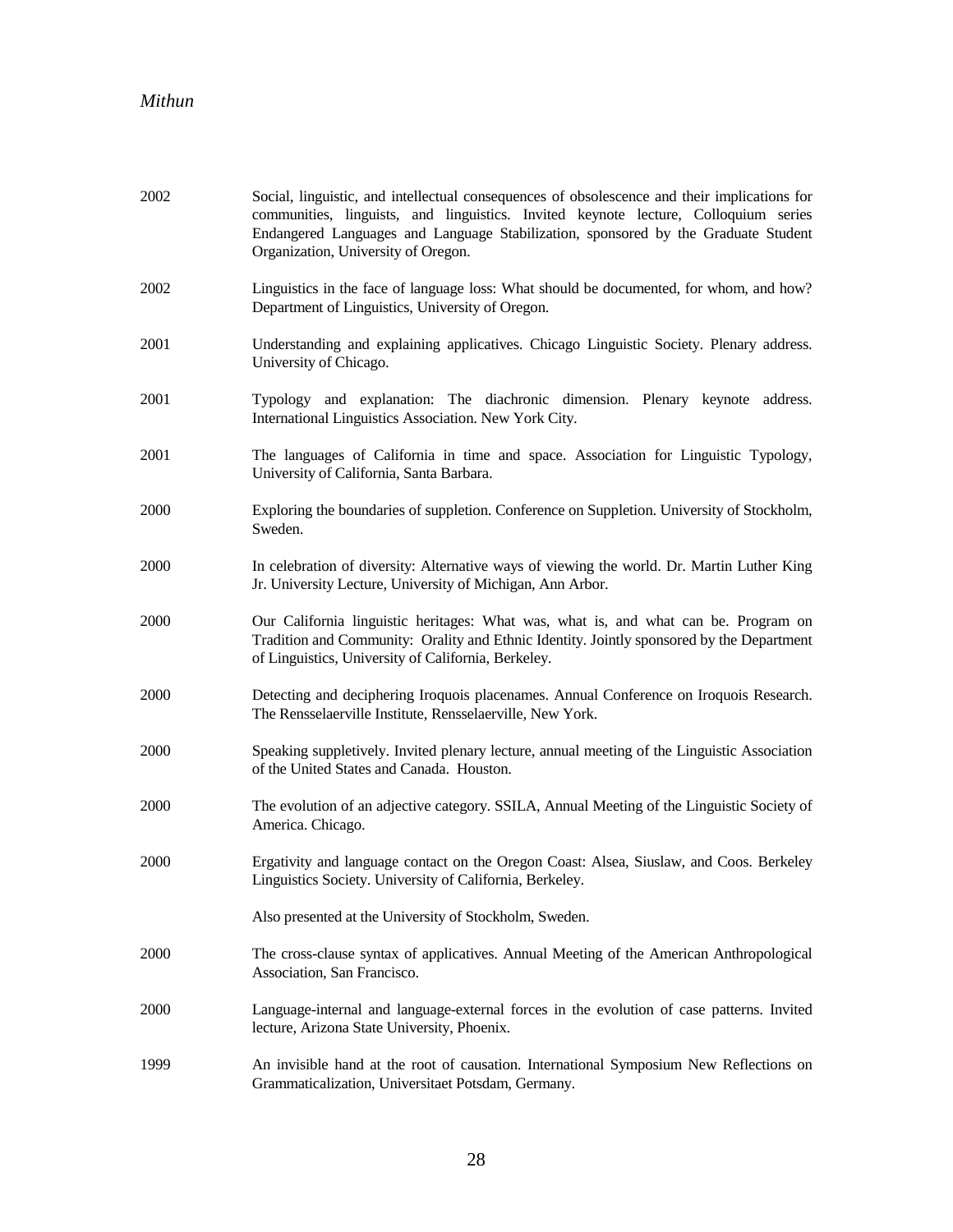| 2002 | Social, linguistic, and intellectual consequences of obsolescence and their implications for<br>communities, linguists, and linguistics. Invited keynote lecture, Colloquium series<br>Endangered Languages and Language Stabilization, sponsored by the Graduate Student<br>Organization, University of Oregon. |
|------|------------------------------------------------------------------------------------------------------------------------------------------------------------------------------------------------------------------------------------------------------------------------------------------------------------------|
| 2002 | Linguistics in the face of language loss: What should be documented, for whom, and how?<br>Department of Linguistics, University of Oregon.                                                                                                                                                                      |
| 2001 | Understanding and explaining applicatives. Chicago Linguistic Society. Plenary address.<br>University of Chicago.                                                                                                                                                                                                |
| 2001 | Typology and explanation: The diachronic dimension. Plenary keynote address.<br>International Linguistics Association. New York City.                                                                                                                                                                            |
| 2001 | The languages of California in time and space. Association for Linguistic Typology,<br>University of California, Santa Barbara.                                                                                                                                                                                  |
| 2000 | Exploring the boundaries of suppletion. Conference on Suppletion. University of Stockholm,<br>Sweden.                                                                                                                                                                                                            |
| 2000 | In celebration of diversity: Alternative ways of viewing the world. Dr. Martin Luther King<br>Jr. University Lecture, University of Michigan, Ann Arbor.                                                                                                                                                         |
| 2000 | Our California linguistic heritages: What was, what is, and what can be. Program on<br>Tradition and Community: Orality and Ethnic Identity. Jointly sponsored by the Department<br>of Linguistics, University of California, Berkeley.                                                                          |
| 2000 | Detecting and deciphering Iroquois placenames. Annual Conference on Iroquois Research.<br>The Rensselaerville Institute, Rensselaerville, New York.                                                                                                                                                              |
| 2000 | Speaking suppletively. Invited plenary lecture, annual meeting of the Linguistic Association<br>of the United States and Canada. Houston.                                                                                                                                                                        |
| 2000 | The evolution of an adjective category. SSILA, Annual Meeting of the Linguistic Society of<br>America. Chicago.                                                                                                                                                                                                  |
| 2000 | Ergativity and language contact on the Oregon Coast: Alsea, Siuslaw, and Coos. Berkeley<br>Linguistics Society. University of California, Berkeley.                                                                                                                                                              |
|      | Also presented at the University of Stockholm, Sweden.                                                                                                                                                                                                                                                           |
| 2000 | The cross-clause syntax of applicatives. Annual Meeting of the American Anthropological<br>Association, San Francisco.                                                                                                                                                                                           |
| 2000 | Language-internal and language-external forces in the evolution of case patterns. Invited<br>lecture, Arizona State University, Phoenix.                                                                                                                                                                         |
| 1999 | An invisible hand at the root of causation. International Symposium New Reflections on<br>Grammaticalization, Universitaet Potsdam, Germany.                                                                                                                                                                     |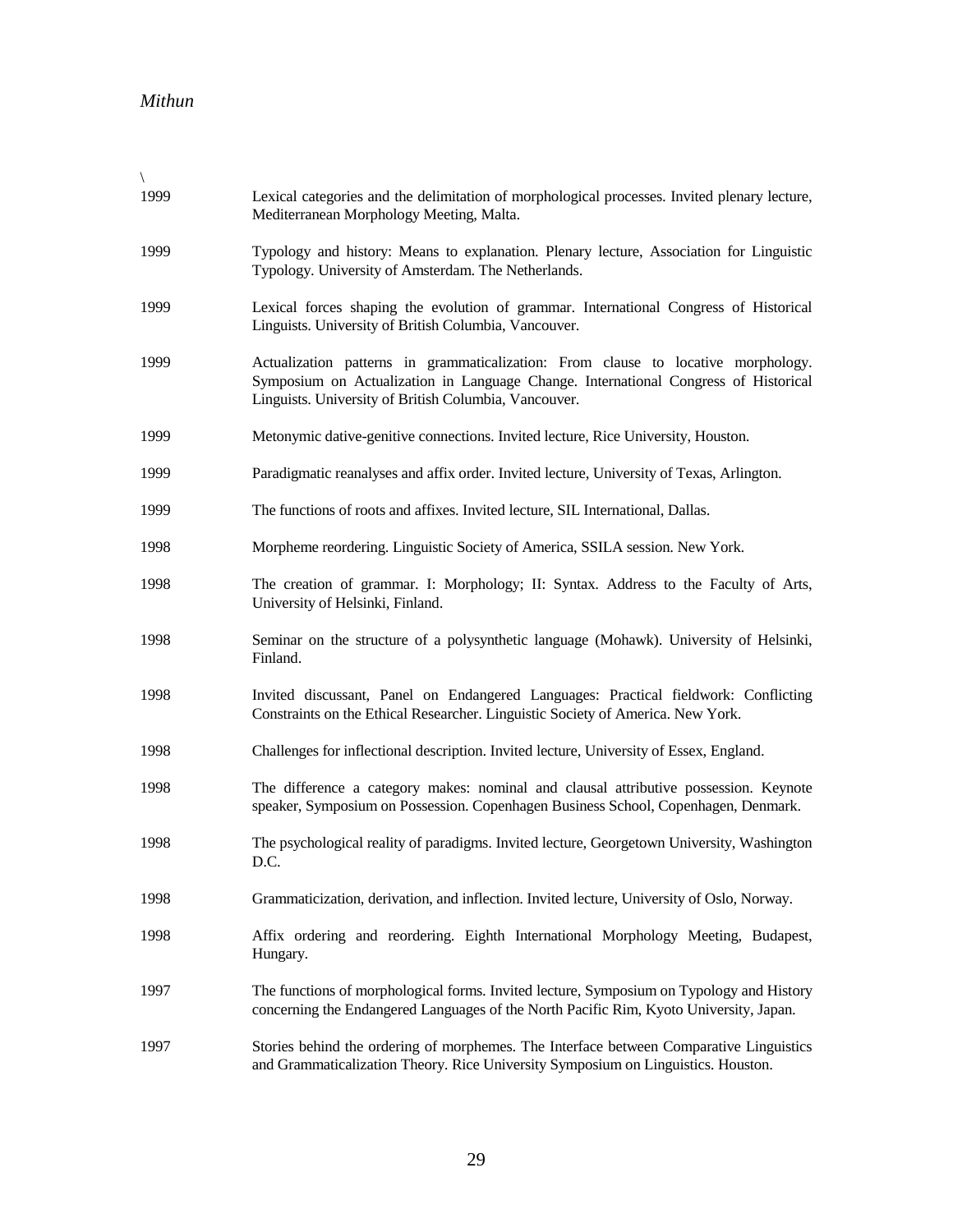| 1999 | Lexical categories and the delimitation of morphological processes. Invited plenary lecture,<br>Mediterranean Morphology Meeting, Malta.                                                                                          |
|------|-----------------------------------------------------------------------------------------------------------------------------------------------------------------------------------------------------------------------------------|
| 1999 | Typology and history: Means to explanation. Plenary lecture, Association for Linguistic<br>Typology. University of Amsterdam. The Netherlands.                                                                                    |
| 1999 | Lexical forces shaping the evolution of grammar. International Congress of Historical<br>Linguists. University of British Columbia, Vancouver.                                                                                    |
| 1999 | Actualization patterns in grammaticalization: From clause to locative morphology.<br>Symposium on Actualization in Language Change. International Congress of Historical<br>Linguists. University of British Columbia, Vancouver. |
| 1999 | Metonymic dative-genitive connections. Invited lecture, Rice University, Houston.                                                                                                                                                 |
| 1999 | Paradigmatic reanalyses and affix order. Invited lecture, University of Texas, Arlington.                                                                                                                                         |
| 1999 | The functions of roots and affixes. Invited lecture, SIL International, Dallas.                                                                                                                                                   |
| 1998 | Morpheme reordering. Linguistic Society of America, SSILA session. New York.                                                                                                                                                      |
| 1998 | The creation of grammar. I: Morphology; II: Syntax. Address to the Faculty of Arts,<br>University of Helsinki, Finland.                                                                                                           |
| 1998 | Seminar on the structure of a polysynthetic language (Mohawk). University of Helsinki,<br>Finland.                                                                                                                                |
| 1998 | Invited discussant, Panel on Endangered Languages: Practical fieldwork: Conflicting<br>Constraints on the Ethical Researcher. Linguistic Society of America. New York.                                                            |
| 1998 | Challenges for inflectional description. Invited lecture, University of Essex, England.                                                                                                                                           |
| 1998 | The difference a category makes: nominal and clausal attributive possession. Keynote<br>speaker, Symposium on Possession. Copenhagen Business School, Copenhagen, Denmark.                                                        |
| 1998 | The psychological reality of paradigms. Invited lecture, Georgetown University, Washington<br>D.C.                                                                                                                                |
| 1998 | Grammaticization, derivation, and inflection. Invited lecture, University of Oslo, Norway.                                                                                                                                        |
| 1998 | Affix ordering and reordering. Eighth International Morphology Meeting, Budapest,<br>Hungary.                                                                                                                                     |
| 1997 | The functions of morphological forms. Invited lecture, Symposium on Typology and History<br>concerning the Endangered Languages of the North Pacific Rim, Kyoto University, Japan.                                                |
| 1997 | Stories behind the ordering of morphemes. The Interface between Comparative Linguistics<br>and Grammaticalization Theory. Rice University Symposium on Linguistics. Houston.                                                      |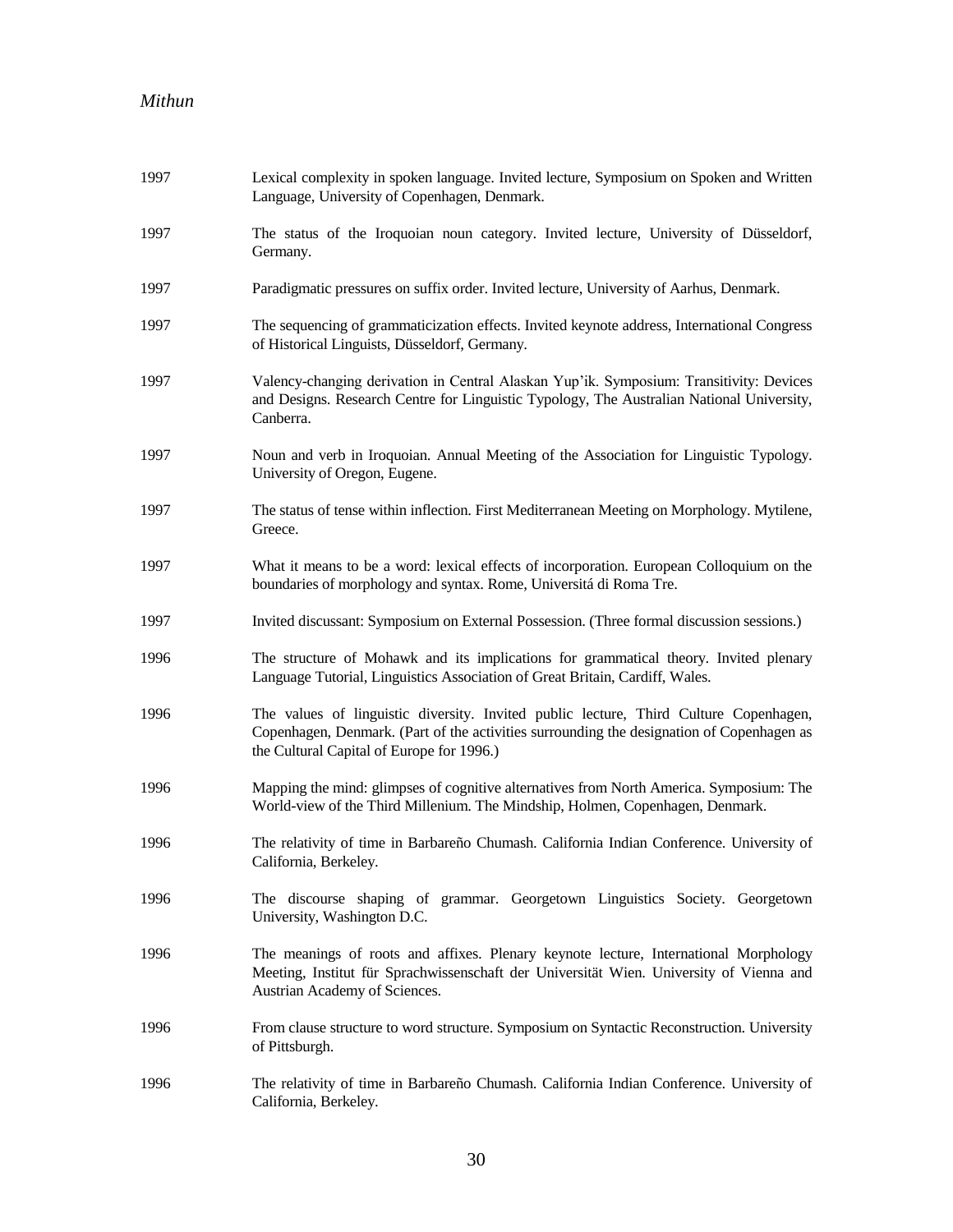| 1997 | Lexical complexity in spoken language. Invited lecture, Symposium on Spoken and Written<br>Language, University of Copenhagen, Denmark.                                                                                         |
|------|---------------------------------------------------------------------------------------------------------------------------------------------------------------------------------------------------------------------------------|
| 1997 | The status of the Iroquoian noun category. Invited lecture, University of Düsseldorf,<br>Germany.                                                                                                                               |
| 1997 | Paradigmatic pressures on suffix order. Invited lecture, University of Aarhus, Denmark.                                                                                                                                         |
| 1997 | The sequencing of grammaticization effects. Invited keynote address, International Congress<br>of Historical Linguists, Düsseldorf, Germany.                                                                                    |
| 1997 | Valency-changing derivation in Central Alaskan Yup'ik. Symposium: Transitivity: Devices<br>and Designs. Research Centre for Linguistic Typology, The Australian National University,<br>Canberra.                               |
| 1997 | Noun and verb in Iroquoian. Annual Meeting of the Association for Linguistic Typology.<br>University of Oregon, Eugene.                                                                                                         |
| 1997 | The status of tense within inflection. First Mediterranean Meeting on Morphology. Mytilene,<br>Greece.                                                                                                                          |
| 1997 | What it means to be a word: lexical effects of incorporation. European Colloquium on the<br>boundaries of morphology and syntax. Rome, Universitá di Roma Tre.                                                                  |
| 1997 | Invited discussant: Symposium on External Possession. (Three formal discussion sessions.)                                                                                                                                       |
| 1996 | The structure of Mohawk and its implications for grammatical theory. Invited plenary<br>Language Tutorial, Linguistics Association of Great Britain, Cardiff, Wales.                                                            |
| 1996 | The values of linguistic diversity. Invited public lecture, Third Culture Copenhagen,<br>Copenhagen, Denmark. (Part of the activities surrounding the designation of Copenhagen as<br>the Cultural Capital of Europe for 1996.) |
| 1996 | Mapping the mind: glimpses of cognitive alternatives from North America. Symposium: The<br>World-view of the Third Millenium. The Mindship, Holmen, Copenhagen, Denmark.                                                        |
| 1996 | The relativity of time in Barbareño Chumash. California Indian Conference. University of<br>California, Berkeley.                                                                                                               |
| 1996 | The discourse shaping of grammar. Georgetown Linguistics Society. Georgetown<br>University, Washington D.C.                                                                                                                     |
| 1996 | The meanings of roots and affixes. Plenary keynote lecture, International Morphology<br>Meeting, Institut für Sprachwissenschaft der Universität Wien. University of Vienna and<br>Austrian Academy of Sciences.                |
| 1996 | From clause structure to word structure. Symposium on Syntactic Reconstruction. University<br>of Pittsburgh.                                                                                                                    |
| 1996 | The relativity of time in Barbareño Chumash. California Indian Conference. University of<br>California, Berkeley.                                                                                                               |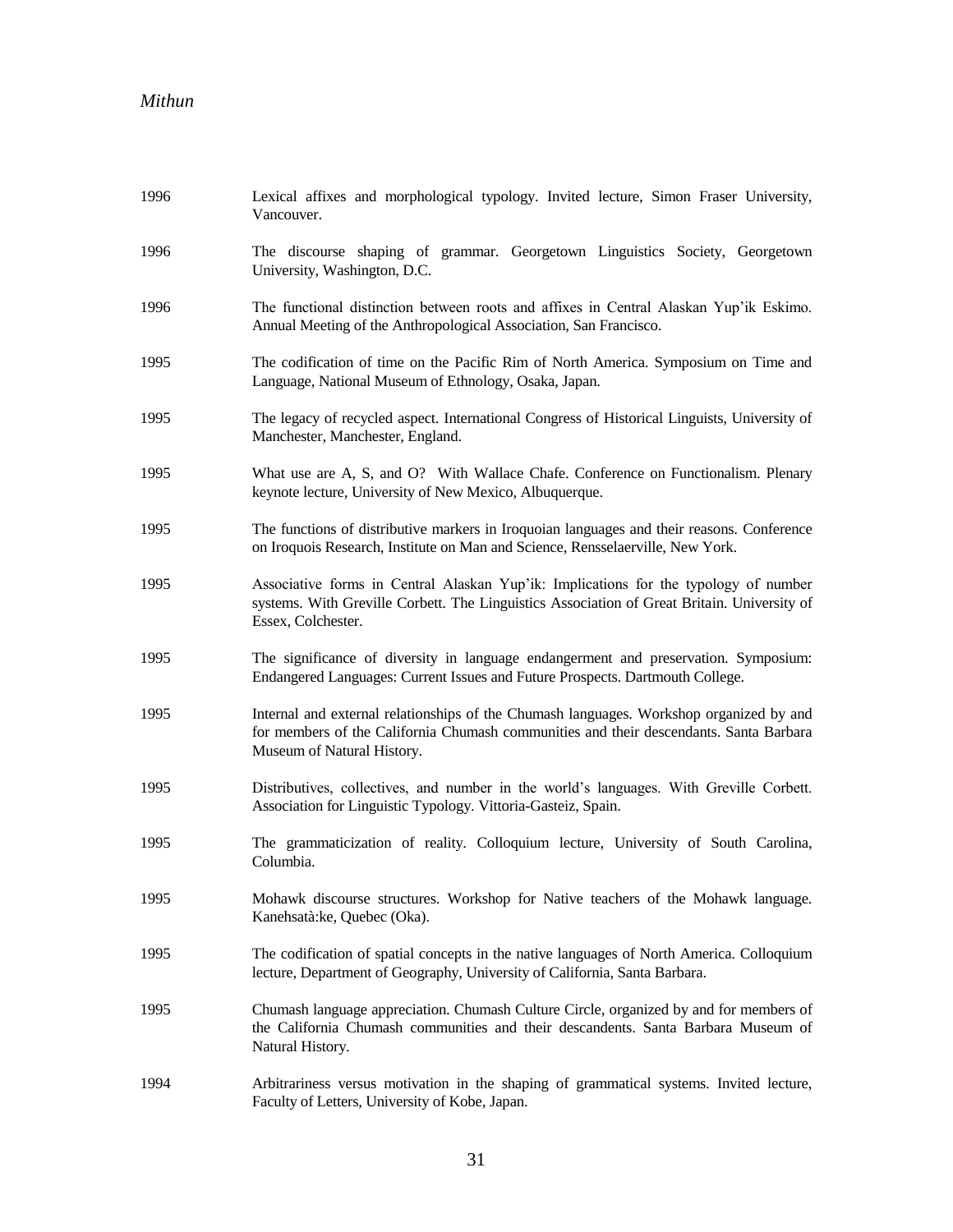| 1996 | Lexical affixes and morphological typology. Invited lecture, Simon Fraser University,<br>Vancouver.                                                                                                             |
|------|-----------------------------------------------------------------------------------------------------------------------------------------------------------------------------------------------------------------|
| 1996 | The discourse shaping of grammar. Georgetown Linguistics Society, Georgetown<br>University, Washington, D.C.                                                                                                    |
| 1996 | The functional distinction between roots and affixes in Central Alaskan Yup'ik Eskimo.<br>Annual Meeting of the Anthropological Association, San Francisco.                                                     |
| 1995 | The codification of time on the Pacific Rim of North America. Symposium on Time and<br>Language, National Museum of Ethnology, Osaka, Japan.                                                                    |
| 1995 | The legacy of recycled aspect. International Congress of Historical Linguists, University of<br>Manchester, Manchester, England.                                                                                |
| 1995 | What use are A, S, and O? With Wallace Chafe. Conference on Functionalism. Plenary<br>keynote lecture, University of New Mexico, Albuquerque.                                                                   |
| 1995 | The functions of distributive markers in Iroquoian languages and their reasons. Conference<br>on Iroquois Research, Institute on Man and Science, Rensselaerville, New York.                                    |
| 1995 | Associative forms in Central Alaskan Yup'ik: Implications for the typology of number<br>systems. With Greville Corbett. The Linguistics Association of Great Britain. University of<br>Essex, Colchester.       |
| 1995 | The significance of diversity in language endangerment and preservation. Symposium:<br>Endangered Languages: Current Issues and Future Prospects. Dartmouth College.                                            |
| 1995 | Internal and external relationships of the Chumash languages. Workshop organized by and<br>for members of the California Chumash communities and their descendants. Santa Barbara<br>Museum of Natural History. |
| 1995 | Distributives, collectives, and number in the world's languages. With Greville Corbett.<br>Association for Linguistic Typology. Vittoria-Gasteiz, Spain.                                                        |
| 1995 | The grammaticization of reality. Colloquium lecture, University of South Carolina,<br>Columbia.                                                                                                                 |
| 1995 | Mohawk discourse structures. Workshop for Native teachers of the Mohawk language.<br>Kanehsatà: ke, Quebec (Oka).                                                                                               |
| 1995 | The codification of spatial concepts in the native languages of North America. Colloquium<br>lecture, Department of Geography, University of California, Santa Barbara.                                         |
| 1995 | Chumash language appreciation. Chumash Culture Circle, organized by and for members of<br>the California Chumash communities and their descandents. Santa Barbara Museum of<br>Natural History.                 |
| 1994 | Arbitrariness versus motivation in the shaping of grammatical systems. Invited lecture,<br>Faculty of Letters, University of Kobe, Japan.                                                                       |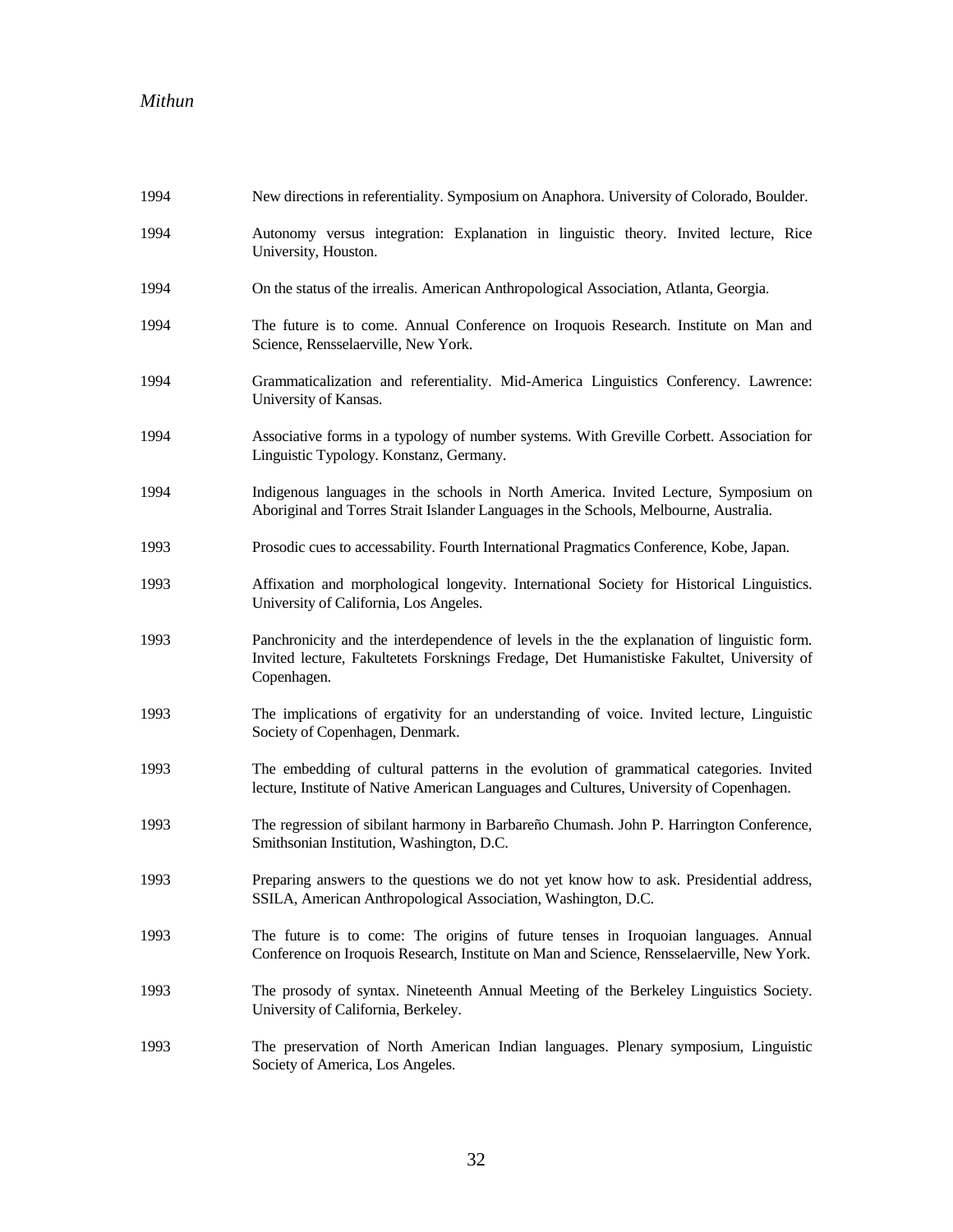| 1994 | New directions in referentiality. Symposium on Anaphora. University of Colorado, Boulder.                                                                                                              |
|------|--------------------------------------------------------------------------------------------------------------------------------------------------------------------------------------------------------|
| 1994 | Autonomy versus integration: Explanation in linguistic theory. Invited lecture, Rice<br>University, Houston.                                                                                           |
| 1994 | On the status of the irrealis. American Anthropological Association, Atlanta, Georgia.                                                                                                                 |
| 1994 | The future is to come. Annual Conference on Iroquois Research. Institute on Man and<br>Science, Rensselaerville, New York.                                                                             |
| 1994 | Grammaticalization and referentiality. Mid-America Linguistics Conferency. Lawrence:<br>University of Kansas.                                                                                          |
| 1994 | Associative forms in a typology of number systems. With Greville Corbett. Association for<br>Linguistic Typology. Konstanz, Germany.                                                                   |
| 1994 | Indigenous languages in the schools in North America. Invited Lecture, Symposium on<br>Aboriginal and Torres Strait Islander Languages in the Schools, Melbourne, Australia.                           |
| 1993 | Prosodic cues to accessability. Fourth International Pragmatics Conference, Kobe, Japan.                                                                                                               |
| 1993 | Affixation and morphological longevity. International Society for Historical Linguistics.<br>University of California, Los Angeles.                                                                    |
| 1993 | Panchronicity and the interdependence of levels in the the explanation of linguistic form.<br>Invited lecture, Fakultetets Forsknings Fredage, Det Humanistiske Fakultet, University of<br>Copenhagen. |
| 1993 | The implications of ergativity for an understanding of voice. Invited lecture, Linguistic<br>Society of Copenhagen, Denmark.                                                                           |
| 1993 | The embedding of cultural patterns in the evolution of grammatical categories. Invited<br>lecture, Institute of Native American Languages and Cultures, University of Copenhagen.                      |
| 1993 | The regression of sibilant harmony in Barbareño Chumash. John P. Harrington Conference,<br>Smithsonian Institution, Washington, D.C.                                                                   |
| 1993 | Preparing answers to the questions we do not yet know how to ask. Presidential address,<br>SSILA, American Anthropological Association, Washington, D.C.                                               |
| 1993 | The future is to come: The origins of future tenses in Iroquoian languages. Annual<br>Conference on Iroquois Research, Institute on Man and Science, Rensselaerville, New York.                        |
| 1993 | The prosody of syntax. Nineteenth Annual Meeting of the Berkeley Linguistics Society.<br>University of California, Berkeley.                                                                           |
| 1993 | The preservation of North American Indian languages. Plenary symposium, Linguistic<br>Society of America, Los Angeles.                                                                                 |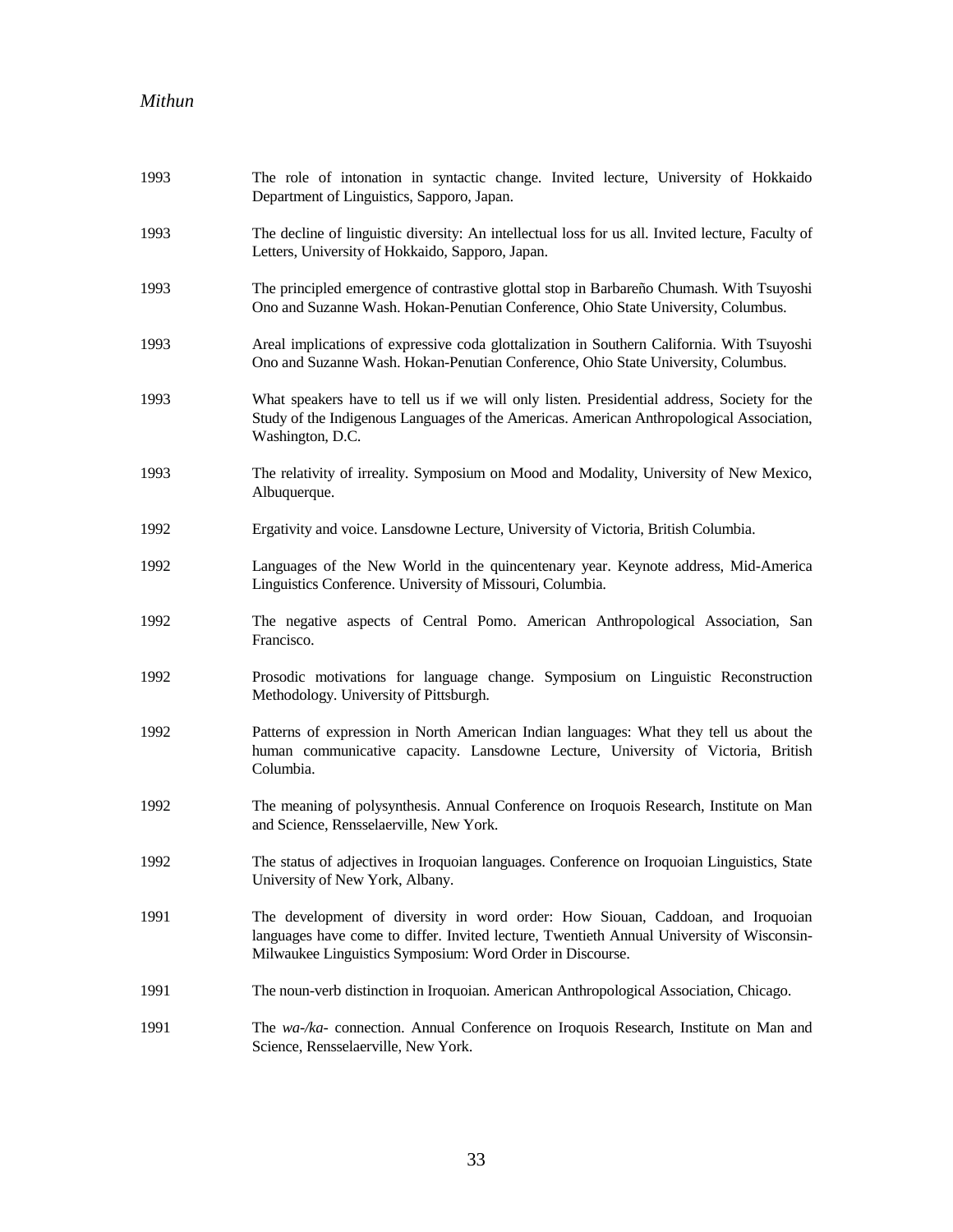| 1993 | The role of intonation in syntactic change. Invited lecture, University of Hokkaido<br>Department of Linguistics, Sapporo, Japan.                                                                                                        |
|------|------------------------------------------------------------------------------------------------------------------------------------------------------------------------------------------------------------------------------------------|
| 1993 | The decline of linguistic diversity: An intellectual loss for us all. Invited lecture, Faculty of<br>Letters, University of Hokkaido, Sapporo, Japan.                                                                                    |
| 1993 | The principled emergence of contrastive glottal stop in Barbareño Chumash. With Tsuyoshi<br>Ono and Suzanne Wash. Hokan-Penutian Conference, Ohio State University, Columbus.                                                            |
| 1993 | Areal implications of expressive coda glottalization in Southern California. With Tsuyoshi<br>Ono and Suzanne Wash. Hokan-Penutian Conference, Ohio State University, Columbus.                                                          |
| 1993 | What speakers have to tell us if we will only listen. Presidential address, Society for the<br>Study of the Indigenous Languages of the Americas. American Anthropological Association,<br>Washington, D.C.                              |
| 1993 | The relativity of irreality. Symposium on Mood and Modality, University of New Mexico,<br>Albuquerque.                                                                                                                                   |
| 1992 | Ergativity and voice. Lansdowne Lecture, University of Victoria, British Columbia.                                                                                                                                                       |
| 1992 | Languages of the New World in the quincentenary year. Keynote address, Mid-America<br>Linguistics Conference. University of Missouri, Columbia.                                                                                          |
| 1992 | The negative aspects of Central Pomo. American Anthropological Association, San<br>Francisco.                                                                                                                                            |
| 1992 | Prosodic motivations for language change. Symposium on Linguistic Reconstruction<br>Methodology. University of Pittsburgh.                                                                                                               |
| 1992 | Patterns of expression in North American Indian languages: What they tell us about the<br>human communicative capacity. Lansdowne Lecture, University of Victoria, British<br>Columbia.                                                  |
| 1992 | The meaning of polysynthesis. Annual Conference on Iroquois Research, Institute on Man<br>and Science, Rensselaerville, New York.                                                                                                        |
| 1992 | The status of adjectives in Iroquoian languages. Conference on Iroquoian Linguistics, State<br>University of New York, Albany.                                                                                                           |
| 1991 | The development of diversity in word order: How Siouan, Caddoan, and Iroquoian<br>languages have come to differ. Invited lecture, Twentieth Annual University of Wisconsin-<br>Milwaukee Linguistics Symposium: Word Order in Discourse. |
| 1991 | The noun-verb distinction in Iroquoian. American Anthropological Association, Chicago.                                                                                                                                                   |
| 1991 | The wa-/ka- connection. Annual Conference on Iroquois Research, Institute on Man and<br>Science, Rensselaerville, New York.                                                                                                              |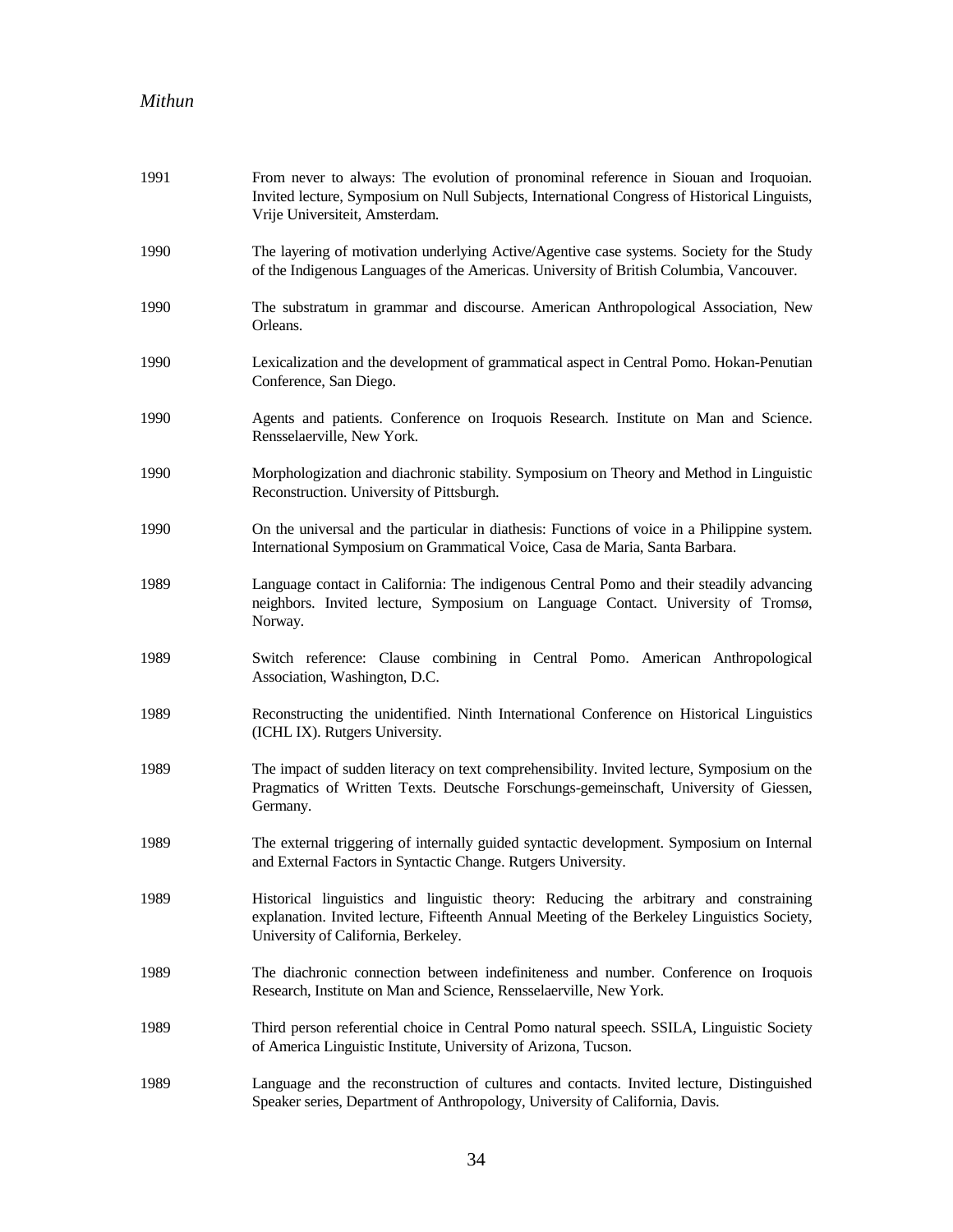| 1991 | From never to always: The evolution of pronominal reference in Siouan and Iroquoian.<br>Invited lecture, Symposium on Null Subjects, International Congress of Historical Linguists,<br>Vrije Universiteit, Amsterdam.      |
|------|-----------------------------------------------------------------------------------------------------------------------------------------------------------------------------------------------------------------------------|
| 1990 | The layering of motivation underlying Active/Agentive case systems. Society for the Study<br>of the Indigenous Languages of the Americas. University of British Columbia, Vancouver.                                        |
| 1990 | The substratum in grammar and discourse. American Anthropological Association, New<br>Orleans.                                                                                                                              |
| 1990 | Lexicalization and the development of grammatical aspect in Central Pomo. Hokan-Penutian<br>Conference, San Diego.                                                                                                          |
| 1990 | Agents and patients. Conference on Iroquois Research. Institute on Man and Science.<br>Rensselaerville, New York.                                                                                                           |
| 1990 | Morphologization and diachronic stability. Symposium on Theory and Method in Linguistic<br>Reconstruction. University of Pittsburgh.                                                                                        |
| 1990 | On the universal and the particular in diathesis: Functions of voice in a Philippine system.<br>International Symposium on Grammatical Voice, Casa de Maria, Santa Barbara.                                                 |
| 1989 | Language contact in California: The indigenous Central Pomo and their steadily advancing<br>neighbors. Invited lecture, Symposium on Language Contact. University of Tromsø,<br>Norway.                                     |
| 1989 | Switch reference: Clause combining in Central Pomo. American Anthropological<br>Association, Washington, D.C.                                                                                                               |
| 1989 | Reconstructing the unidentified. Ninth International Conference on Historical Linguistics<br>(ICHL IX). Rutgers University.                                                                                                 |
| 1989 | The impact of sudden literacy on text comprehensibility. Invited lecture, Symposium on the<br>Pragmatics of Written Texts. Deutsche Forschungs-gemeinschaft, University of Giessen,<br>Germany.                             |
| 1989 | The external triggering of internally guided syntactic development. Symposium on Internal<br>and External Factors in Syntactic Change. Rutgers University.                                                                  |
| 1989 | Historical linguistics and linguistic theory: Reducing the arbitrary and constraining<br>explanation. Invited lecture, Fifteenth Annual Meeting of the Berkeley Linguistics Society,<br>University of California, Berkeley. |
| 1989 | The diachronic connection between indefiniteness and number. Conference on Iroquois<br>Research, Institute on Man and Science, Rensselaerville, New York.                                                                   |
| 1989 | Third person referential choice in Central Pomo natural speech. SSILA, Linguistic Society<br>of America Linguistic Institute, University of Arizona, Tucson.                                                                |
| 1989 | Language and the reconstruction of cultures and contacts. Invited lecture, Distinguished<br>Speaker series, Department of Anthropology, University of California, Davis.                                                    |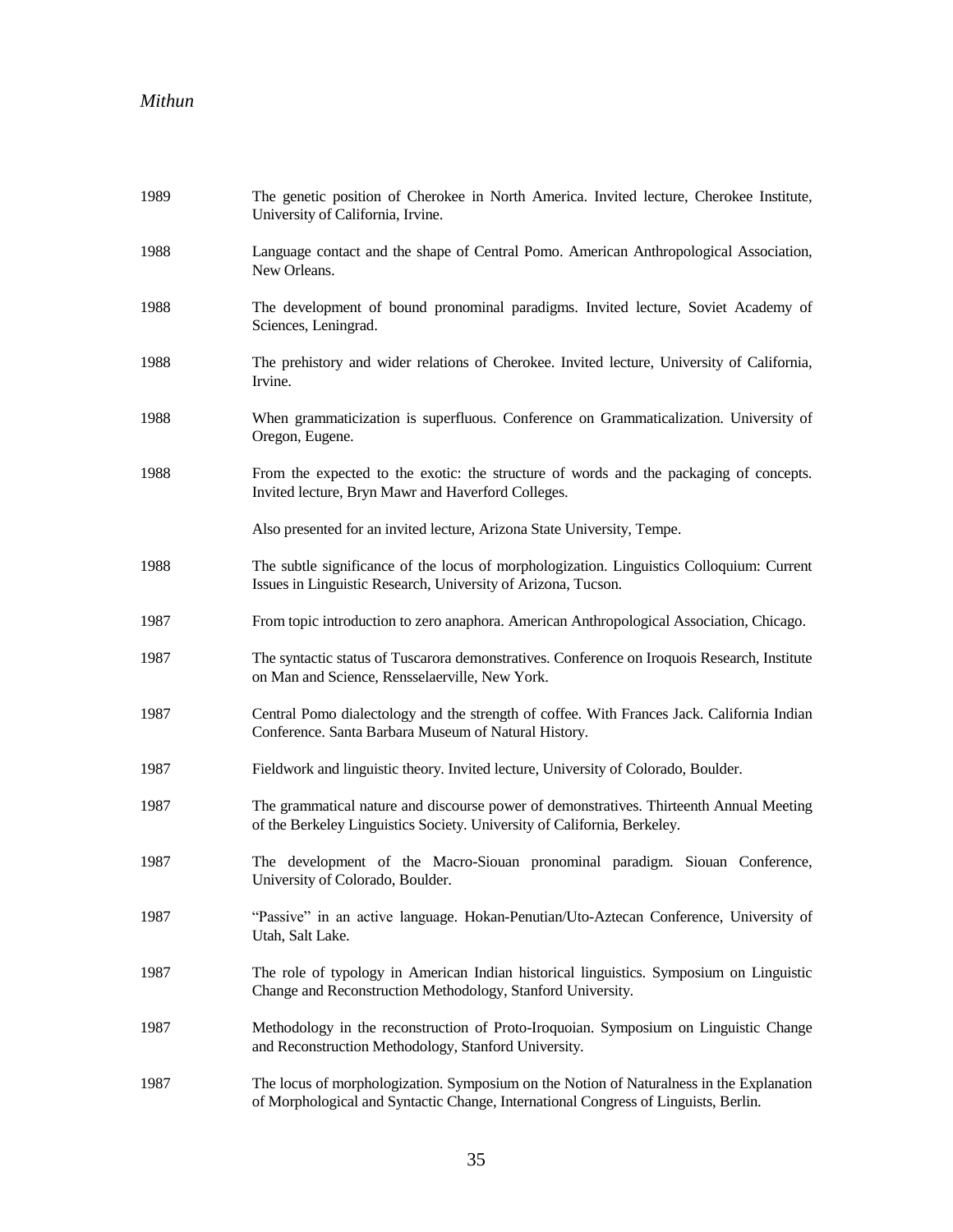| 1989 | The genetic position of Cherokee in North America. Invited lecture, Cherokee Institute,<br>University of California, Irvine.                                                    |
|------|---------------------------------------------------------------------------------------------------------------------------------------------------------------------------------|
| 1988 | Language contact and the shape of Central Pomo. American Anthropological Association,<br>New Orleans.                                                                           |
| 1988 | The development of bound pronominal paradigms. Invited lecture, Soviet Academy of<br>Sciences, Leningrad.                                                                       |
| 1988 | The prehistory and wider relations of Cherokee. Invited lecture, University of California,<br>Irvine.                                                                           |
| 1988 | When grammaticization is superfluous. Conference on Grammaticalization. University of<br>Oregon, Eugene.                                                                        |
| 1988 | From the expected to the exotic: the structure of words and the packaging of concepts.<br>Invited lecture, Bryn Mawr and Haverford Colleges.                                    |
|      | Also presented for an invited lecture, Arizona State University, Tempe.                                                                                                         |
| 1988 | The subtle significance of the locus of morphologization. Linguistics Colloquium: Current<br>Issues in Linguistic Research, University of Arizona, Tucson.                      |
| 1987 | From topic introduction to zero anaphora. American Anthropological Association, Chicago.                                                                                        |
| 1987 | The syntactic status of Tuscarora demonstratives. Conference on Iroquois Research, Institute<br>on Man and Science, Rensselaerville, New York.                                  |
| 1987 | Central Pomo dialectology and the strength of coffee. With Frances Jack. California Indian<br>Conference. Santa Barbara Museum of Natural History.                              |
| 1987 | Fieldwork and linguistic theory. Invited lecture, University of Colorado, Boulder.                                                                                              |
| 1987 | The grammatical nature and discourse power of demonstratives. Thirteenth Annual Meeting<br>of the Berkeley Linguistics Society. University of California, Berkeley.             |
| 1987 | The development of the Macro-Siouan pronominal paradigm. Siouan Conference,<br>University of Colorado, Boulder.                                                                 |
| 1987 | "Passive" in an active language. Hokan-Penutian/Uto-Aztecan Conference, University of<br>Utah, Salt Lake.                                                                       |
| 1987 | The role of typology in American Indian historical linguistics. Symposium on Linguistic<br>Change and Reconstruction Methodology, Stanford University.                          |
| 1987 | Methodology in the reconstruction of Proto-Iroquoian. Symposium on Linguistic Change<br>and Reconstruction Methodology, Stanford University.                                    |
| 1987 | The locus of morphologization. Symposium on the Notion of Naturalness in the Explanation<br>of Morphological and Syntactic Change, International Congress of Linguists, Berlin. |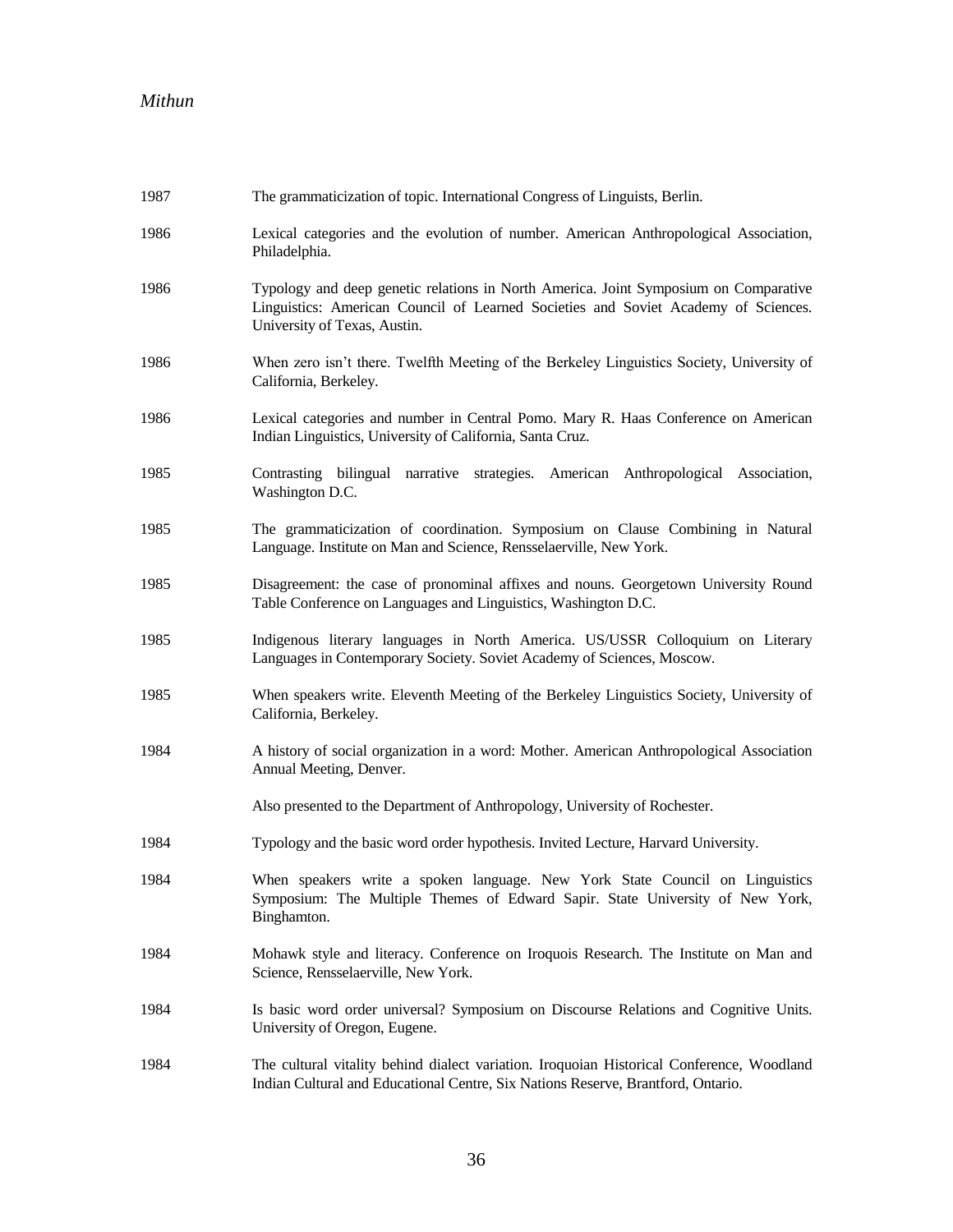| 1987 | The grammaticization of topic. International Congress of Linguists, Berlin.                                                                                                                                |
|------|------------------------------------------------------------------------------------------------------------------------------------------------------------------------------------------------------------|
| 1986 | Lexical categories and the evolution of number. American Anthropological Association,<br>Philadelphia.                                                                                                     |
| 1986 | Typology and deep genetic relations in North America. Joint Symposium on Comparative<br>Linguistics: American Council of Learned Societies and Soviet Academy of Sciences.<br>University of Texas, Austin. |
| 1986 | When zero isn't there. Twelfth Meeting of the Berkeley Linguistics Society, University of<br>California, Berkeley.                                                                                         |
| 1986 | Lexical categories and number in Central Pomo. Mary R. Haas Conference on American<br>Indian Linguistics, University of California, Santa Cruz.                                                            |
| 1985 | Contrasting bilingual narrative strategies. American Anthropological Association,<br>Washington D.C.                                                                                                       |
| 1985 | The grammaticization of coordination. Symposium on Clause Combining in Natural<br>Language. Institute on Man and Science, Rensselaerville, New York.                                                       |
| 1985 | Disagreement: the case of pronominal affixes and nouns. Georgetown University Round<br>Table Conference on Languages and Linguistics, Washington D.C.                                                      |
| 1985 | Indigenous literary languages in North America. US/USSR Colloquium on Literary<br>Languages in Contemporary Society. Soviet Academy of Sciences, Moscow.                                                   |
| 1985 | When speakers write. Eleventh Meeting of the Berkeley Linguistics Society, University of<br>California, Berkeley.                                                                                          |
| 1984 | A history of social organization in a word: Mother. American Anthropological Association<br>Annual Meeting, Denver.                                                                                        |
|      | Also presented to the Department of Anthropology, University of Rochester.                                                                                                                                 |
| 1984 | Typology and the basic word order hypothesis. Invited Lecture, Harvard University.                                                                                                                         |
| 1984 | When speakers write a spoken language. New York State Council on Linguistics<br>Symposium: The Multiple Themes of Edward Sapir. State University of New York,<br>Binghamton.                               |
| 1984 | Mohawk style and literacy. Conference on Iroquois Research. The Institute on Man and<br>Science, Rensselaerville, New York.                                                                                |
| 1984 | Is basic word order universal? Symposium on Discourse Relations and Cognitive Units.<br>University of Oregon, Eugene.                                                                                      |
| 1984 | The cultural vitality behind dialect variation. Iroquoian Historical Conference, Woodland<br>Indian Cultural and Educational Centre, Six Nations Reserve, Brantford, Ontario.                              |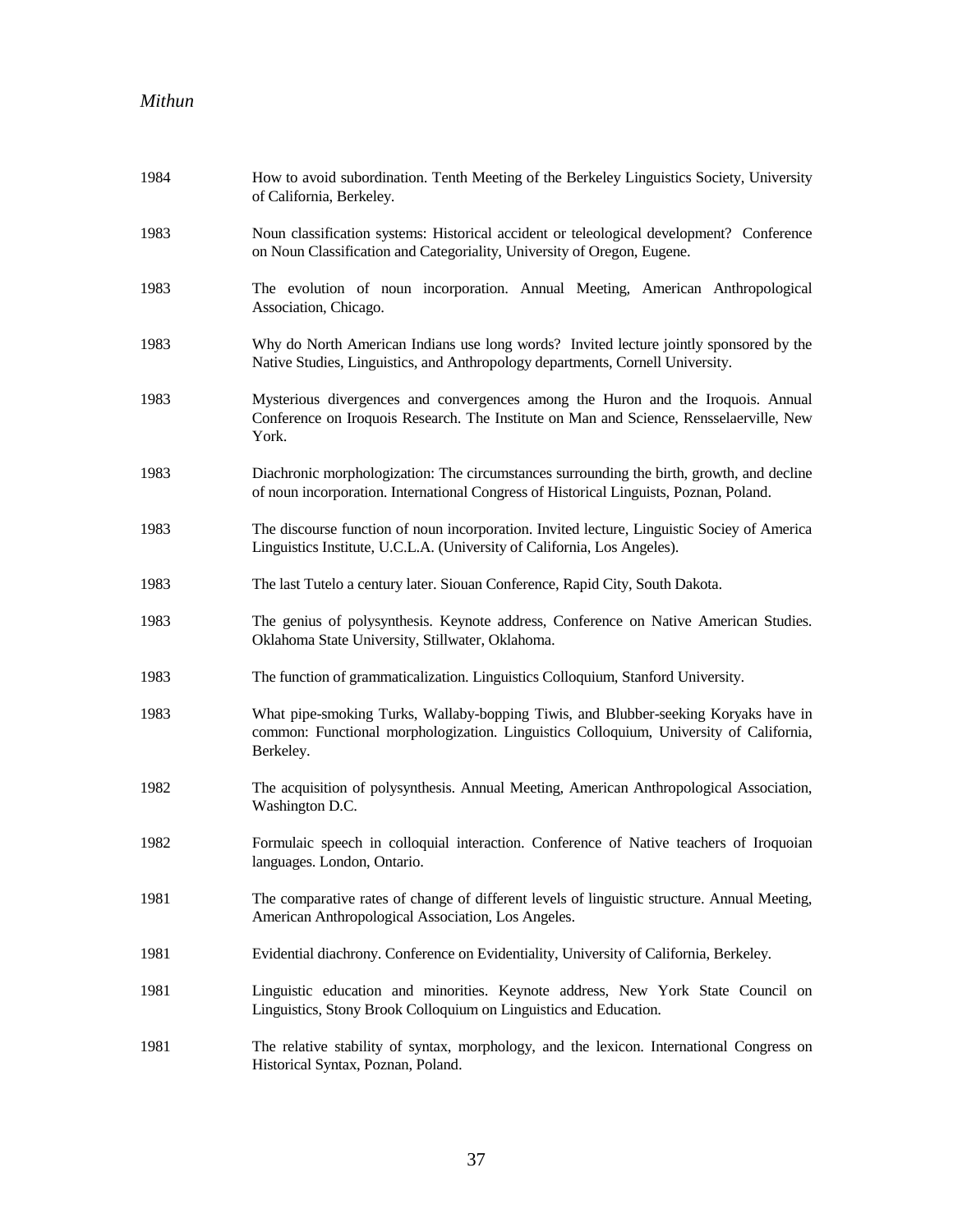| 1984 | How to avoid subordination. Tenth Meeting of the Berkeley Linguistics Society, University<br>of California, Berkeley.                                                                      |
|------|--------------------------------------------------------------------------------------------------------------------------------------------------------------------------------------------|
| 1983 | Noun classification systems: Historical accident or teleological development? Conference<br>on Noun Classification and Categoriality, University of Oregon, Eugene.                        |
| 1983 | The evolution of noun incorporation. Annual Meeting, American Anthropological<br>Association, Chicago.                                                                                     |
| 1983 | Why do North American Indians use long words? Invited lecture jointly sponsored by the<br>Native Studies, Linguistics, and Anthropology departments, Cornell University.                   |
| 1983 | Mysterious divergences and convergences among the Huron and the Iroquois. Annual<br>Conference on Iroquois Research. The Institute on Man and Science, Rensselaerville, New<br>York.       |
| 1983 | Diachronic morphologization: The circumstances surrounding the birth, growth, and decline<br>of noun incorporation. International Congress of Historical Linguists, Poznan, Poland.        |
| 1983 | The discourse function of noun incorporation. Invited lecture, Linguistic Sociey of America<br>Linguistics Institute, U.C.L.A. (University of California, Los Angeles).                    |
| 1983 | The last Tutelo a century later. Siouan Conference, Rapid City, South Dakota.                                                                                                              |
| 1983 | The genius of polysynthesis. Keynote address, Conference on Native American Studies.<br>Oklahoma State University, Stillwater, Oklahoma.                                                   |
| 1983 | The function of grammaticalization. Linguistics Colloquium, Stanford University.                                                                                                           |
| 1983 | What pipe-smoking Turks, Wallaby-bopping Tiwis, and Blubber-seeking Koryaks have in<br>common: Functional morphologization. Linguistics Colloquium, University of California,<br>Berkeley. |
| 1982 | The acquisition of polysynthesis. Annual Meeting, American Anthropological Association,<br>Washington D.C.                                                                                 |
| 1982 | Formulaic speech in colloquial interaction. Conference of Native teachers of Iroquoian<br>languages. London, Ontario.                                                                      |
| 1981 | The comparative rates of change of different levels of linguistic structure. Annual Meeting,<br>American Anthropological Association, Los Angeles.                                         |
| 1981 | Evidential diachrony. Conference on Evidentiality, University of California, Berkeley.                                                                                                     |
| 1981 | Linguistic education and minorities. Keynote address, New York State Council on<br>Linguistics, Stony Brook Colloquium on Linguistics and Education.                                       |
| 1981 | The relative stability of syntax, morphology, and the lexicon. International Congress on<br>Historical Syntax, Poznan, Poland.                                                             |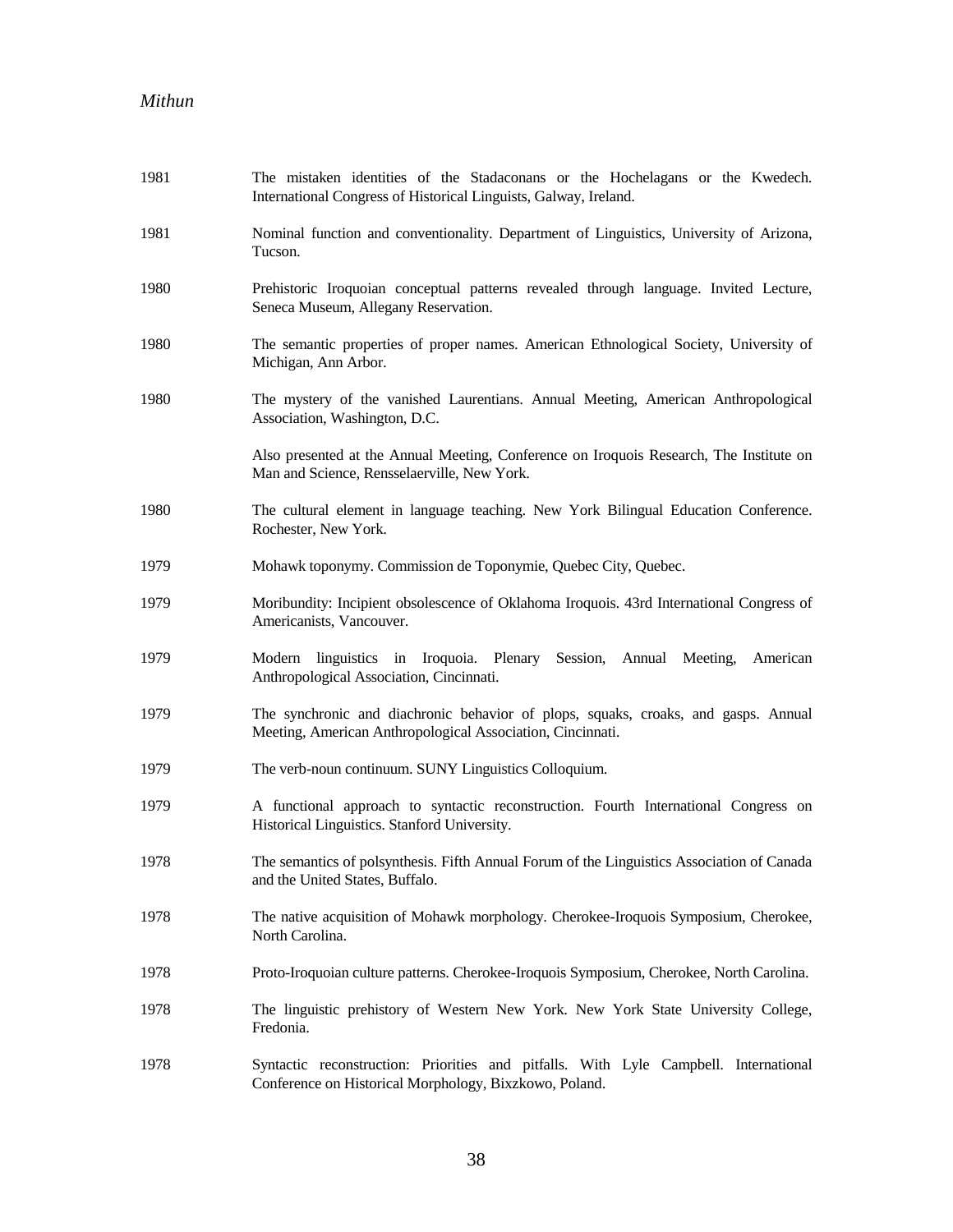| 1981 | The mistaken identities of the Stadaconans or the Hochelagans or the Kwedech.<br>International Congress of Historical Linguists, Galway, Ireland. |
|------|---------------------------------------------------------------------------------------------------------------------------------------------------|
| 1981 | Nominal function and conventionality. Department of Linguistics, University of Arizona,<br>Tucson.                                                |
| 1980 | Prehistoric Iroquoian conceptual patterns revealed through language. Invited Lecture,<br>Seneca Museum, Allegany Reservation.                     |
| 1980 | The semantic properties of proper names. American Ethnological Society, University of<br>Michigan, Ann Arbor.                                     |
| 1980 | The mystery of the vanished Laurentians. Annual Meeting, American Anthropological<br>Association, Washington, D.C.                                |
|      | Also presented at the Annual Meeting, Conference on Iroquois Research, The Institute on<br>Man and Science, Rensselaerville, New York.            |
| 1980 | The cultural element in language teaching. New York Bilingual Education Conference.<br>Rochester, New York.                                       |
| 1979 | Mohawk toponymy. Commission de Toponymie, Quebec City, Quebec.                                                                                    |
| 1979 | Moribundity: Incipient obsolescence of Oklahoma Iroquois. 43rd International Congress of<br>Americanists, Vancouver.                              |
| 1979 | Modern linguistics in Iroquoia. Plenary Session, Annual Meeting, American<br>Anthropological Association, Cincinnati.                             |
| 1979 | The synchronic and diachronic behavior of plops, squaks, croaks, and gasps. Annual<br>Meeting, American Anthropological Association, Cincinnati.  |
| 1979 | The verb-noun continuum. SUNY Linguistics Colloquium.                                                                                             |
| 1979 | A functional approach to syntactic reconstruction. Fourth International Congress on<br>Historical Linguistics. Stanford University.               |
| 1978 | The semantics of polsynthesis. Fifth Annual Forum of the Linguistics Association of Canada<br>and the United States, Buffalo.                     |
| 1978 | The native acquisition of Mohawk morphology. Cherokee-Iroquois Symposium, Cherokee,<br>North Carolina.                                            |
| 1978 | Proto-Iroquoian culture patterns. Cherokee-Iroquois Symposium, Cherokee, North Carolina.                                                          |
| 1978 | The linguistic prehistory of Western New York. New York State University College,<br>Fredonia.                                                    |
| 1978 | Syntactic reconstruction: Priorities and pitfalls. With Lyle Campbell. International<br>Conference on Historical Morphology, Bixzkowo, Poland.    |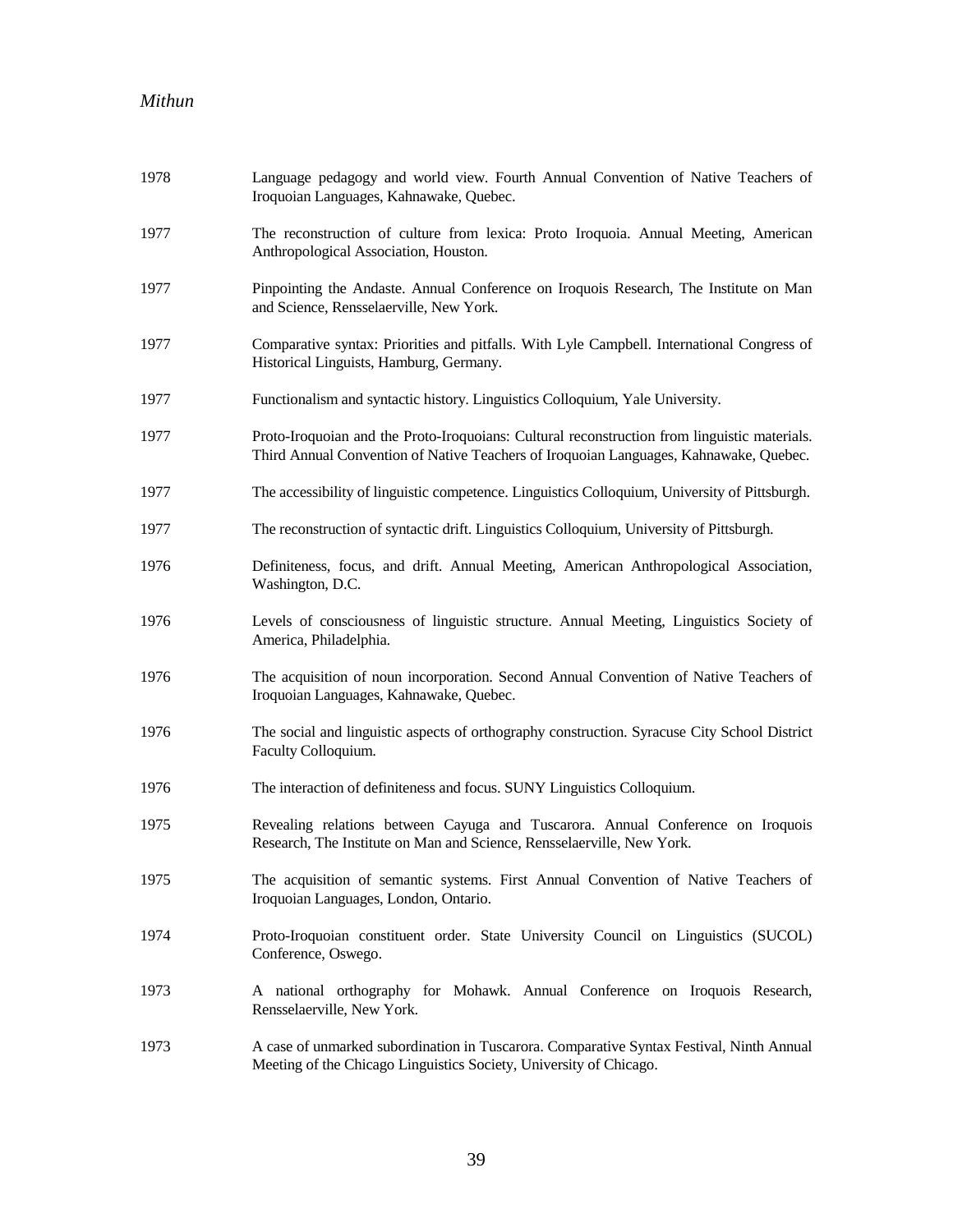| 1978 | Language pedagogy and world view. Fourth Annual Convention of Native Teachers of<br>Iroquoian Languages, Kahnawake, Quebec.                                                           |
|------|---------------------------------------------------------------------------------------------------------------------------------------------------------------------------------------|
| 1977 | The reconstruction of culture from lexica: Proto Iroquoia. Annual Meeting, American<br>Anthropological Association, Houston.                                                          |
| 1977 | Pinpointing the Andaste. Annual Conference on Iroquois Research, The Institute on Man<br>and Science, Rensselaerville, New York.                                                      |
| 1977 | Comparative syntax: Priorities and pitfalls. With Lyle Campbell. International Congress of<br>Historical Linguists, Hamburg, Germany.                                                 |
| 1977 | Functionalism and syntactic history. Linguistics Colloquium, Yale University.                                                                                                         |
| 1977 | Proto-Iroquoian and the Proto-Iroquoians: Cultural reconstruction from linguistic materials.<br>Third Annual Convention of Native Teachers of Iroquoian Languages, Kahnawake, Quebec. |
| 1977 | The accessibility of linguistic competence. Linguistics Colloquium, University of Pittsburgh.                                                                                         |
| 1977 | The reconstruction of syntactic drift. Linguistics Colloquium, University of Pittsburgh.                                                                                              |
| 1976 | Definiteness, focus, and drift. Annual Meeting, American Anthropological Association,<br>Washington, D.C.                                                                             |
| 1976 | Levels of consciousness of linguistic structure. Annual Meeting, Linguistics Society of<br>America, Philadelphia.                                                                     |
| 1976 | The acquisition of noun incorporation. Second Annual Convention of Native Teachers of<br>Iroquoian Languages, Kahnawake, Quebec.                                                      |
| 1976 | The social and linguistic aspects of orthography construction. Syracuse City School District<br>Faculty Colloquium.                                                                   |
| 1976 | The interaction of definiteness and focus. SUNY Linguistics Colloquium.                                                                                                               |
| 1975 | Revealing relations between Cayuga and Tuscarora. Annual Conference on Iroquois<br>Research, The Institute on Man and Science, Rensselaerville, New York.                             |
| 1975 | The acquisition of semantic systems. First Annual Convention of Native Teachers of<br>Iroquoian Languages, London, Ontario.                                                           |
| 1974 | Proto-Iroquoian constituent order. State University Council on Linguistics (SUCOL)<br>Conference, Oswego.                                                                             |
| 1973 | A national orthography for Mohawk. Annual Conference on Iroquois Research,<br>Rensselaerville, New York.                                                                              |
| 1973 | A case of unmarked subordination in Tuscarora. Comparative Syntax Festival, Ninth Annual<br>Meeting of the Chicago Linguistics Society, University of Chicago.                        |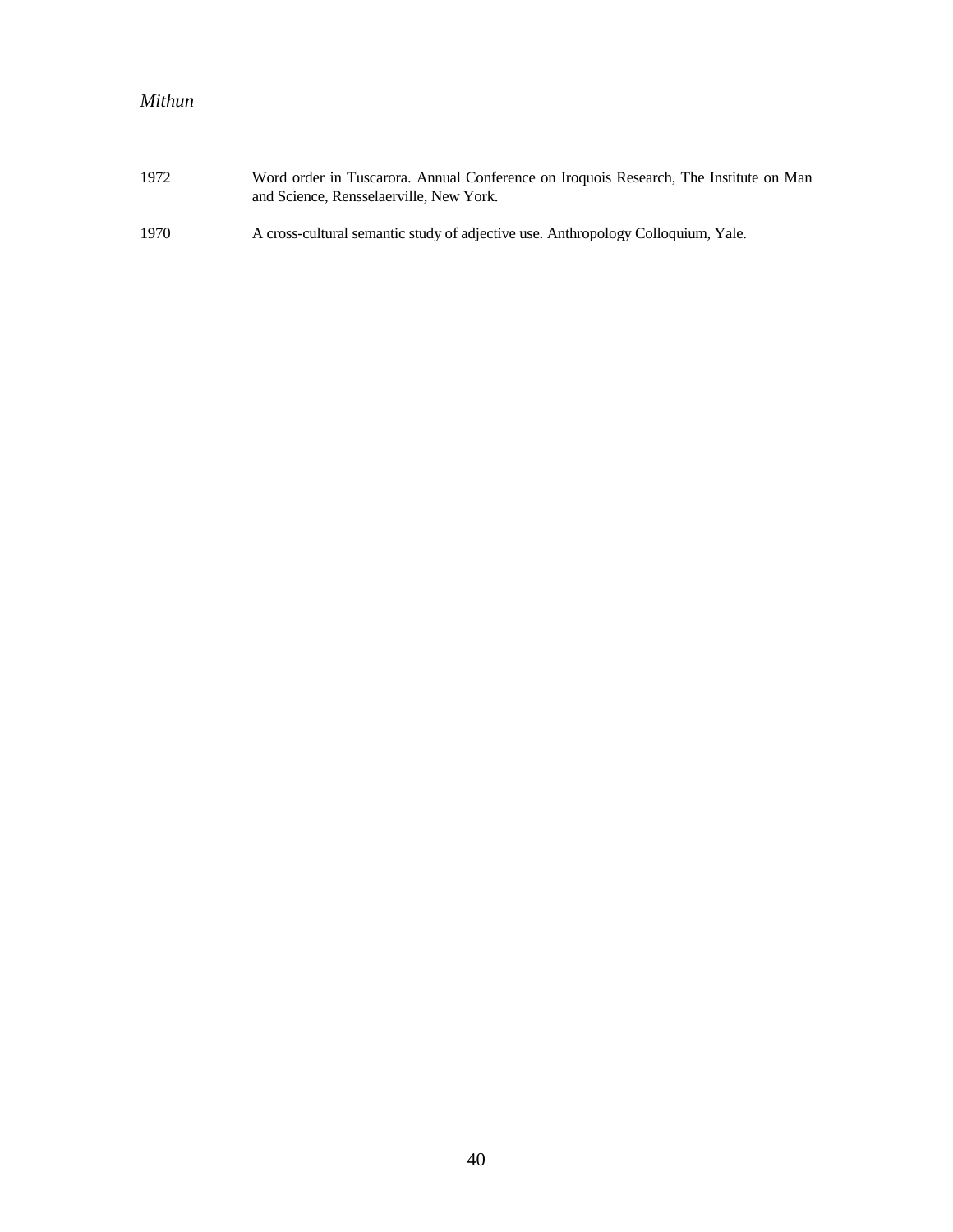| 1972 | Word order in Tuscarora. Annual Conference on Iroquois Research, The Institute on Man<br>and Science, Rensselaerville, New York. |
|------|----------------------------------------------------------------------------------------------------------------------------------|
| 1970 | A cross-cultural semantic study of adjective use. Anthropology Colloquium, Yale.                                                 |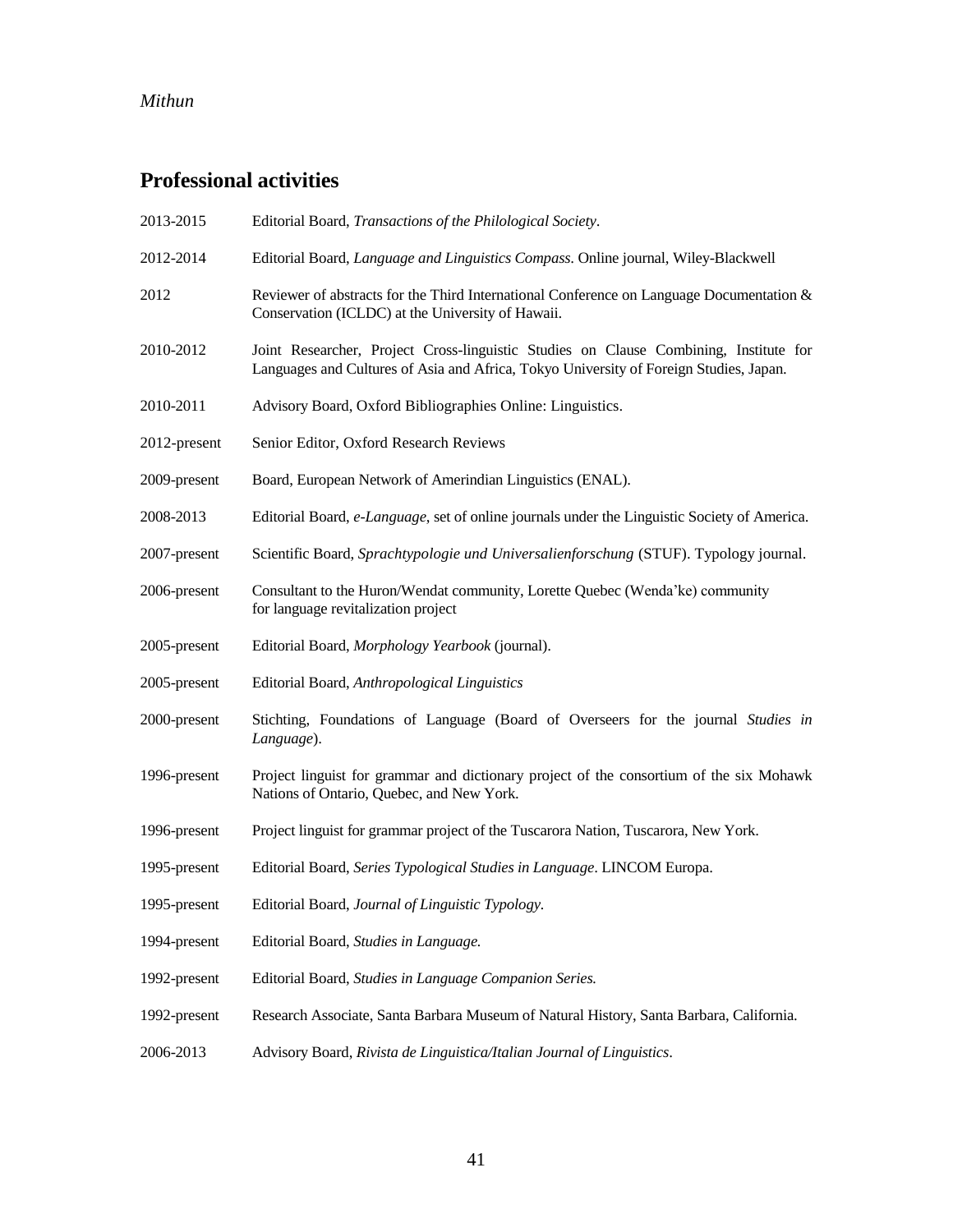# **Professional activities**

| 2013-2015    | Editorial Board, Transactions of the Philological Society.                                                                                                                      |
|--------------|---------------------------------------------------------------------------------------------------------------------------------------------------------------------------------|
| 2012-2014    | Editorial Board, Language and Linguistics Compass. Online journal, Wiley-Blackwell                                                                                              |
| 2012         | Reviewer of abstracts for the Third International Conference on Language Documentation $\&$<br>Conservation (ICLDC) at the University of Hawaii.                                |
| 2010-2012    | Joint Researcher, Project Cross-linguistic Studies on Clause Combining, Institute for<br>Languages and Cultures of Asia and Africa, Tokyo University of Foreign Studies, Japan. |
| 2010-2011    | Advisory Board, Oxford Bibliographies Online: Linguistics.                                                                                                                      |
| 2012-present | Senior Editor, Oxford Research Reviews                                                                                                                                          |
| 2009-present | Board, European Network of Amerindian Linguistics (ENAL).                                                                                                                       |
| 2008-2013    | Editorial Board, e-Language, set of online journals under the Linguistic Society of America.                                                                                    |
| 2007-present | Scientific Board, Sprachtypologie und Universalienforschung (STUF). Typology journal.                                                                                           |
| 2006-present | Consultant to the Huron/Wendat community, Lorette Quebec (Wenda'ke) community<br>for language revitalization project                                                            |
| 2005-present | Editorial Board, Morphology Yearbook (journal).                                                                                                                                 |
| 2005-present | Editorial Board, Anthropological Linguistics                                                                                                                                    |
| 2000-present | Stichting, Foundations of Language (Board of Overseers for the journal Studies in<br>Language).                                                                                 |
| 1996-present | Project linguist for grammar and dictionary project of the consortium of the six Mohawk<br>Nations of Ontario, Quebec, and New York.                                            |
| 1996-present | Project linguist for grammar project of the Tuscarora Nation, Tuscarora, New York.                                                                                              |
| 1995-present | Editorial Board, Series Typological Studies in Language. LINCOM Europa.                                                                                                         |
| 1995-present | Editorial Board, Journal of Linguistic Typology.                                                                                                                                |
| 1994-present | Editorial Board, Studies in Language.                                                                                                                                           |
| 1992-present | Editorial Board, Studies in Language Companion Series.                                                                                                                          |
| 1992-present | Research Associate, Santa Barbara Museum of Natural History, Santa Barbara, California.                                                                                         |
| 2006-2013    | Advisory Board, Rivista de Linguistica/Italian Journal of Linguistics.                                                                                                          |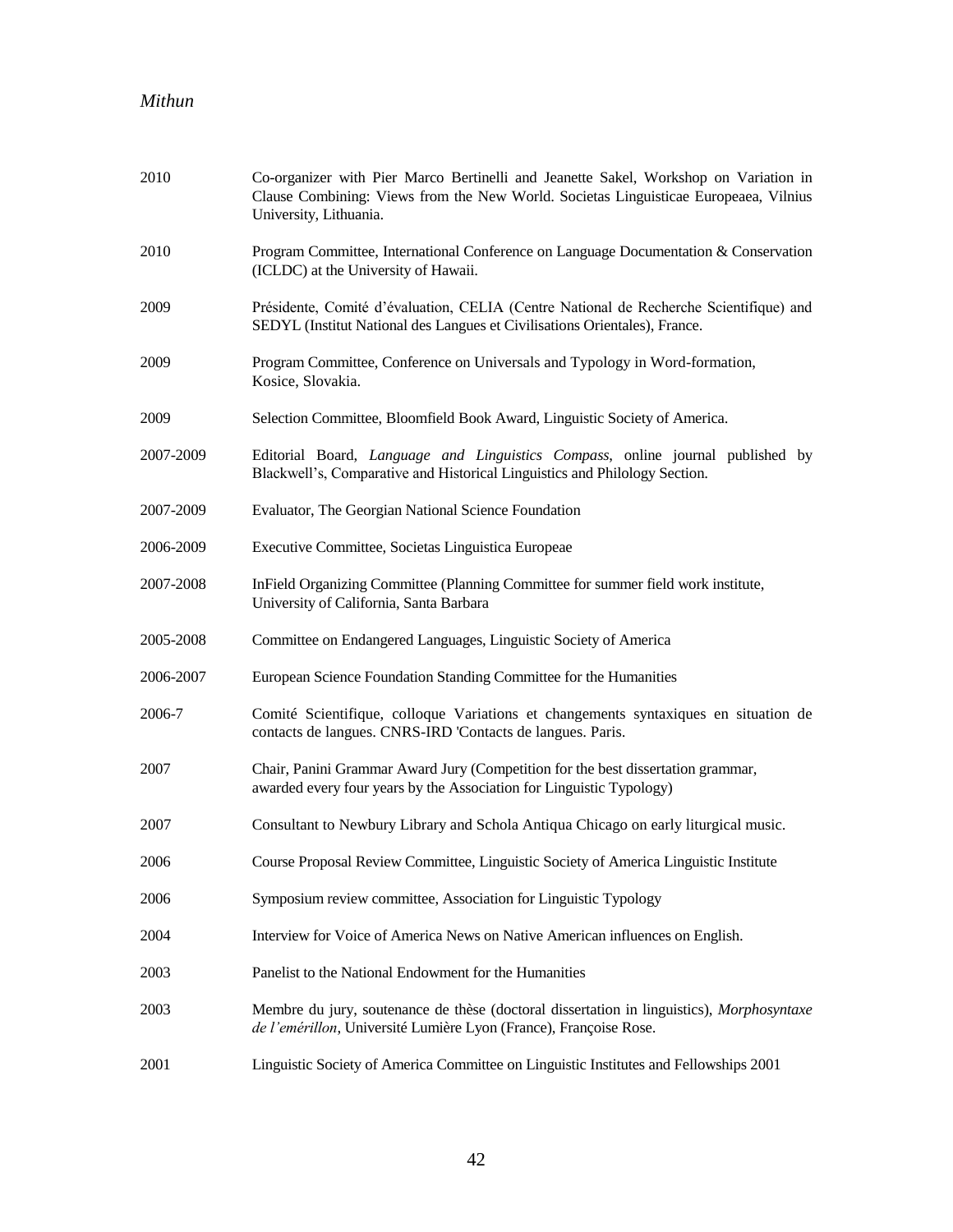| 2010      | Co-organizer with Pier Marco Bertinelli and Jeanette Sakel, Workshop on Variation in<br>Clause Combining: Views from the New World. Societas Linguisticae Europeaea, Vilnius<br>University, Lithuania. |
|-----------|--------------------------------------------------------------------------------------------------------------------------------------------------------------------------------------------------------|
| 2010      | Program Committee, International Conference on Language Documentation & Conservation<br>(ICLDC) at the University of Hawaii.                                                                           |
| 2009      | Présidente, Comité d'évaluation, CELIA (Centre National de Recherche Scientifique) and<br>SEDYL (Institut National des Langues et Civilisations Orientales), France.                                   |
| 2009      | Program Committee, Conference on Universals and Typology in Word-formation,<br>Kosice, Slovakia.                                                                                                       |
| 2009      | Selection Committee, Bloomfield Book Award, Linguistic Society of America.                                                                                                                             |
| 2007-2009 | Editorial Board, Language and Linguistics Compass, online journal published by<br>Blackwell's, Comparative and Historical Linguistics and Philology Section.                                           |
| 2007-2009 | Evaluator, The Georgian National Science Foundation                                                                                                                                                    |
| 2006-2009 | Executive Committee, Societas Linguistica Europeae                                                                                                                                                     |
| 2007-2008 | InField Organizing Committee (Planning Committee for summer field work institute,<br>University of California, Santa Barbara                                                                           |
| 2005-2008 | Committee on Endangered Languages, Linguistic Society of America                                                                                                                                       |
| 2006-2007 | European Science Foundation Standing Committee for the Humanities                                                                                                                                      |
| 2006-7    | Comité Scientifique, colloque Variations et changements syntaxiques en situation de<br>contacts de langues. CNRS-IRD 'Contacts de langues. Paris.                                                      |
| 2007      | Chair, Panini Grammar Award Jury (Competition for the best dissertation grammar,<br>awarded every four years by the Association for Linguistic Typology)                                               |
| 2007      | Consultant to Newbury Library and Schola Antiqua Chicago on early liturgical music.                                                                                                                    |
| 2006      | Course Proposal Review Committee, Linguistic Society of America Linguistic Institute                                                                                                                   |
| 2006      | Symposium review committee, Association for Linguistic Typology                                                                                                                                        |
| 2004      | Interview for Voice of America News on Native American influences on English.                                                                                                                          |
| 2003      | Panelist to the National Endowment for the Humanities                                                                                                                                                  |
| 2003      | Membre du jury, soutenance de thèse (doctoral dissertation in linguistics), Morphosyntaxe<br>de l'emérillon, Université Lumière Lyon (France), Françoise Rose.                                         |
| 2001      | Linguistic Society of America Committee on Linguistic Institutes and Fellowships 2001                                                                                                                  |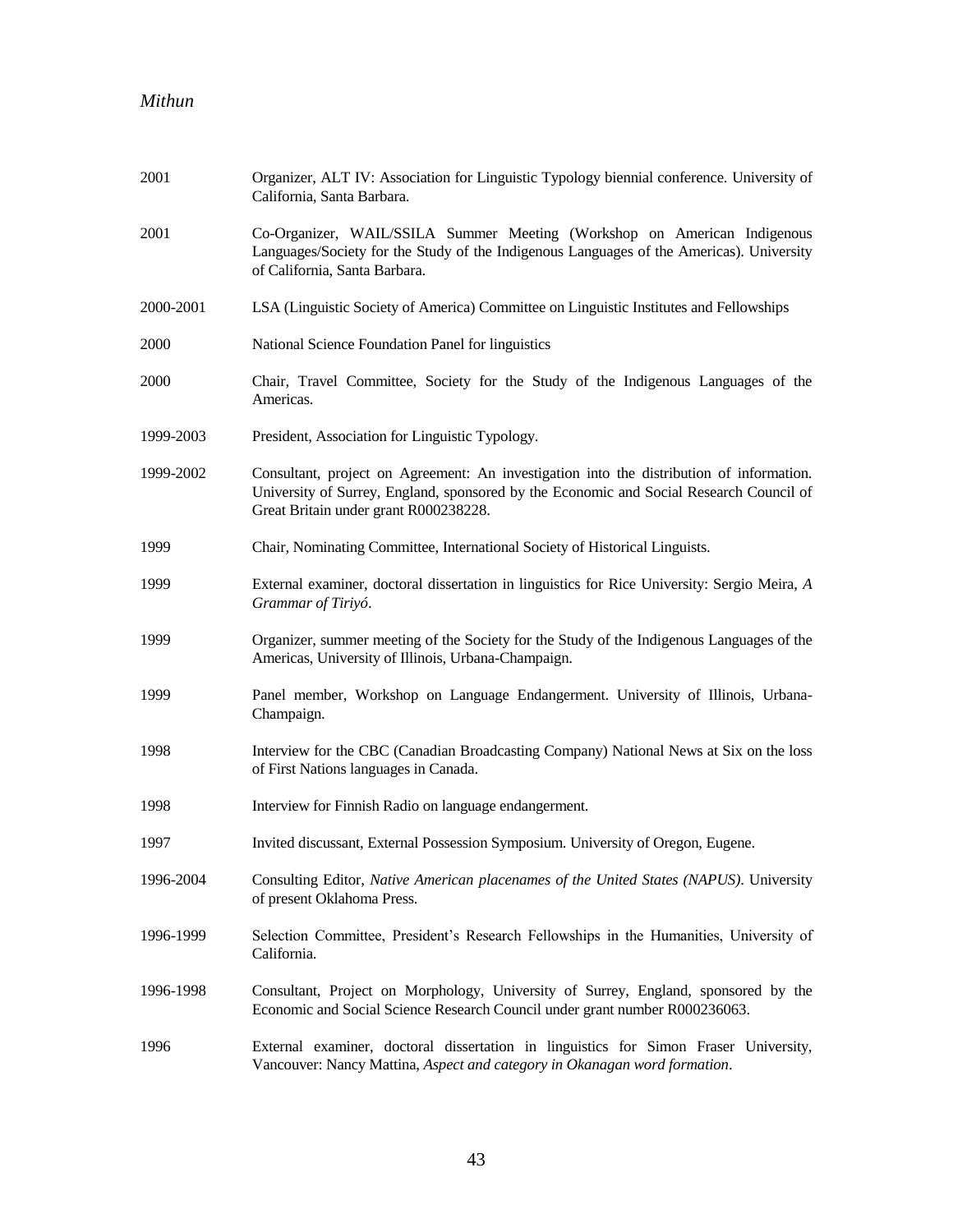| 2001      | Organizer, ALT IV: Association for Linguistic Typology biennial conference. University of<br>California, Santa Barbara.                                                                                                      |
|-----------|------------------------------------------------------------------------------------------------------------------------------------------------------------------------------------------------------------------------------|
| 2001      | Co-Organizer, WAIL/SSILA Summer Meeting (Workshop on American Indigenous<br>Languages/Society for the Study of the Indigenous Languages of the Americas). University<br>of California, Santa Barbara.                        |
| 2000-2001 | LSA (Linguistic Society of America) Committee on Linguistic Institutes and Fellowships                                                                                                                                       |
| 2000      | National Science Foundation Panel for linguistics                                                                                                                                                                            |
| 2000      | Chair, Travel Committee, Society for the Study of the Indigenous Languages of the<br>Americas.                                                                                                                               |
| 1999-2003 | President, Association for Linguistic Typology.                                                                                                                                                                              |
| 1999-2002 | Consultant, project on Agreement: An investigation into the distribution of information.<br>University of Surrey, England, sponsored by the Economic and Social Research Council of<br>Great Britain under grant R000238228. |
| 1999      | Chair, Nominating Committee, International Society of Historical Linguists.                                                                                                                                                  |
| 1999      | External examiner, doctoral dissertation in linguistics for Rice University: Sergio Meira, A<br>Grammar of Tiriyó.                                                                                                           |
| 1999      | Organizer, summer meeting of the Society for the Study of the Indigenous Languages of the<br>Americas, University of Illinois, Urbana-Champaign.                                                                             |
| 1999      | Panel member, Workshop on Language Endangerment. University of Illinois, Urbana-<br>Champaign.                                                                                                                               |
| 1998      | Interview for the CBC (Canadian Broadcasting Company) National News at Six on the loss<br>of First Nations languages in Canada.                                                                                              |
| 1998      | Interview for Finnish Radio on language endangerment.                                                                                                                                                                        |
| 1997      | Invited discussant, External Possession Symposium. University of Oregon, Eugene.                                                                                                                                             |
| 1996-2004 | Consulting Editor, Native American placenames of the United States (NAPUS). University<br>of present Oklahoma Press.                                                                                                         |
| 1996-1999 | Selection Committee, President's Research Fellowships in the Humanities, University of<br>California.                                                                                                                        |
| 1996-1998 | Consultant, Project on Morphology, University of Surrey, England, sponsored by the<br>Economic and Social Science Research Council under grant number R000236063.                                                            |
| 1996      | External examiner, doctoral dissertation in linguistics for Simon Fraser University,<br>Vancouver: Nancy Mattina, Aspect and category in Okanagan word formation.                                                            |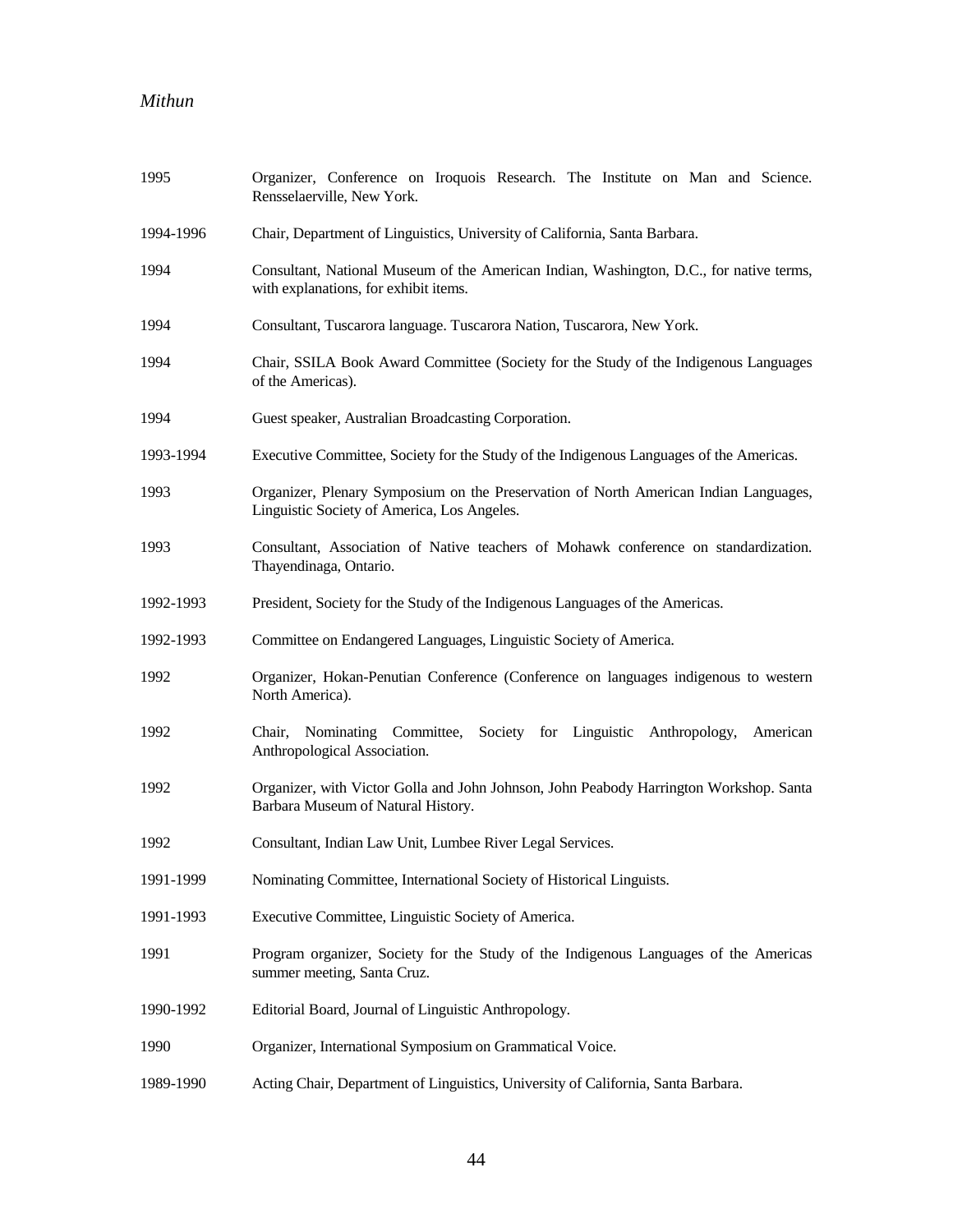| 1995      | Organizer, Conference on Iroquois Research. The Institute on Man and Science.<br>Rensselaerville, New York.                         |
|-----------|-------------------------------------------------------------------------------------------------------------------------------------|
| 1994-1996 | Chair, Department of Linguistics, University of California, Santa Barbara.                                                          |
| 1994      | Consultant, National Museum of the American Indian, Washington, D.C., for native terms,<br>with explanations, for exhibit items.    |
| 1994      | Consultant, Tuscarora language. Tuscarora Nation, Tuscarora, New York.                                                              |
| 1994      | Chair, SSILA Book Award Committee (Society for the Study of the Indigenous Languages<br>of the Americas).                           |
| 1994      | Guest speaker, Australian Broadcasting Corporation.                                                                                 |
| 1993-1994 | Executive Committee, Society for the Study of the Indigenous Languages of the Americas.                                             |
| 1993      | Organizer, Plenary Symposium on the Preservation of North American Indian Languages,<br>Linguistic Society of America, Los Angeles. |
| 1993      | Consultant, Association of Native teachers of Mohawk conference on standardization.<br>Thayendinaga, Ontario.                       |
| 1992-1993 | President, Society for the Study of the Indigenous Languages of the Americas.                                                       |
| 1992-1993 | Committee on Endangered Languages, Linguistic Society of America.                                                                   |
| 1992      | Organizer, Hokan-Penutian Conference (Conference on languages indigenous to western<br>North America).                              |
| 1992      | Chair, Nominating Committee, Society for Linguistic<br>Anthropology,<br>American<br>Anthropological Association.                    |
| 1992      | Organizer, with Victor Golla and John Johnson, John Peabody Harrington Workshop. Santa<br>Barbara Museum of Natural History.        |
| 1992      | Consultant, Indian Law Unit, Lumbee River Legal Services.                                                                           |
| 1991-1999 | Nominating Committee, International Society of Historical Linguists.                                                                |
| 1991-1993 | Executive Committee, Linguistic Society of America.                                                                                 |
| 1991      | Program organizer, Society for the Study of the Indigenous Languages of the Americas<br>summer meeting, Santa Cruz.                 |
| 1990-1992 | Editorial Board, Journal of Linguistic Anthropology.                                                                                |
| 1990      | Organizer, International Symposium on Grammatical Voice.                                                                            |
| 1989-1990 | Acting Chair, Department of Linguistics, University of California, Santa Barbara.                                                   |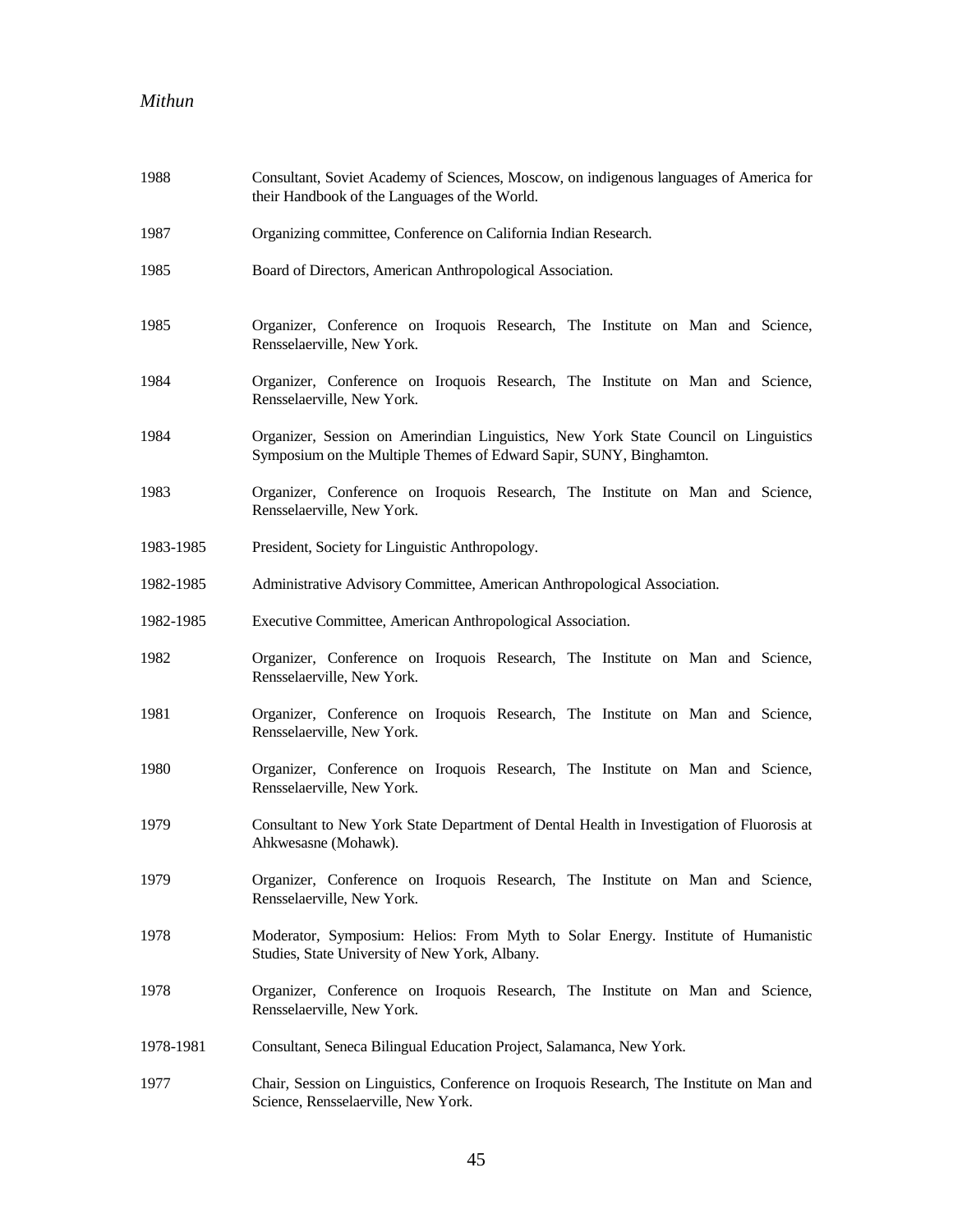| 1988      | Consultant, Soviet Academy of Sciences, Moscow, on indigenous languages of America for<br>their Handbook of the Languages of the World.                    |
|-----------|------------------------------------------------------------------------------------------------------------------------------------------------------------|
| 1987      | Organizing committee, Conference on California Indian Research.                                                                                            |
| 1985      | Board of Directors, American Anthropological Association.                                                                                                  |
| 1985      | Organizer, Conference on Iroquois Research, The Institute on Man and Science,<br>Rensselaerville, New York.                                                |
| 1984      | Organizer, Conference on Iroquois Research, The Institute on Man and Science,<br>Rensselaerville, New York.                                                |
| 1984      | Organizer, Session on Amerindian Linguistics, New York State Council on Linguistics<br>Symposium on the Multiple Themes of Edward Sapir, SUNY, Binghamton. |
| 1983      | Organizer, Conference on Iroquois Research, The Institute on Man and Science,<br>Rensselaerville, New York.                                                |
| 1983-1985 | President, Society for Linguistic Anthropology.                                                                                                            |
| 1982-1985 | Administrative Advisory Committee, American Anthropological Association.                                                                                   |
| 1982-1985 | Executive Committee, American Anthropological Association.                                                                                                 |
| 1982      | Organizer, Conference on Iroquois Research, The Institute on Man and Science,<br>Rensselaerville, New York.                                                |
| 1981      | Organizer, Conference on Iroquois Research, The Institute on Man and Science,<br>Rensselaerville, New York.                                                |
| 1980      | Organizer, Conference on Iroquois Research, The Institute on Man and Science,<br>Rensselaerville, New York.                                                |
| 1979      | Consultant to New York State Department of Dental Health in Investigation of Fluorosis at<br>Ahkwesasne (Mohawk).                                          |
| 1979      | Organizer, Conference on Iroquois Research, The Institute on Man and Science,<br>Rensselaerville, New York.                                                |
| 1978      | Moderator, Symposium: Helios: From Myth to Solar Energy. Institute of Humanistic<br>Studies, State University of New York, Albany.                         |
| 1978      | Organizer, Conference on Iroquois Research, The Institute on Man and Science,<br>Rensselaerville, New York.                                                |
| 1978-1981 | Consultant, Seneca Bilingual Education Project, Salamanca, New York.                                                                                       |
| 1977      | Chair, Session on Linguistics, Conference on Iroquois Research, The Institute on Man and<br>Science, Rensselaerville, New York.                            |